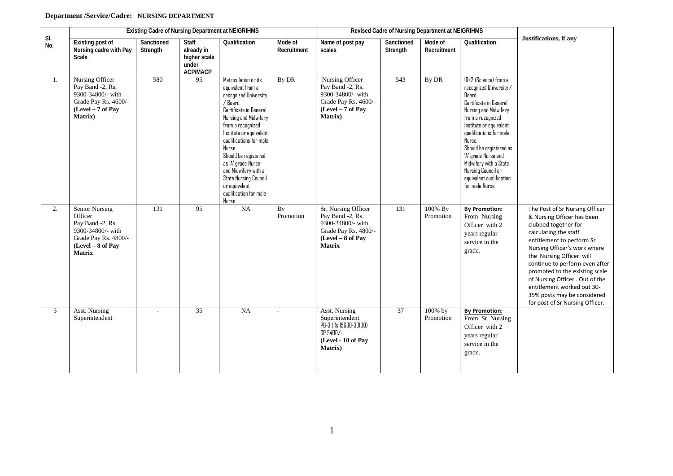# **Department /Service/Cadre: NURSING DEPARTMENT**

|                |                                                                                                                                         | <b>Existing Cadre of Nursing Department at NEIGRIHMS</b> |                                                                        |                                                                                                                                                                                                                                                                                                                                                                                   |                        |                                                                                                                            |                        | Revised Cadre of Nursing Department at NEIGRIHMS |                                                                                                                                                                                                                                                                                                                                                     |                                                                                                                                                                                                                                                                                                                                                                                                               |
|----------------|-----------------------------------------------------------------------------------------------------------------------------------------|----------------------------------------------------------|------------------------------------------------------------------------|-----------------------------------------------------------------------------------------------------------------------------------------------------------------------------------------------------------------------------------------------------------------------------------------------------------------------------------------------------------------------------------|------------------------|----------------------------------------------------------------------------------------------------------------------------|------------------------|--------------------------------------------------|-----------------------------------------------------------------------------------------------------------------------------------------------------------------------------------------------------------------------------------------------------------------------------------------------------------------------------------------------------|---------------------------------------------------------------------------------------------------------------------------------------------------------------------------------------------------------------------------------------------------------------------------------------------------------------------------------------------------------------------------------------------------------------|
| SI.<br>No.     | <b>Existing post of</b><br>Nursing cadre with Pay<br>Scale                                                                              | Sanctioned<br>Strength                                   | <b>Staff</b><br>already in<br>higher scale<br>under<br><b>ACP/MACP</b> | Qualification                                                                                                                                                                                                                                                                                                                                                                     | Mode of<br>Recruitment | Name of post pay<br>scales                                                                                                 | Sanctioned<br>Strength | Mode of<br>Recruitment                           | Qualification                                                                                                                                                                                                                                                                                                                                       | Justifications, if any                                                                                                                                                                                                                                                                                                                                                                                        |
| 1.             | Nursing Officer<br>Pay Band -2, Rs.<br>9300-34800/- with<br>Grade Pay Rs. 4600/-<br>(Level - 7 of Pay<br>Matrix)                        | 580                                                      | $\overline{95}$                                                        | Matriculation or its<br>equivalent from a<br>recognized University<br>/ Board.<br>Certificate in General<br>Nursing and Midwifery<br>from a recognized<br>Institute or equivalent<br>qualifications for male<br>Nurse.<br>Should be registered<br>as 'A' grade Nurse<br>and Midwifery with a<br><b>State Nursing Council</b><br>or equivalent<br>qualification for male<br>Nurse. | By DR                  | Nursing Officer<br>Pay Band -2, Rs.<br>9300-34800/- with<br>Grade Pay Rs. 4600/-<br>(Level - 7 of Pay<br>Matrix)           | 543                    | By DR                                            | 10+2 (Science) from a<br>recognized University /<br>Board.<br>Certificate in General<br>Nursing and Midwifery<br>from a recognized<br>Institute or equivalent<br>qualifications for male<br>Nurse.<br>Should be registered as<br>'A' grade Nurse and<br>Midwifery with a State<br>Nursing Council or<br>equivalent qualification<br>for male Nurse. |                                                                                                                                                                                                                                                                                                                                                                                                               |
| 2.             | <b>Senior Nursing</b><br>Officer<br>Pay Band -2, Rs.<br>9300-34800/- with<br>Grade Pay Rs. 4800/-<br>(Level - 8 of Pay<br><b>Matrix</b> | 131                                                      | $\overline{95}$                                                        | <b>NA</b>                                                                                                                                                                                                                                                                                                                                                                         | <b>By</b><br>Promotion | Sr. Nursing Officer<br>Pay Band -2, Rs.<br>9300-34800/- with<br>Grade Pay Rs. 4800/-<br>(Level - 8 of Pay<br><b>Matrix</b> | $\overline{131}$       | 100% By<br>Promotion                             | <b>By Promotion:</b><br>From Nursing<br>Officer with 2<br>years regular<br>service in the<br>grade.                                                                                                                                                                                                                                                 | The Post of Sr Nursing Officer<br>& Nursing Officer has been<br>clubbed together for<br>calculating the staff<br>entitlement to perform Sr<br>Nursing Officer's work where<br>the Nursing Officer will<br>continue to perform even after<br>promoted to the existing scale<br>of Nursing Officer . Out of the<br>entitlement worked out 30-<br>35% posts may be considered<br>for post of Sr Nursing Officer. |
| $\mathfrak{Z}$ | Asst. Nursing<br>Superintendent                                                                                                         | $\overline{a}$                                           | $\overline{35}$                                                        | NA                                                                                                                                                                                                                                                                                                                                                                                | $\sim$                 | Asst. Nursing<br>Superintendent<br>PB-3 (Rs 15600-39100)<br>GP 5400/-<br>(Level - 10 of Pay<br>Matrix)                     | 37                     | 100% by<br>Promotion                             | <b>By Promotion:</b><br>From Sr. Nursing<br>Officer with 2<br>years regular<br>service in the<br>grade.                                                                                                                                                                                                                                             |                                                                                                                                                                                                                                                                                                                                                                                                               |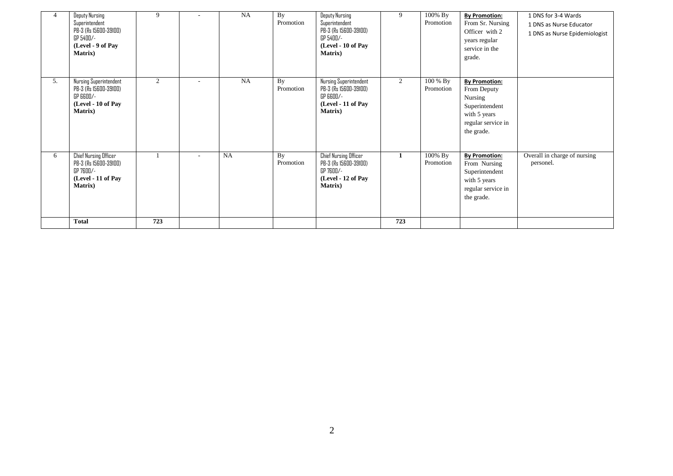| 4  | <b>Deputy Nursing</b><br>Superintendent<br>PB-3 (Rs 15600-39100)<br>GP 5400/-<br>(Level - 9 of Pay<br><b>Matrix</b> ) | 9   |                          | <b>NA</b> | By<br>Promotion | Deputy Nursing<br>Superintendent<br>PB-3 (Rs 15600-39100)<br>GP 5400/-<br>(Level - 10 of Pay<br><b>Matrix</b> ) | 9              | 100% By<br>Promotion  | <b>By Promotion:</b><br>From Sr. Nursing<br>Officer with 2<br>years regular<br>service in the<br>grade.              | 1 DNS for 3-4 Wards<br>1 DNS as Nurse Educator<br>1 DNS as Nurse Epidemiologist |
|----|-----------------------------------------------------------------------------------------------------------------------|-----|--------------------------|-----------|-----------------|-----------------------------------------------------------------------------------------------------------------|----------------|-----------------------|----------------------------------------------------------------------------------------------------------------------|---------------------------------------------------------------------------------|
| 5. | Nursing Superintendent<br>PB-3 (Rs 15600-39100)<br>GP 6600/-<br>(Level - 10 of Pay<br><b>Matrix</b> )                 | 2   | $\overline{\phantom{a}}$ | <b>NA</b> | By<br>Promotion | Nursing Superintendent<br>PB-3 (Rs 15600-39100)<br>GP 6600/-<br>(Level - 11 of Pay<br><b>Matrix</b> )           | $\overline{2}$ | 100 % By<br>Promotion | <b>By Promotion:</b><br>From Deputy<br>Nursing<br>Superintendent<br>with 5 years<br>regular service in<br>the grade. |                                                                                 |
| 6  | Chief Nursing Officer<br>PB-3 (Rs 15600-39100)<br>GP 7600/-<br>(Level - 11 of Pay<br><b>Matrix</b> )                  |     |                          | <b>NA</b> | By<br>Promotion | Chief Nursing Officer<br>PB-3 (Rs 15600-39100)<br>GP 7600/-<br>(Level - 12 of Pay<br><b>Matrix</b> )            | 1              | 100% By<br>Promotion  | <b>By Promotion:</b><br>From Nursing<br>Superintendent<br>with 5 years<br>regular service in<br>the grade.           | Overall in charge of nursing<br>personel.                                       |
|    | <b>Total</b>                                                                                                          | 723 |                          |           |                 |                                                                                                                 | 723            |                       |                                                                                                                      |                                                                                 |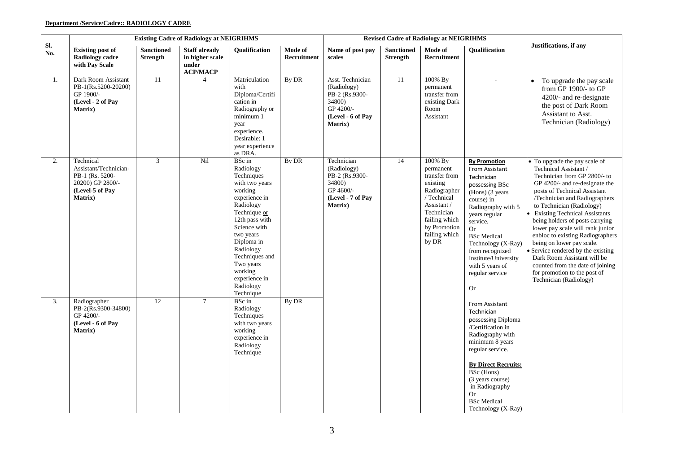### **Department /Service/Cadre:: RADIOLOGY CADRE**

|            | <b>Existing Cadre of Radiology at NEIGRIHMS</b>                                                                 |                                      |                                                                     |                                                                                                                                                                                                                                                                             |                        |                                                                                                                  |                                      | <b>Revised Cadre of Radiology at NEIGRIHMS</b>                                                                                                                           |                                                                                                                                                                                                                                                                                                                  |                                                                                                                                                                                                                                                                                                                                                                                                                                                                                                                                                                           |
|------------|-----------------------------------------------------------------------------------------------------------------|--------------------------------------|---------------------------------------------------------------------|-----------------------------------------------------------------------------------------------------------------------------------------------------------------------------------------------------------------------------------------------------------------------------|------------------------|------------------------------------------------------------------------------------------------------------------|--------------------------------------|--------------------------------------------------------------------------------------------------------------------------------------------------------------------------|------------------------------------------------------------------------------------------------------------------------------------------------------------------------------------------------------------------------------------------------------------------------------------------------------------------|---------------------------------------------------------------------------------------------------------------------------------------------------------------------------------------------------------------------------------------------------------------------------------------------------------------------------------------------------------------------------------------------------------------------------------------------------------------------------------------------------------------------------------------------------------------------------|
| Sl.<br>No. | <b>Existing post of</b><br><b>Radiology cadre</b><br>with Pay Scale                                             | <b>Sanctioned</b><br><b>Strength</b> | <b>Staff already</b><br>in higher scale<br>under<br><b>ACP/MACP</b> | Qualification                                                                                                                                                                                                                                                               | Mode of<br>Recruitment | Name of post pay<br>scales                                                                                       | <b>Sanctioned</b><br><b>Strength</b> | Mode of<br>Recruitment                                                                                                                                                   | Qualification                                                                                                                                                                                                                                                                                                    | <b>Justifications</b> , if any                                                                                                                                                                                                                                                                                                                                                                                                                                                                                                                                            |
| 1.         | Dark Room Assistant<br>PB-1(Rs.5200-20200)<br>GP 1900/-<br>(Level - 2 of Pay<br><b>Matrix</b> )                 | 11                                   | $\overline{4}$                                                      | Matriculation<br>with<br>Diploma/Certifi<br>cation in<br>Radiography or<br>minimum 1<br>year<br>experience.<br>Desirable: 1<br>year experience<br>as DRA.                                                                                                                   | By DR                  | Asst. Technician<br>(Radiology)<br>PB-2 (Rs.9300-<br>34800)<br>GP 4200/-<br>(Level - 6 of Pay<br><b>Matrix</b> ) | 11                                   | 100% By<br>permanent<br>transfer from<br>existing Dark<br>Room<br>Assistant                                                                                              | $\mathcal{L}_{\mathcal{A}}$                                                                                                                                                                                                                                                                                      | To upgrade the pay scale<br>$\bullet$<br>from GP 1900/- to GP<br>4200/- and re-designate<br>the post of Dark Room<br>Assistant to Asst.<br>Technician (Radiology)                                                                                                                                                                                                                                                                                                                                                                                                         |
| 2.         | Technical<br>Assistant/Technician-<br>PB-1 (Rs. 5200-<br>20200) GP 2800/-<br>(Level-5 of Pay<br><b>Matrix</b> ) | 3                                    | Nil                                                                 | BSc in<br>Radiology<br>Techniques<br>with two years<br>working<br>experience in<br>Radiology<br>Technique or<br>12th pass with<br>Science with<br>two years<br>Diploma in<br>Radiology<br>Techniques and<br>Two years<br>working<br>experience in<br>Radiology<br>Technique | By DR                  | Technician<br>(Radiology)<br>PB-2 (Rs.9300-<br>34800)<br>GP 4600/-<br>(Level - 7 of Pay<br><b>Matrix</b> )       | 14                                   | 100% By<br>permanent<br>transfer from<br>existing<br>Radiographer<br>/ Technical<br>Assistant /<br>Technician<br>failing which<br>by Promotion<br>failing which<br>by DR | <b>By Promotion</b><br>From Assistant<br>Technician<br>possessing BSc<br>(Hons) (3 years<br>course) in<br>Radiography with 5<br>years regular<br>service.<br><b>Or</b><br><b>BSc</b> Medical<br>Technology (X-Ray)<br>from recognized<br>Institute/University<br>with 5 years of<br>regular service<br><b>Or</b> | • To upgrade the pay scale of<br>Technical Assistant /<br>Technician from GP 2800/- to<br>GP 4200/- and re-designate the<br>posts of Technical Assistant<br>/Technician and Radiographers<br>to Technician (Radiology)<br><b>Existing Technical Assistants</b><br>being holders of posts carrying<br>lower pay scale will rank junior<br>enbloc to existing Radiographers<br>being on lower pay scale.<br>• Service rendered by the existing<br>Dark Room Assistant will be<br>counted from the date of joining<br>for promotion to the post of<br>Technician (Radiology) |
| 3.         | Radiographer<br>PB-2(Rs.9300-34800)<br>GP 4200/-<br>(Level - 6 of Pay<br><b>Matrix</b> )                        | 12                                   | $\tau$                                                              | BSc in<br>Radiology<br>Techniques<br>with two years<br>working<br>experience in<br>Radiology<br>Technique                                                                                                                                                                   | By DR                  |                                                                                                                  |                                      |                                                                                                                                                                          | From Assistant<br>Technician<br>possessing Diploma<br>/Certification in<br>Radiography with<br>minimum 8 years<br>regular service.<br><b>By Direct Recruits:</b><br>BSc (Hons)<br>(3 years course)<br>in Radiography<br><b>Or</b><br><b>BSc</b> Medical<br>Technology (X-Ray)                                    |                                                                                                                                                                                                                                                                                                                                                                                                                                                                                                                                                                           |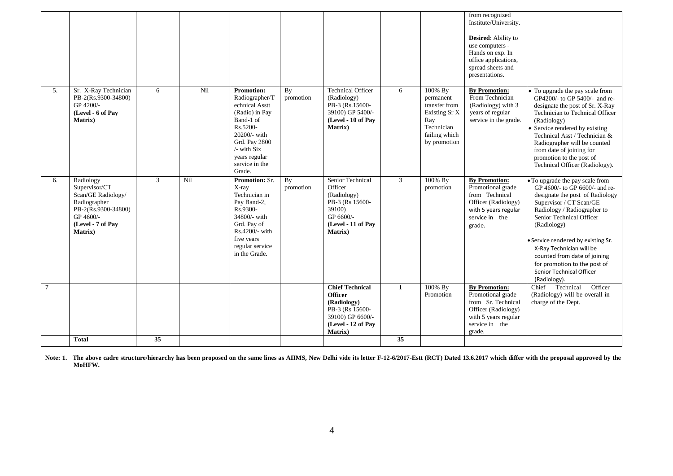|                |                                                                                                                                      |    |     |                                                                                                                                                                                                  |                 |                                                                                                                                         |                |                                                                                                              | from recognized<br>Institute/University.<br><b>Desired:</b> Ability to<br>use computers -<br>Hands on exp. In<br>office applications,<br>spread sheets and<br>presentations. |                                                                                                                                                                                                                                                                                                                                                                                         |
|----------------|--------------------------------------------------------------------------------------------------------------------------------------|----|-----|--------------------------------------------------------------------------------------------------------------------------------------------------------------------------------------------------|-----------------|-----------------------------------------------------------------------------------------------------------------------------------------|----------------|--------------------------------------------------------------------------------------------------------------|------------------------------------------------------------------------------------------------------------------------------------------------------------------------------|-----------------------------------------------------------------------------------------------------------------------------------------------------------------------------------------------------------------------------------------------------------------------------------------------------------------------------------------------------------------------------------------|
| 5.             | Sr. X-Ray Technician<br>PB-2(Rs.9300-34800)<br>GP 4200/-<br>(Level - 6 of Pay<br>Matrix)                                             | 6  | Nil | <b>Promotion:</b><br>Radiographer/T<br>echnical Asstt<br>(Radio) in Pay<br>Band-1 of<br>Rs.5200-<br>20200/- with<br>Grd. Pay 2800<br>$/$ - with Six<br>years regular<br>service in the<br>Grade. | By<br>promotion | <b>Technical Officer</b><br>(Radiology)<br>PB-3 (Rs.15600-<br>39100) GP 5400/-<br>(Level - 10 of Pav<br>Matrix)                         | 6              | 100% By<br>permanent<br>transfer from<br>Existing Sr X<br>Ray<br>Technician<br>failing which<br>by promotion | <b>By Promotion:</b><br>From Technician<br>(Radiology) with 3<br>years of regular<br>service in the grade.                                                                   | • To upgrade the pay scale from<br>GP4200/- to GP 5400/- and re-<br>designate the post of Sr. X-Ray<br>Technician to Technical Officer<br>(Radiology)<br>• Service rendered by existing<br>Technical Asst / Technician &<br>Radiographer will be counted<br>from date of joining for<br>promotion to the post of<br>Technical Officer (Radiology).                                      |
| 6.             | Radiology<br>Supervisor/CT<br>Scan/GE Radiology/<br>Radiographer<br>PB-2(Rs.9300-34800)<br>GP 4600/-<br>(Level - 7 of Pay<br>Matrix) | 3  | Nil | <b>Promotion: Sr.</b><br>X-ray<br>Technician in<br>Pay Band-2,<br>Rs.9300-<br>34800/- with<br>Grd. Pay of<br>Rs.4200/- with<br>five years<br>regular service<br>in the Grade.                    | By<br>promotion | Senior Technical<br>Officer<br>(Radiology)<br>PB-3 (Rs 15600-<br>39100)<br>GP 6600/-<br>(Level - 11 of Pay<br><b>Matrix</b> )           | $\mathfrak{Z}$ | 100% By<br>promotion                                                                                         | <b>By Promotion:</b><br>Promotional grade<br>from Technical<br>Officer (Radiology)<br>with 5 years regular<br>service in the<br>grade.                                       | • To upgrade the pay scale from<br>GP 4600/- to GP 6600/- and re-<br>designate the post of Radiology<br>Supervisor / CT Scan/GE<br>Radiology / Radiographer to<br>Senior Technical Officer<br>(Radiology)<br>· Service rendered by existing Sr.<br>X-Ray Technician will be<br>counted from date of joining<br>for promotion to the post of<br>Senior Technical Officer<br>(Radiology). |
| $\overline{7}$ |                                                                                                                                      |    |     |                                                                                                                                                                                                  |                 | <b>Chief Technical</b><br><b>Officer</b><br>(Radiology)<br>PB-3 (Rs 15600-<br>39100) GP 6600/-<br>(Level - 12 of Pay<br><b>Matrix</b> ) | $\mathbf{1}$   | 100% By<br>Promotion                                                                                         | <b>By Promotion:</b><br>Promotional grade<br>from Sr. Technical<br>Officer (Radiology)<br>with 5 years regular<br>service in the<br>grade.                                   | Technical<br>Officer<br>Chief<br>(Radiology) will be overall in<br>charge of the Dept.                                                                                                                                                                                                                                                                                                  |
|                | <b>Total</b>                                                                                                                         | 35 |     |                                                                                                                                                                                                  |                 |                                                                                                                                         | 35             |                                                                                                              |                                                                                                                                                                              |                                                                                                                                                                                                                                                                                                                                                                                         |

**Note: 1. The above cadre structure/hierarchy has been proposed on the same lines as AIIMS, New Delhi vide its letter F-12-6/2017-Estt (RCT) Dated 13.6.2017 which differ with the proposal approved by the MoHFW.**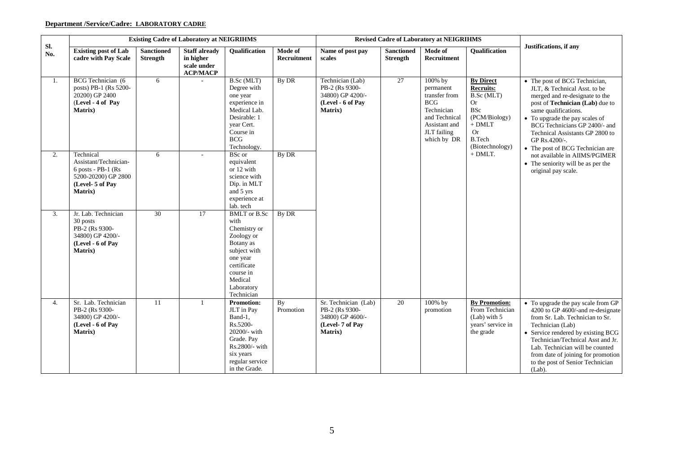# **Department /Service/Cadre: LABORATORY CADRE**

|            |                                                                                                                  |                                      | <b>Existing Cadre of Laboratory at NEIGRIHMS</b>                    |                                                                                                                                                                              |                               | <b>Revised Cadre of Laboratory at NEIGRIHMS</b><br>Name of post pay<br><b>Sanctioned</b><br>Mode of |                 |                                                                                                                                   |                                                                                                                                             |                                                                                                                                                                                                                                                                                                                                     |
|------------|------------------------------------------------------------------------------------------------------------------|--------------------------------------|---------------------------------------------------------------------|------------------------------------------------------------------------------------------------------------------------------------------------------------------------------|-------------------------------|-----------------------------------------------------------------------------------------------------|-----------------|-----------------------------------------------------------------------------------------------------------------------------------|---------------------------------------------------------------------------------------------------------------------------------------------|-------------------------------------------------------------------------------------------------------------------------------------------------------------------------------------------------------------------------------------------------------------------------------------------------------------------------------------|
| Sl.<br>No. | <b>Existing post of Lab</b><br>cadre with Pay Scale                                                              | <b>Sanctioned</b><br><b>Strength</b> | <b>Staff already</b><br>in higher<br>scale under<br><b>ACP/MACP</b> | Qualification                                                                                                                                                                | Mode of<br><b>Recruitment</b> | scales                                                                                              | <b>Strength</b> | Recruitment                                                                                                                       | Qualification                                                                                                                               | Justifications, if any                                                                                                                                                                                                                                                                                                              |
| 1.         | BCG Technician (6<br>posts) PB-1 (Rs 5200-<br>20200) GP 2400<br>(Level - 4 of Pay<br>Matrix)                     | 6                                    |                                                                     | B.Sc (MLT)<br>Degree with<br>one year<br>experience in<br>Medical Lab.<br>Desirable: 1<br>year Cert.<br>Course in<br><b>BCG</b><br>Technology.                               | By DR                         | Technician (Lab)<br>PB-2 (Rs 9300-<br>34800) GP 4200/-<br>(Level - 6 of Pay<br>Matrix)              | 27              | 100% by<br>permanent<br>transfer from<br><b>BCG</b><br>Technician<br>and Technical<br>Assistant and<br>JLT failing<br>which by DR | <b>By Direct</b><br>Recruits:<br>B.Sc (MLT)<br>Or<br><b>BSc</b><br>(PCM/Biology)<br>$+$ DMLT $\,$<br>Or<br><b>B.Tech</b><br>(Biotechnology) | • The post of BCG Technician,<br>JLT, & Technical Asst. to be<br>merged and re-designate to the<br>post of Technician (Lab) due to<br>same qualifications.<br>• To upgrade the pay scales of<br>BCG Technicians GP 2400/- and<br>Technical Assistants GP 2800 to<br>GP Rs.4200/-.<br>• The post of BCG Technician are               |
| 2.         | Technical<br>Assistant/Technician-<br>$6$ posts - PB-1 (Rs<br>5200-20200) GP 2800<br>(Level- 5 of Pay<br>Matrix) | 6                                    |                                                                     | BSc or<br>equivalent<br>or 12 with<br>science with<br>Dip. in MLT<br>and 5 yrs<br>experience at<br>lab. tech                                                                 | By DR                         |                                                                                                     |                 |                                                                                                                                   | $+$ DMLT.                                                                                                                                   | not available in AIIMS/PGIMER<br>• The seniority will be as per the<br>original pay scale.                                                                                                                                                                                                                                          |
| 3.         | Jr. Lab. Technician<br>30 posts<br>PB-2 (Rs 9300-<br>34800) GP 4200/-<br>(Level - 6 of Pay<br>Matrix)            | 30                                   | $\overline{17}$                                                     | <b>BMLT</b> or <b>B.Sc</b><br>with<br>Chemistry or<br>Zoology or<br>Botany as<br>subject with<br>one year<br>certificate<br>course in<br>Medical<br>Laboratory<br>Technician | By DR                         |                                                                                                     |                 |                                                                                                                                   |                                                                                                                                             |                                                                                                                                                                                                                                                                                                                                     |
| 4.         | Sr. Lab. Technician<br>PB-2 (Rs 9300-<br>34800) GP 4200/-<br>(Level - 6 of Pay<br>Matrix)                        | 11                                   | $\mathbf{1}$                                                        | Promotion:<br>JLT in Pay<br>Band-1.<br>Rs.5200-<br>20200/- with<br>Grade. Pay<br>Rs.2800/- with<br>six years<br>regular service<br>in the Grade.                             | By<br>Promotion               | Sr. Technician (Lab)<br>PB-2 (Rs 9300-<br>34800) GP 4600/-<br>(Level-7 of Pay<br>Matrix)            | 20              | 100% by<br>promotion                                                                                                              | <b>By Promotion:</b><br>From Technician<br>(Lab) with 5<br>years' service in<br>the grade                                                   | • To upgrade the pay scale from GP<br>4200 to GP 4600/-and re-designate<br>from Sr. Lab. Technician to Sr.<br>Technician (Lab)<br>• Service rendered by existing BCG<br>Technician/Technical Asst and Jr.<br>Lab. Technician will be counted<br>from date of joining for promotion<br>to the post of Senior Technician<br>$(Lab)$ . |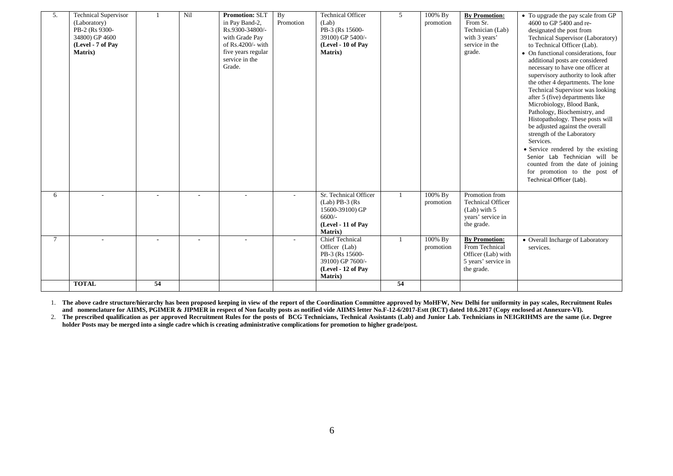| 5. | <b>Technical Supervisor</b><br>(Laboratory)<br>PB-2 (Rs 9300-<br>34800) GP 4600<br>(Level - 7 of Pay<br><b>Matrix</b> ) |                 | Nil | <b>Promotion: SLT</b><br>in Pay Band-2,<br>Rs.9300-34800/-<br>with Grade Pay<br>of Rs.4200/- with<br>five years regular<br>service in the<br>Grade. | By<br>Promotion | <b>Technical Officer</b><br>(Lab)<br>PB-3 (Rs 15600-<br>39100) GP 5400/-<br>(Level - 10 of Pay<br><b>Matrix</b> )    | 5  | 100% By<br>promotion | <b>By Promotion:</b><br>From Sr.<br>Technician (Lab)<br>with 3 years'<br>service in the<br>grade. | • To upgrade the pay scale from GP<br>4600 to GP 5400 and re-<br>designated the post from<br>Technical Supervisor (Laboratory)<br>to Technical Officer (Lab).<br>• On functional considerations, four<br>additional posts are considered<br>necessary to have one officer at<br>supervisory authority to look after<br>the other 4 departments. The lone<br>Technical Supervisor was looking<br>after 5 (five) departments like<br>Microbiology, Blood Bank,<br>Pathology, Biochemistry, and<br>Histopathology. These posts will<br>be adjusted against the overall<br>strength of the Laboratory<br>Services.<br>• Service rendered by the existing<br>Senior Lab Technician will be<br>counted from the date of joining<br>for promotion to the post of<br>Technical Officer (Lab). |
|----|-------------------------------------------------------------------------------------------------------------------------|-----------------|-----|-----------------------------------------------------------------------------------------------------------------------------------------------------|-----------------|----------------------------------------------------------------------------------------------------------------------|----|----------------------|---------------------------------------------------------------------------------------------------|---------------------------------------------------------------------------------------------------------------------------------------------------------------------------------------------------------------------------------------------------------------------------------------------------------------------------------------------------------------------------------------------------------------------------------------------------------------------------------------------------------------------------------------------------------------------------------------------------------------------------------------------------------------------------------------------------------------------------------------------------------------------------------------|
| 6  |                                                                                                                         |                 |     |                                                                                                                                                     |                 | Sr. Technical Officer<br>$(Lab)$ PB-3 $(Rs)$<br>15600-39100) GP<br>$6600/-$<br>(Level - 11 of Pay<br><b>Matrix</b> ) |    | 100% By<br>promotion | Promotion from<br><b>Technical Officer</b><br>(Lab) with 5<br>years' service in<br>the grade.     |                                                                                                                                                                                                                                                                                                                                                                                                                                                                                                                                                                                                                                                                                                                                                                                       |
| 7  |                                                                                                                         |                 |     |                                                                                                                                                     |                 | <b>Chief Technical</b><br>Officer (Lab)<br>PB-3 (Rs 15600-<br>39100) GP 7600/-<br>(Level - 12 of Pay<br>Matrix)      |    | 100% By<br>promotion | <b>By Promotion:</b><br>From Technical<br>Officer (Lab) with<br>5 years' service in<br>the grade. | • Overall Incharge of Laboratory<br>services.                                                                                                                                                                                                                                                                                                                                                                                                                                                                                                                                                                                                                                                                                                                                         |
|    | <b>TOTAL</b>                                                                                                            | $\overline{54}$ |     |                                                                                                                                                     |                 |                                                                                                                      | 54 |                      |                                                                                                   |                                                                                                                                                                                                                                                                                                                                                                                                                                                                                                                                                                                                                                                                                                                                                                                       |

1. **The above cadre structure/hierarchy has been proposed keeping in view of the report of the Coordination Committee approved by MoHFW, New Delhi for uniformity in pay scales, Recruitment Rules and nomenclature for AIIMS, PGIMER & JIPMER in respect of Non faculty posts as notified vide AIIMS letter No.F-12-6/2017-Estt (RCT) dated 10.6.2017 (Copy enclosed at Annexure-VI).**

2. The prescribed qualification as per approved Recruitment Rules for the posts of BCG Technicians, Technical Assistants (Lab) and Junior Lab. Technicians in NEIGRIHMS are the same (i.e. Degree **holder Posts may be merged into a single cadre which is creating administrative complications for promotion to higher grade/post.**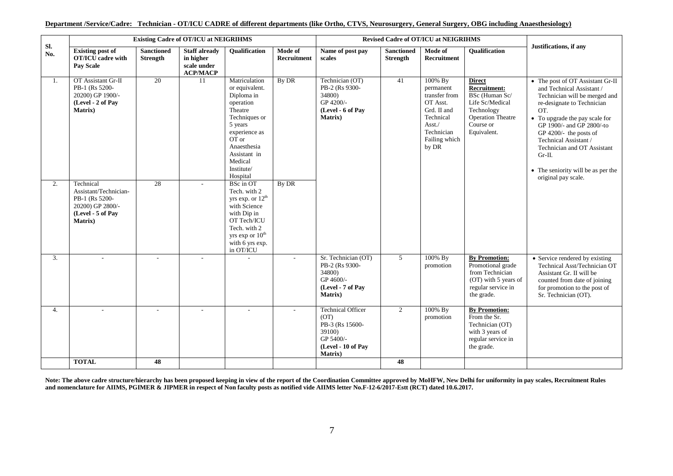| <b>Existing Cadre of OT/ICU at NEIGRIHMS</b><br><b>Revised Cadre of OT/ICU at NEIGRIHMS</b><br>Sl.<br><b>Existing post of</b><br><b>Sanctioned</b><br><b>Staff already</b><br>Mode of<br>Name of post pay<br>Mode of<br><b>Oualification</b><br><b>Sanctioned</b> |                                                                                                                  |                 |                                             |                                                                                                                                                                                                 |                    |                                                                                                                     |                 |                                                                                                                                 |                                                                                                                                                 |                                                                                                                                                                                                                                                                                                                                                               |
|-------------------------------------------------------------------------------------------------------------------------------------------------------------------------------------------------------------------------------------------------------------------|------------------------------------------------------------------------------------------------------------------|-----------------|---------------------------------------------|-------------------------------------------------------------------------------------------------------------------------------------------------------------------------------------------------|--------------------|---------------------------------------------------------------------------------------------------------------------|-----------------|---------------------------------------------------------------------------------------------------------------------------------|-------------------------------------------------------------------------------------------------------------------------------------------------|---------------------------------------------------------------------------------------------------------------------------------------------------------------------------------------------------------------------------------------------------------------------------------------------------------------------------------------------------------------|
| No.                                                                                                                                                                                                                                                               | <b>OT/ICU</b> cadre with<br><b>Pay Scale</b>                                                                     | <b>Strength</b> | in higher<br>scale under<br><b>ACP/MACP</b> |                                                                                                                                                                                                 | <b>Recruitment</b> | scales                                                                                                              | <b>Strength</b> | <b>Recruitment</b>                                                                                                              | <b>Oualification</b>                                                                                                                            | Justifications, if any                                                                                                                                                                                                                                                                                                                                        |
| 1.                                                                                                                                                                                                                                                                | OT Assistant Gr-II<br>PB-1 (Rs 5200-<br>20200) GP 1900/-<br>(Level - 2 of Pay<br><b>Matrix</b> )                 | $\overline{20}$ | -11                                         | Matriculation<br>or equivalent.<br>Diploma in<br>operation<br>Theatre<br>Techniques or<br>5 years<br>experience as<br>OT or<br>Anaesthesia<br>Assistant in<br>Medical<br>Institute/<br>Hospital | By DR              | Technician (OT)<br>PB-2 (Rs 9300-<br>34800)<br>GP 4200/-<br>(Level - 6 of Pay<br><b>Matrix</b> )                    | 41              | 100% By<br>permanent<br>transfer from<br>OT Asst.<br>Grd. II and<br>Technical<br>Asst./<br>Technician<br>Failing which<br>by DR | <b>Direct</b><br><b>Recruitment:</b><br>BSc (Human Sc/<br>Life Sc/Medical<br>Technology<br><b>Operation Theatre</b><br>Course or<br>Equivalent. | • The post of OT Assistant Gr-II<br>and Technical Assistant /<br>Technician will be merged and<br>re-designate to Technician<br>OT.<br>• To upgrade the pay scale for<br>GP 1900/- and GP 2800/-to<br>GP 4200/- the posts of<br>Technical Assistant /<br>Technician and OT Assistant<br>$Gr-II.$<br>• The seniority will be as per the<br>original pay scale. |
| 2.                                                                                                                                                                                                                                                                | Technical<br>Assistant/Technician-<br>PB-1 (Rs 5200-<br>20200) GP 2800/-<br>(Level - 5 of Pay<br><b>Matrix</b> ) | 28              |                                             | BSc in OT<br>Tech. with 2<br>yrs exp. or $12^{th}$<br>with Science<br>with Dip in<br>OT Tech/ICU<br>Tech. with 2<br>yrs exp or 10 <sup>th</sup><br>with 6 yrs exp.<br>in OT/ICU                 | By DR              |                                                                                                                     |                 |                                                                                                                                 |                                                                                                                                                 |                                                                                                                                                                                                                                                                                                                                                               |
| $\mathfrak{Z}$ .                                                                                                                                                                                                                                                  |                                                                                                                  | $\sim$          |                                             |                                                                                                                                                                                                 |                    | Sr. Technician (OT)<br>PB-2 (Rs 9300-<br>34800)<br>GP 4600/-<br>(Level - 7 of Pay<br><b>Matrix</b> )                | 5 <sup>5</sup>  | 100% By<br>promotion                                                                                                            | <b>By Promotion:</b><br>Promotional grade<br>from Technician<br>(OT) with 5 years of<br>regular service in<br>the grade.                        | • Service rendered by existing<br>Technical Asst/Technician OT<br>Assistant Gr. II will be<br>counted from date of joining<br>for promotion to the post of<br>Sr. Technician (OT).                                                                                                                                                                            |
| 4.                                                                                                                                                                                                                                                                |                                                                                                                  | $\sim$          | $\sim$                                      |                                                                                                                                                                                                 |                    | <b>Technical Officer</b><br>(OT)<br>PB-3 (Rs 15600-<br>39100)<br>GP 5400/-<br>(Level - 10 of Pav<br><b>Matrix</b> ) | $\overline{2}$  | 100% By<br>promotion                                                                                                            | <b>By Promotion:</b><br>From the Sr.<br>Technician (OT)<br>with 3 years of<br>regular service in<br>the grade.                                  |                                                                                                                                                                                                                                                                                                                                                               |
|                                                                                                                                                                                                                                                                   | <b>TOTAL</b>                                                                                                     | 48              |                                             |                                                                                                                                                                                                 |                    |                                                                                                                     | 48              |                                                                                                                                 |                                                                                                                                                 |                                                                                                                                                                                                                                                                                                                                                               |

#### **Department /Service/Cadre: Technician - OT/ICU CADRE of different departments (like Ortho, CTVS, Neurosurgery, General Surgery, OBG including Anaesthesiology)**

**Note: The above cadre structure/hierarchy has been proposed keeping in view of the report of the Coordination Committee approved by MoHFW, New Delhi for uniformity in pay scales, Recruitment Rules and nomenclature for AIIMS, PGIMER & JIPMER in respect of Non faculty posts as notified vide AIIMS letter No.F-12-6/2017-Estt (RCT) dated 10.6.2017.**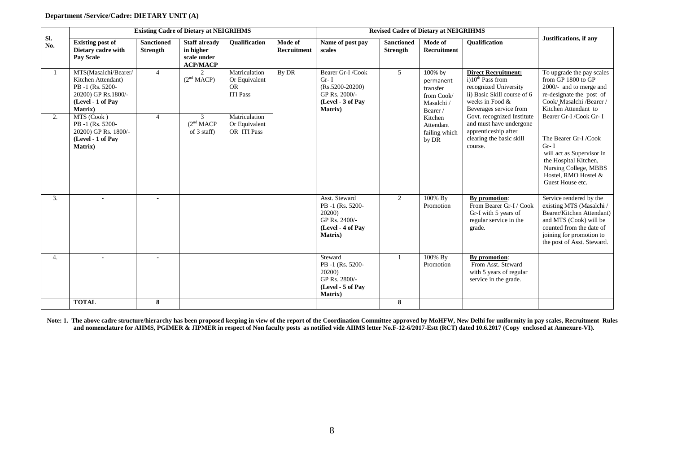### **Department /Service/Cadre: DIETARY UNIT (A)**

|     | <b>Existing Cadre of Dietary at NEIGRIHMS</b><br>Sl.                                                                 |                               |                                                                     |                                                                |                        |                                                                                                          |                                      | <b>Revised Cadre of Dietary at NEIGRIHMS</b>                             |                                                                                                                                                         |                                                                                                                                                                                                  |  |  |
|-----|----------------------------------------------------------------------------------------------------------------------|-------------------------------|---------------------------------------------------------------------|----------------------------------------------------------------|------------------------|----------------------------------------------------------------------------------------------------------|--------------------------------------|--------------------------------------------------------------------------|---------------------------------------------------------------------------------------------------------------------------------------------------------|--------------------------------------------------------------------------------------------------------------------------------------------------------------------------------------------------|--|--|
| No. | <b>Existing post of</b><br>Dietary cadre with<br><b>Pay Scale</b>                                                    | <b>Sanctioned</b><br>Strength | <b>Staff already</b><br>in higher<br>scale under<br><b>ACP/MACP</b> | <b>Oualification</b>                                           | Mode of<br>Recruitment | Name of post pay<br>scales                                                                               | <b>Sanctioned</b><br><b>Strength</b> | Mode of<br>Recruitment                                                   | <b>Oualification</b>                                                                                                                                    | Justifications, if any                                                                                                                                                                           |  |  |
| -1  | MTS(Masalchi/Bearer/<br>Kitchen Attendant)<br>PB-1 (Rs. 5200-<br>20200) GP Rs.1800/-<br>(Level - 1 of Pay<br>Matrix) | $\overline{4}$                | $\overline{2}$<br>(2 <sup>nd</sup> MACP)                            | Matriculation<br>Or Equivalent<br><b>OR</b><br><b>ITI Pass</b> | By DR                  | Bearer Gr-I/Cook<br>$Gr-I$<br>$(Rs.5200-20200)$<br>GP Rs. 2000/-<br>(Level - 3 of Pay<br><b>Matrix</b> ) | 5                                    | 100% by<br>permanent<br>transfer<br>from Cook/<br>Masalchi /<br>Bearer / | <b>Direct Recruitment:</b><br>$i10^{th}$ Pass from<br>recognized University<br>ii) Basic Skill course of 6<br>weeks in Food &<br>Beverages service from | To upgrade the pay scales<br>from GP 1800 to GP<br>2000/- and to merge and<br>re-designate the post of<br>Cook/Masalchi /Bearer /<br>Kitchen Attendant to                                        |  |  |
| 2.  | MTS (Cook)<br>PB-1 (Rs. 5200-<br>20200) GP Rs. 1800/-<br>(Level - 1 of Pay<br>Matrix)                                | $\overline{4}$                | 3<br>(2 <sup>nd</sup> MACP)<br>of 3 staff)                          | Matriculation<br>Or Equivalent<br>OR ITI Pass                  |                        |                                                                                                          |                                      | Kitchen<br>Attendant<br>failing which<br>by DR                           | Govt. recognized Institute<br>and must have undergone<br>apprenticeship after<br>clearing the basic skill<br>course.                                    | Bearer Gr-I /Cook Gr- I<br>The Bearer Gr-I/Cook<br>$Gr-I$<br>will act as Supervisor in<br>the Hospital Kitchen,<br>Nursing College, MBBS<br>Hostel, RMO Hostel &<br>Guest House etc.             |  |  |
| 3.  |                                                                                                                      |                               |                                                                     |                                                                |                        | Asst. Steward<br>PB-1 (Rs. 5200-<br>20200)<br>GP Rs. 2400/-<br>(Level - 4 of Pay<br><b>Matrix</b> )      | $\overline{2}$                       | 100% By<br>Promotion                                                     | By promotion:<br>From Bearer Gr-I / Cook<br>Gr-I with 5 years of<br>regular service in the<br>grade.                                                    | Service rendered by the<br>existing MTS (Masalchi /<br>Bearer/Kitchen Attendant)<br>and MTS (Cook) will be<br>counted from the date of<br>joining for promotion to<br>the post of Asst. Steward. |  |  |
| 4.  |                                                                                                                      |                               |                                                                     |                                                                |                        | Steward<br>PB-1 (Rs. 5200-<br>20200)<br>GP Rs. 2800/-<br>(Level - 5 of Pav<br>Matrix)                    |                                      | 100% By<br>Promotion                                                     | By promotion:<br>From Asst. Steward<br>with 5 years of regular<br>service in the grade.                                                                 |                                                                                                                                                                                                  |  |  |
|     | <b>TOTAL</b>                                                                                                         | 8                             |                                                                     |                                                                |                        |                                                                                                          | 8                                    |                                                                          |                                                                                                                                                         |                                                                                                                                                                                                  |  |  |

**Note: 1. The above cadre structure/hierarchy has been proposed keeping in view of the report of the Coordination Committee approved by MoHFW, New Delhi for uniformity in pay scales, Recruitment Rules and nomenclature for AIIMS, PGIMER & JIPMER in respect of Non faculty posts as notified vide AIIMS letter No.F-12-6/2017-Estt (RCT) dated 10.6.2017 (Copy enclosed at Annexure-VI).**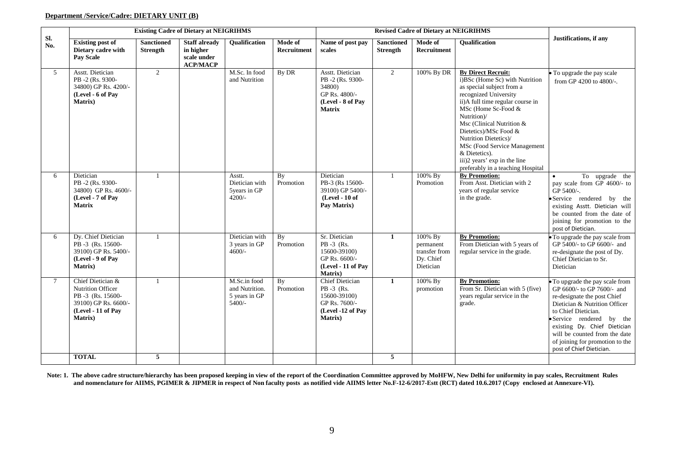# **Department /Service/Cadre: DIETARY UNIT (B)**

|            |                                                                                                                                     |                                      | <b>Existing Cadre of Dietary at NEIGRIHMS</b>                       |                                                           |                        |                                                                                                          |                                      | <b>Revised Cadre of Dietary at NEIGRIHMS</b>                    |                                                                                                                                                                                                                                                                                                                                                                                                  |                                                                                                                                                                                                                                                                                                               |
|------------|-------------------------------------------------------------------------------------------------------------------------------------|--------------------------------------|---------------------------------------------------------------------|-----------------------------------------------------------|------------------------|----------------------------------------------------------------------------------------------------------|--------------------------------------|-----------------------------------------------------------------|--------------------------------------------------------------------------------------------------------------------------------------------------------------------------------------------------------------------------------------------------------------------------------------------------------------------------------------------------------------------------------------------------|---------------------------------------------------------------------------------------------------------------------------------------------------------------------------------------------------------------------------------------------------------------------------------------------------------------|
| Sl.<br>No. | <b>Existing post of</b><br>Dietary cadre with<br><b>Pay Scale</b>                                                                   | <b>Sanctioned</b><br><b>Strength</b> | <b>Staff already</b><br>in higher<br>scale under<br><b>ACP/MACP</b> | <b>Oualification</b>                                      | Mode of<br>Recruitment | Name of post pay<br>scales                                                                               | <b>Sanctioned</b><br><b>Strength</b> | Mode of<br>Recruitment                                          | <b>Oualification</b>                                                                                                                                                                                                                                                                                                                                                                             | Justifications, if any                                                                                                                                                                                                                                                                                        |
| 5          | Asstt. Dietician<br>PB-2 (Rs. 9300-<br>34800) GP Rs. 4200/-<br>(Level - 6 of Pay<br>Matrix)                                         | $\overline{2}$                       |                                                                     | M.Sc. In food<br>and Nutrition                            | By DR                  | Asstt. Dietician<br>PB-2 (Rs. 9300-<br>34800)<br>GP Rs. 4800/-<br>(Level - 8 of Pay<br><b>Matrix</b>     | $\overline{2}$                       | 100% By DR                                                      | <b>By Direct Recruit:</b><br>i)BSc (Home Sc) with Nutrition<br>as special subject from a<br>recognized University<br>ii)A full time regular course in<br>MSc (Home Sc-Food &<br>Nutrition)/<br>Msc (Clinical Nutrition &<br>Dietetics)/MSc Food &<br>Nutrition Dietetics)/<br>MSc (Food Service Management<br>& Dietetics).<br>iii)2 years' exp in the line<br>preferably in a teaching Hospital | • To upgrade the pay scale<br>from GP 4200 to 4800/-.                                                                                                                                                                                                                                                         |
| 6          | Dietician<br>PB-2 (Rs. 9300-<br>34800) GP Rs. 4600/-<br>(Level - 7 of Pay<br><b>Matrix</b>                                          | -1                                   |                                                                     | Asstt.<br>Dietician with<br>5years in GP<br>$4200/-$      | By<br>Promotion        | Dietician<br>PB-3 (Rs 15600-<br>39100) GP 5400/-<br>(Level - 10 of<br>Pay Matrix)                        | -1                                   | 100% By<br>Promotion                                            | <b>By Promotion:</b><br>From Asst. Dietician with 2<br>years of regular service<br>in the grade.                                                                                                                                                                                                                                                                                                 | To upgrade the<br>pay scale from GP 4600/- to<br>GP 5400/-.<br>Service rendered by the<br>existing Asstt. Dietician will<br>be counted from the date of<br>joining for promotion to the<br>post of Dietician.                                                                                                 |
| 6          | Dy. Chief Dietician<br>PB-3 (Rs. 15600-<br>39100) GP Rs. 5400/-<br>(Level - 9 of Pay<br><b>Matrix</b> )                             |                                      |                                                                     | Dietician with<br>3 years in GP<br>$4600/-$               | <b>By</b><br>Promotion | Sr. Dietician<br>PB -3 (Rs.<br>15600-39100)<br>GP Rs. 6600/-<br>(Level - 11 of Pay<br><b>Matrix</b> )    | $\mathbf{1}$                         | 100% By<br>permanent<br>transfer from<br>Dy. Chief<br>Dietician | <b>By Promotion:</b><br>From Dietician with 5 years of<br>regular service in the grade.                                                                                                                                                                                                                                                                                                          | To upgrade the pay scale from<br>GP 5400/- to GP 6600/- and<br>re-designate the post of Dy.<br>Chief Dietician to Sr.<br>Dietician                                                                                                                                                                            |
| $\tau$     | Chief Dietician &<br><b>Nutrition Officer</b><br>PB -3 (Rs. 15600-<br>39100) GP Rs. 6600/-<br>(Level - 11 of Pay<br><b>Matrix</b> ) |                                      |                                                                     | M.Sc.in food<br>and Nutrition.<br>5 years in GP<br>5400/- | By<br>Promotion        | Chief Dietician<br>$PB -3$ (Rs.<br>15600-39100)<br>GP Rs. 7600/-<br>(Level -12 of Pay<br><b>Matrix</b> ) | $\mathbf{1}$                         | 100% By<br>promotion                                            | <b>By Promotion:</b><br>From Sr. Dietician with 5 (five)<br>years regular service in the<br>grade.                                                                                                                                                                                                                                                                                               | To upgrade the pay scale from<br>GP 6600/- to GP 7600/- and<br>re-designate the post Chief<br>Dietician & Nutrition Officer<br>to Chief Dietician.<br>Service rendered by the<br>existing Dy. Chief Dietician<br>will be counted from the date<br>of joining for promotion to the<br>post of Chief Dietician. |
|            | <b>TOTAL</b>                                                                                                                        | 5                                    |                                                                     |                                                           |                        |                                                                                                          | 5                                    |                                                                 |                                                                                                                                                                                                                                                                                                                                                                                                  |                                                                                                                                                                                                                                                                                                               |

**Note: 1. The above cadre structure/hierarchy has been proposed keeping in view of the report of the Coordination Committee approved by MoHFW, New Delhi for uniformity in pay scales, Recruitment Rules**  and nomenclature for AIIMS, PGIMER & JIPMER in respect of Non faculty posts as notified vide AIIMS letter No.F-12-6/2017-Estt (RCT) dated 10.6.2017 (Copy enclosed at Annexure-VI).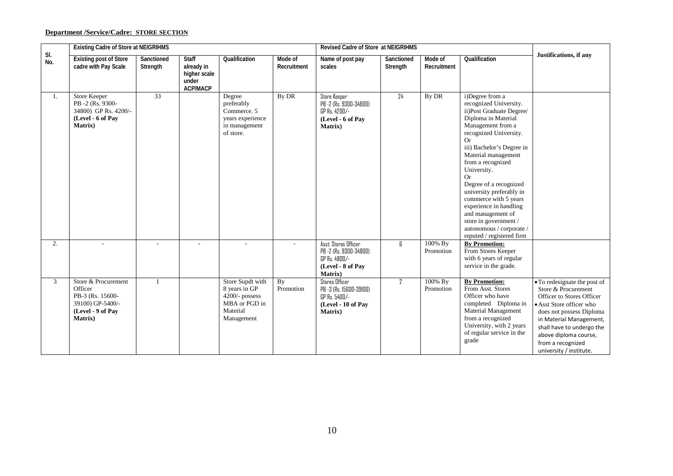# **Department /Service/Cadre: STORE SECTION**

|                | <b>Existing Cadre of Store at NEIGRIHMS</b>                                                                    |                        |                                                                        |                                                                                                |                        | Revised Cadre of Store at NEIGRIHMS                                                                     |                        |                        |                                                                                                                                                                                                                                                                                                                                                                                                                                                                        |                                                                                                                                                                                                                                                                           |
|----------------|----------------------------------------------------------------------------------------------------------------|------------------------|------------------------------------------------------------------------|------------------------------------------------------------------------------------------------|------------------------|---------------------------------------------------------------------------------------------------------|------------------------|------------------------|------------------------------------------------------------------------------------------------------------------------------------------------------------------------------------------------------------------------------------------------------------------------------------------------------------------------------------------------------------------------------------------------------------------------------------------------------------------------|---------------------------------------------------------------------------------------------------------------------------------------------------------------------------------------------------------------------------------------------------------------------------|
| SI.<br>No.     | <b>Existing post of Store</b><br>cadre with Pay Scale                                                          | Sanctioned<br>Strength | <b>Staff</b><br>already in<br>higher scale<br>under<br><b>ACP/MACP</b> | Qualification                                                                                  | Mode of<br>Recruitment | Name of post pay<br>scales                                                                              | Sanctioned<br>Strength | Mode of<br>Recruitment | Qualification                                                                                                                                                                                                                                                                                                                                                                                                                                                          | Justifications, if any                                                                                                                                                                                                                                                    |
| 1.             | Store Keeper<br>PB-2 (Rs. 9300-<br>34800) GP Rs. 4200/-<br>(Level - 6 of Pay<br><b>Matrix</b> )                | $\overline{33}$        |                                                                        | Degree<br>preferably<br>Commerce. 5<br>vears experience<br>in management<br>of store.          | By DR                  | Store Keeper<br>PB -2 (Rs. 9300-34800)<br>GP Rs. 4200/-<br>(Level - 6 of Pay<br><b>Matrix</b> )         | 24                     | By DR                  | i)Degree from a<br>recognized University.<br>ii)Post Graduate Degree/<br>Diploma in Material<br>Management from a<br>recognized University.<br>Or<br>iii) Bachelor's Degree in<br>Material management<br>from a recognized<br>University.<br><b>Or</b><br>Degree of a recognized<br>university preferably in<br>commerce with 5 years<br>experience in handling<br>and management of<br>store in government /<br>autonomous / corporate /<br>reputed / registered firm |                                                                                                                                                                                                                                                                           |
| 2.             |                                                                                                                |                        |                                                                        |                                                                                                | ٠                      | Asst. Stores Officer<br>PB -2 (Rs. 9300-34800)<br>GP Rs. 4800/-<br>(Level - 8 of Pay<br><b>Matrix</b> ) | 6                      | 100% By<br>Promotion   | <b>By Promotion:</b><br>From Stores Keeper<br>with 6 years of regular<br>service in the grade.                                                                                                                                                                                                                                                                                                                                                                         |                                                                                                                                                                                                                                                                           |
| $\mathfrak{Z}$ | Store & Procurement<br>Officer<br>PB-3 (Rs. 15600-<br>39100) GP-5400/-<br>(Level - 9 of Pay<br><b>Matrix</b> ) | $\mathbf{1}$           |                                                                        | Store Supdt with<br>8 years in GP<br>4200/- possess<br>MBA or PGD in<br>Material<br>Management | By<br>Promotion        | Stores Officer<br>PB -3 (Rs. 15600-39100)<br>GP Rs. 5400/-<br>(Level - 10 of Pay<br>Matrix)             | $\mathbf{Z}$           | 100% By<br>Promotion   | <b>By Promotion:</b><br>From Asst. Stores<br>Officer who have<br>completed Diploma in<br>Material Management<br>from a recognized<br>University, with 2 years<br>of regular service in the<br>grade                                                                                                                                                                                                                                                                    | • To redesignate the post of<br>Store & Procurement<br>Officer to Stores Officer<br>• Asst Store officer who<br>does not possess Diploma<br>in Material Management,<br>shall have to undergo the<br>above diploma course,<br>from a recognized<br>university / institute. |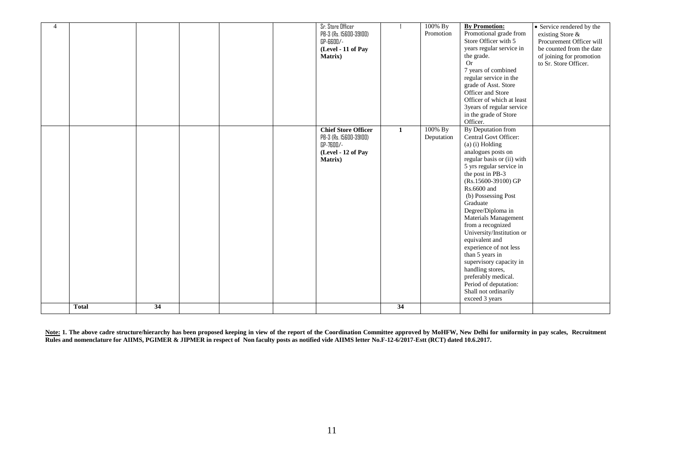| $\overline{4}$ |              |    |  | Sr. Store Officer<br>PB-3 (Rs. 15600-39100)<br>GP-6600/-<br>(Level - 11 of Pay<br>Matrix)                  |                    | $100\%$ By<br>Promotion | <b>By Promotion:</b><br>Promotional grade from<br>Store Officer with 5<br>years regular service in<br>the grade.<br><b>Or</b><br>7 years of combined<br>regular service in the<br>grade of Asst. Store<br>Officer and Store<br>Officer of which at least<br>3years of regular service<br>in the grade of Store<br>Officer.                                                                                                                                                                                                                         | • Service rendered by the<br>existing Store &<br>Procurement Officer will<br>be counted from the date<br>of joining for promotion<br>to Sr. Store Officer. |
|----------------|--------------|----|--|------------------------------------------------------------------------------------------------------------|--------------------|-------------------------|----------------------------------------------------------------------------------------------------------------------------------------------------------------------------------------------------------------------------------------------------------------------------------------------------------------------------------------------------------------------------------------------------------------------------------------------------------------------------------------------------------------------------------------------------|------------------------------------------------------------------------------------------------------------------------------------------------------------|
|                | <b>Total</b> | 34 |  | <b>Chief Store Officer</b><br>PB-3 (Rs. 15600-39100)<br>GP-7600/-<br>(Level - 12 of Pay<br><b>Matrix</b> ) | $\mathbf{1}$<br>34 | 100% By<br>Deputation   | By Deputation from<br>Central Govt Officer:<br>(a) (i) Holding<br>analogues posts on<br>regular basis or (ii) with<br>5 yrs regular service in<br>the post in PB-3<br>(Rs.15600-39100) GP<br>Rs.6600 and<br>(b) Possessing Post<br>Graduate<br>Degree/Diploma in<br>Materials Management<br>from a recognized<br>University/Institution or<br>equivalent and<br>experience of not less<br>than 5 years in<br>supervisory capacity in<br>handling stores,<br>preferably medical.<br>Period of deputation:<br>Shall not ordinarily<br>exceed 3 years |                                                                                                                                                            |
|                |              |    |  |                                                                                                            |                    |                         |                                                                                                                                                                                                                                                                                                                                                                                                                                                                                                                                                    |                                                                                                                                                            |

**Note: 1. The above cadre structure/hierarchy has been proposed keeping in view of the report of the Coordination Committee approved by MoHFW, New Delhi for uniformity in pay scales, Recruitment Rules and nomenclature for AIIMS, PGIMER & JIPMER in respect of Non faculty posts as notified vide AIIMS letter No.F-12-6/2017-Estt (RCT) dated 10.6.2017.**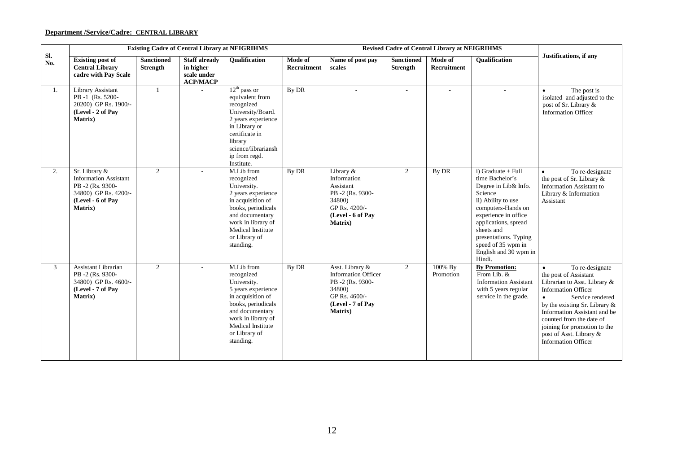# **Department /Service/Cadre: CENTRAL LIBRARY**

|            | <b>Existing Cadre of Central Library at NEIGRIHMS</b><br><b>Revised Cadre of Central Library at NEIGRIHMS</b>                    |                               |                                                                          |                                                                                                                                                                                                             |                        |                                                                                                                             |                                      |                               |                                                                                                                                                                                                                                                                        |                                                                                                                                                                                                                                                                                                                                  |
|------------|----------------------------------------------------------------------------------------------------------------------------------|-------------------------------|--------------------------------------------------------------------------|-------------------------------------------------------------------------------------------------------------------------------------------------------------------------------------------------------------|------------------------|-----------------------------------------------------------------------------------------------------------------------------|--------------------------------------|-------------------------------|------------------------------------------------------------------------------------------------------------------------------------------------------------------------------------------------------------------------------------------------------------------------|----------------------------------------------------------------------------------------------------------------------------------------------------------------------------------------------------------------------------------------------------------------------------------------------------------------------------------|
| Sl.<br>No. | <b>Existing post of</b><br><b>Central Library</b><br>cadre with Pay Scale                                                        | <b>Sanctioned</b><br>Strength | <b>Staff already</b><br>in higher<br>scale under<br>$\bf{AC}P/M\bf{AC}P$ | Qualification                                                                                                                                                                                               | Mode of<br>Recruitment | Name of post pay<br>scales                                                                                                  | <b>Sanctioned</b><br><b>Strength</b> | Mode of<br><b>Recruitment</b> | Qualification                                                                                                                                                                                                                                                          | Justifications, if any                                                                                                                                                                                                                                                                                                           |
| 1.         | Library Assistant<br>PB-1 (Rs. 5200-<br>20200) GP Rs. 1900/-<br>(Level - 2 of Pay<br>Matrix)                                     | $\mathbf{1}$                  |                                                                          | $12th$ pass or<br>equivalent from<br>recognized<br>University/Board.<br>2 years experience<br>in Library or<br>certificate in<br>library<br>science/librariansh<br>ip from regd.<br>Institute.              | By DR                  |                                                                                                                             | $\overline{a}$                       |                               |                                                                                                                                                                                                                                                                        | The post is<br>isolated and adjusted to the<br>post of Sr. Library &<br><b>Information Officer</b>                                                                                                                                                                                                                               |
| 2.         | Sr. Library &<br><b>Information Assistant</b><br>PB-2 (Rs. 9300-<br>34800) GP Rs. 4200/-<br>(Level - 6 of Pay<br><b>Matrix</b> ) | 2                             |                                                                          | M.Lib from<br>recognized<br>University.<br>2 years experience<br>in acquisition of<br>books, periodicals<br>and documentary<br>work in library of<br><b>Medical Institute</b><br>or Library of<br>standing. | By DR                  | Library &<br>Information<br>Assistant<br>PB-2 (Rs. 9300-<br>34800)<br>GP Rs. 4200/-<br>(Level - 6 of Pay<br>Matrix)         | 2                                    | By DR                         | $i)$ Graduate + Full<br>time Bachelor's<br>Degree in Lib& Info.<br>Science<br>ii) Ability to use<br>computers-Hands on<br>experience in office<br>applications, spread<br>sheets and<br>presentations. Typing<br>speed of 35 wpm in<br>English and 30 wpm in<br>Hindi. | To re-designate<br>$\bullet$<br>the post of Sr. Library &<br>Information Assistant to<br>Library $\&$ Information<br>Assistant                                                                                                                                                                                                   |
| 3          | <b>Assistant Librarian</b><br>PB-2 (Rs. 9300-<br>34800) GP Rs. 4600/-<br>(Level - 7 of Pay<br><b>Matrix</b> )                    | $\overline{2}$                |                                                                          | M.Lib from<br>recognized<br>University.<br>5 years experience<br>in acquisition of<br>books, periodicals<br>and documentary<br>work in library of<br>Medical Institute<br>or Library of<br>standing.        | By DR                  | Asst. Library &<br><b>Information Officer</b><br>PB-2 (Rs. 9300-<br>34800)<br>GP Rs. 4600/-<br>(Level - 7 of Pay<br>Matrix) | 2                                    | 100% By<br>Promotion          | <b>By Promotion:</b><br>From Lib. &<br><b>Information Assistant</b><br>with 5 years regular<br>service in the grade.                                                                                                                                                   | To re-designate<br>the post of Assistant<br>Librarian to Asst. Library &<br><b>Information Officer</b><br>Service rendered<br>$\bullet$<br>by the existing Sr. Library $\&$<br>Information Assistant and be<br>counted from the date of<br>joining for promotion to the<br>post of Asst. Library &<br><b>Information Officer</b> |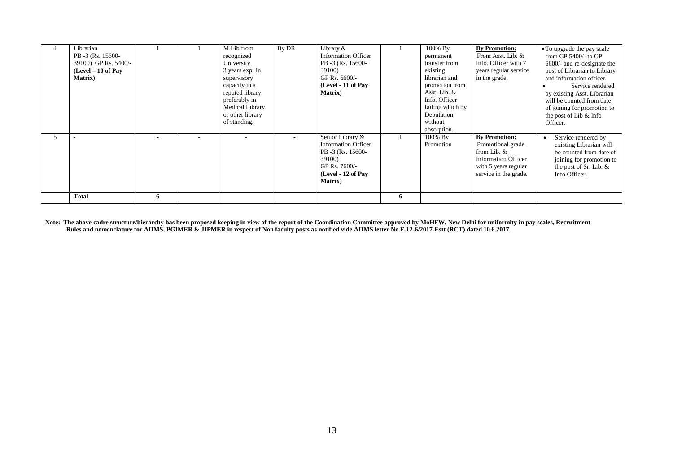| Librarian<br>PB -3 (Rs. 15600-<br>39100) GP Rs. 5400/-<br>$(Level - 10 of Pay)$<br><b>Matrix</b> ) |   | M.Lib from<br>recognized<br>University.<br>3 years exp. In<br>supervisory<br>capacity in a<br>reputed library<br>preferably in<br>Medical Library<br>or other library<br>of standing. | By DR | Library &<br><b>Information Officer</b><br>PB -3 (Rs. 15600-<br>39100)<br>GP Rs. 6600/-<br>(Level - 11 of Pay<br><b>Matrix</b> )        |   | 100% By<br>permanent<br>transfer from<br>existing<br>librarian and<br>promotion from<br>Asst. Lib. &<br>Info. Officer<br>failing which by<br>Deputation<br>without<br>absorption. | <b>By Promotion:</b><br>From Asst. Lib. &<br>Info. Officer with 7<br>years regular service<br>in the grade.                             | • To upgrade the pay scale<br>from GP $5400/-$ to GP<br>6600/- and re-designate the<br>post of Librarian to Library<br>and information officer.<br>Service rendered<br>by existing Asst. Librarian<br>will be counted from date<br>of joining for promotion to<br>the post of Lib & Info<br>Officer. |
|----------------------------------------------------------------------------------------------------|---|---------------------------------------------------------------------------------------------------------------------------------------------------------------------------------------|-------|-----------------------------------------------------------------------------------------------------------------------------------------|---|-----------------------------------------------------------------------------------------------------------------------------------------------------------------------------------|-----------------------------------------------------------------------------------------------------------------------------------------|------------------------------------------------------------------------------------------------------------------------------------------------------------------------------------------------------------------------------------------------------------------------------------------------------|
|                                                                                                    |   |                                                                                                                                                                                       |       | Senior Library &<br><b>Information Officer</b><br>PB -3 (Rs. 15600-<br>39100)<br>GP Rs. 7600/-<br>(Level - 12 of Pay<br><b>Matrix</b> ) |   | 100% By<br>Promotion                                                                                                                                                              | <b>By Promotion:</b><br>Promotional grade<br>from Lib. &<br><b>Information Officer</b><br>with 5 years regular<br>service in the grade. | Service rendered by<br>existing Librarian will<br>be counted from date of<br>joining for promotion to<br>the post of Sr. Lib. $&$<br>Info Officer.                                                                                                                                                   |
| <b>Total</b>                                                                                       | 6 |                                                                                                                                                                                       |       |                                                                                                                                         | 6 |                                                                                                                                                                                   |                                                                                                                                         |                                                                                                                                                                                                                                                                                                      |

Note: The above cadre structure/hierarchy has been proposed keeping in view of the report of the Coordination Committee approved by MoHFW, New Delhi for uniformity in pay scales, Recruitment  **Rules and nomenclature for AIIMS, PGIMER & JIPMER in respect of Non faculty posts as notified vide AIIMS letter No.F-12-6/2017-Estt (RCT) dated 10.6.2017.**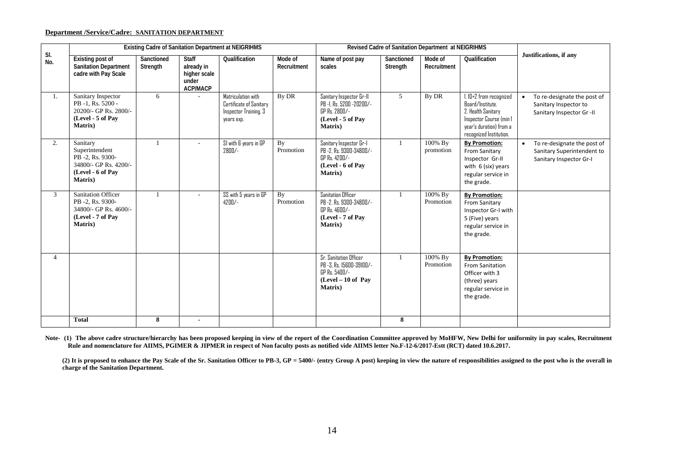### **Department /Service/Cadre: SANITATION DEPARTMENT**

|                |                                                                                                                 |                        |                                                                        | <b>Existing Cadre of Sanitation Department at NEIGRIHMS</b>                          |                        |                                                                                                               | Revised Cadre of Sanitation Department at NEIGRIHMS |                        |                                                                                                                                                       |                                                                                                   |
|----------------|-----------------------------------------------------------------------------------------------------------------|------------------------|------------------------------------------------------------------------|--------------------------------------------------------------------------------------|------------------------|---------------------------------------------------------------------------------------------------------------|-----------------------------------------------------|------------------------|-------------------------------------------------------------------------------------------------------------------------------------------------------|---------------------------------------------------------------------------------------------------|
| SI.<br>No.     | <b>Existing post of</b><br><b>Sanitation Department</b><br>cadre with Pay Scale                                 | Sanctioned<br>Strength | <b>Staff</b><br>already in<br>higher scale<br>under<br><b>ACP/MACP</b> | Qualification                                                                        | Mode of<br>Recruitment | Name of post pay<br>scales                                                                                    | Sanctioned<br>Strength                              | Mode of<br>Recruitment | Qualification                                                                                                                                         | Justifications, if any                                                                            |
| 1.             | Sanitary Inspector<br>PB-1, Rs. 5200 -<br>20200/- GP Rs. 2800/-<br>(Level - 5 of Pay<br>Matrix)                 | 6                      |                                                                        | Matriculation with<br>Certificate of Sanitary<br>Inspector Training. 3<br>years exp. | By DR                  | Sanitary Inspector Gr-II<br>PB -1. Rs. 5200 -20200/-<br>GP Rs. 2800/-<br>(Level - 5 of Pay<br><b>Matrix</b> ) | 5                                                   | By DR                  | $1.10 + 2$ from recognized<br>Board/Institute.<br>2. Health Sanitary<br>Inspector Course (min 1<br>year's duration) from a<br>recognized Institution. | To re-designate the post of<br>$\bullet$<br>Sanitary Inspector to<br>Sanitary Inspector Gr -II    |
| 2.             | Sanitary<br>Superintendent<br>PB -2, Rs. 9300-<br>34800/- GP Rs. 4200/-<br>(Level - 6 of Pay<br><b>Matrix</b> ) |                        |                                                                        | SI with 6 years in GP<br>2800/-                                                      | By<br>Promotion        | Sanitary Inspector Gr-I<br>PB -2. Rs. 9300-34800/-<br>GP Rs. 4200/-<br>(Level - 6 of Pay<br>Matrix)           | $\mathbf{1}$                                        | 100% By<br>promotion   | <b>By Promotion:</b><br>From Sanitary<br>Inspector Gr-II<br>with $6$ (six) years<br>regular service in<br>the grade.                                  | To re-designate the post of<br>$\bullet$<br>Sanitary Superintendent to<br>Sanitary Inspector Gr-I |
| 3              | <b>Sanitation Officer</b><br>PB -2, Rs. 9300-<br>34800/- GP Rs. 4600/-<br>(Level - 7 of Pay<br><b>Matrix</b> )  | $\mathbf{1}$           |                                                                        | SS with 5 years in GP<br>$4200/-$                                                    | By<br>Promotion        | <b>Sanitation Officer</b><br>PB -2. Rs. 9300-34800/-<br>GP Rs. 4600/-<br>(Level - 7 of Pay<br><b>Matrix</b> ) | $\mathbf{1}$                                        | 100% By<br>Promotion   | <b>By Promotion:</b><br>From Sanitary<br>Inspector Gr-I with<br>5 (Five) years<br>regular service in<br>the grade.                                    |                                                                                                   |
| $\overline{4}$ |                                                                                                                 |                        |                                                                        |                                                                                      |                        | Sr. Sanitation Officer<br>PB -3, Rs. 15600-39100/-<br>GP Rs. 5400/-<br>$(Level - 10 of Pav)$<br>Matrix)       | 1                                                   | 100% By<br>Promotion   | <b>By Promotion:</b><br><b>From Sanitation</b><br>Officer with 3<br>(three) years<br>regular service in<br>the grade.                                 |                                                                                                   |
|                | <b>Total</b>                                                                                                    | 8                      | $\blacksquare$                                                         |                                                                                      |                        |                                                                                                               | 8                                                   |                        |                                                                                                                                                       |                                                                                                   |

Note- (1) The above cadre structure/hierarchy has been proposed keeping in view of the report of the Coordination Committee approved by MoHFW, New Delhi for uniformity in pay scales, Recruitment **Rule and nomenclature for AIIMS, PGIMER & JIPMER in respect of Non faculty posts as notified vide AIIMS letter No.F-12-6/2017-Estt (RCT) dated 10.6.2017.**

**(2) It is proposed to enhance the Pay Scale of the Sr. Sanitation Officer to PB-3, GP = 5400/- (entry Group A post) keeping in view the nature of responsibilities assigned to the post who is the overall in charge of the Sanitation Department.**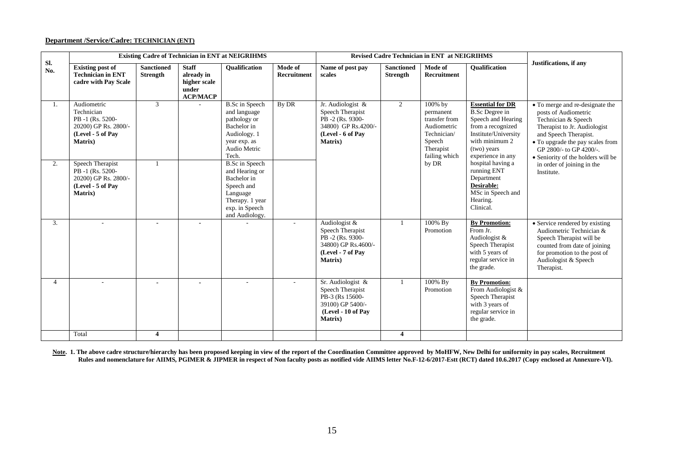#### **Department /Service/Cadre: TECHNICIAN (ENT)**

|                | <b>Existing Cadre of Technician in ENT at NEIGRIHMS</b><br><b>Revised Cadre Technician in ENT at NEIGRIHMS</b><br><b>Staff</b><br>Mode of<br><b>Sanctioned</b><br><b>Sanctioned</b><br><b>Oualification</b><br>Mode of<br><b>Oualification</b> |                 |                                                        |                                                                                                                                         |                          |                                                                                                                         |                 |                                                                                                             |                                                                                                                                                                           |                                                                                                                                                                                                                                              |
|----------------|------------------------------------------------------------------------------------------------------------------------------------------------------------------------------------------------------------------------------------------------|-----------------|--------------------------------------------------------|-----------------------------------------------------------------------------------------------------------------------------------------|--------------------------|-------------------------------------------------------------------------------------------------------------------------|-----------------|-------------------------------------------------------------------------------------------------------------|---------------------------------------------------------------------------------------------------------------------------------------------------------------------------|----------------------------------------------------------------------------------------------------------------------------------------------------------------------------------------------------------------------------------------------|
| Sl.<br>No.     | <b>Existing post of</b><br><b>Technician in ENT</b><br>cadre with Pay Scale                                                                                                                                                                    | <b>Strength</b> | already in<br>higher scale<br>under<br><b>ACP/MACP</b> |                                                                                                                                         | Recruitment              | Name of post pay<br>scales                                                                                              | <b>Strength</b> | Recruitment                                                                                                 |                                                                                                                                                                           | Justifications, if any                                                                                                                                                                                                                       |
| 1.             | Audiometric<br>Technician<br>PB-1 (Rs. 5200-<br>20200) GP Rs. 2800/-<br>(Level - 5 of Pay<br><b>Matrix</b> )                                                                                                                                   | 3               |                                                        | <b>B.Sc</b> in Speech<br>and language<br>pathology or<br>Bachelor in<br>Audiology. 1<br>year exp. as<br>Audio Metric<br>Tech.           | By DR                    | Jr. Audiologist &<br>Speech Therapist<br>PB-2 (Rs. 9300-<br>34800) GP Rs.4200/-<br>(Level - 6 of Pay<br><b>Matrix</b> ) | $\overline{2}$  | 100% by<br>permanent<br>transfer from<br>Audiometric<br>Technician/<br>Speech<br>Therapist<br>failing which | <b>Essential for DR</b><br><b>B.Sc Degree in</b><br>Speech and Hearing<br>from a recognized<br>Institute/University<br>with minimum 2<br>(two) years<br>experience in any | • To merge and re-designate the<br>posts of Audiometric<br>Technician & Speech<br>Therapist to Jr. Audiologist<br>and Speech Therapist.<br>• To upgrade the pay scales from<br>GP 2800/- to GP 4200/-.<br>• Seniority of the holders will be |
| 2.             | Speech Therapist<br>PB-1 (Rs. 5200-<br>20200) GP Rs. 2800/-<br>(Level - 5 of Pay<br><b>Matrix</b> )                                                                                                                                            |                 |                                                        | <b>B.Sc</b> in Speech<br>and Hearing or<br>Bachelor in<br>Speech and<br>Language<br>Therapy. 1 year<br>exp. in Speech<br>and Audiology. |                          |                                                                                                                         |                 | by DR                                                                                                       | hospital having a<br>running ENT<br>Department<br>Desirable:<br>MSc in Speech and<br>Hearing.<br>Clinical.                                                                | in order of joining in the<br>Institute.                                                                                                                                                                                                     |
| 3.             |                                                                                                                                                                                                                                                |                 | $\blacksquare$                                         |                                                                                                                                         | $\overline{\phantom{a}}$ | Audiologist &<br>Speech Therapist<br>PB-2 (Rs. 9300-<br>34800) GP Rs.4600/-<br>(Level - 7 of Pav<br><b>Matrix</b> )     | $\mathbf{1}$    | 100% By<br>Promotion                                                                                        | <b>By Promotion:</b><br>From Jr.<br>Audiologist &<br>Speech Therapist<br>with 5 years of<br>regular service in<br>the grade.                                              | • Service rendered by existing<br>Audiometric Technician &<br>Speech Therapist will be<br>counted from date of joining<br>for promotion to the post of<br>Audiologist & Speech<br>Therapist.                                                 |
| $\overline{4}$ |                                                                                                                                                                                                                                                |                 |                                                        |                                                                                                                                         |                          | Sr. Audiologist &<br>Speech Therapist<br>PB-3 (Rs 15600-<br>39100) GP 5400/-<br>(Level - 10 of Pav<br>Matrix)           | $\mathbf{1}$    | 100% By<br>Promotion                                                                                        | <b>By Promotion:</b><br>From Audiologist &<br>Speech Therapist<br>with 3 years of<br>regular service in<br>the grade.                                                     |                                                                                                                                                                                                                                              |
|                | Total                                                                                                                                                                                                                                          | 4               |                                                        |                                                                                                                                         |                          |                                                                                                                         | 4               |                                                                                                             |                                                                                                                                                                           |                                                                                                                                                                                                                                              |

Note. 1. The above cadre structure/hierarchy has been proposed keeping in view of the report of the Coordination Committee approved by MoHFW, New Delhi for uniformity in pay scales, Recruitment Rules and nomenclature for AIIMS, PGIMER & JIPMER in respect of Non faculty posts as notified vide AIIMS letter No.F-12-6/2017-Estt (RCT) dated 10.6.2017 (Copy enclosed at Annexure-VI).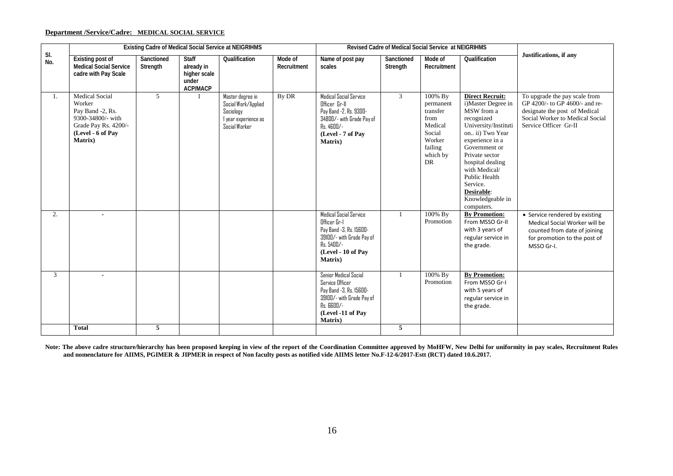### **Department /Service/Cadre: MEDICAL SOCIAL SERVICE**

|            |                                                                                                                                  |                        |                                                                        | Existing Cadre of Medical Social Service at NEIGRIHMS                                         |                        |                                                                                                                                                              | <b>Revised Cadre of Medical Social Service at NEIGRIHMS</b> |                                                                                                             |                                                                                                                                                                                                                                                                                             |                                                                                                                                                              |
|------------|----------------------------------------------------------------------------------------------------------------------------------|------------------------|------------------------------------------------------------------------|-----------------------------------------------------------------------------------------------|------------------------|--------------------------------------------------------------------------------------------------------------------------------------------------------------|-------------------------------------------------------------|-------------------------------------------------------------------------------------------------------------|---------------------------------------------------------------------------------------------------------------------------------------------------------------------------------------------------------------------------------------------------------------------------------------------|--------------------------------------------------------------------------------------------------------------------------------------------------------------|
| SI.<br>No. | Existing post of<br><b>Medical Social Service</b><br>cadre with Pay Scale                                                        | Sanctioned<br>Strength | <b>Staff</b><br>already in<br>higher scale<br>under<br><b>ACP/MACP</b> | Qualification                                                                                 | Mode of<br>Recruitment | Name of post pay<br>scales                                                                                                                                   | Sanctioned<br>Strength                                      | Mode of<br>Recruitment                                                                                      | Qualification                                                                                                                                                                                                                                                                               | Justifications, if any                                                                                                                                       |
| 1.         | <b>Medical Social</b><br>Worker<br>Pay Band -2, Rs.<br>9300-34800/- with<br>Grade Pay Rs. 4200/-<br>(Level - 6 of Pay<br>Matrix) | $\mathfrak{F}$         |                                                                        | Master degree in<br>Social Work/Applied<br>Sociology<br>I year experience as<br>Social Worker | By DR                  | <b>Medical Social Service</b><br>Officer Gr-II<br>Pay Band -2, Rs. 9300-<br>34800/- with Grade Pay of<br>$Rs.4600/-$<br>(Level - 7 of Pav<br><b>Matrix</b> ) | $\mathcal{E}$                                               | 100% By<br>permanent<br>transfer<br>from<br>Medical<br>Social<br>Worker<br>failing<br>which by<br><b>DR</b> | <b>Direct Recruit:</b><br>i)Master Degree in<br>MSW from a<br>recognized<br>University/Instituti<br>on ii) Two Year<br>experience in a<br>Government or<br>Private sector<br>hospital dealing<br>with Medical/<br>Public Health<br>Service.<br>Desirable:<br>Knowledgeable in<br>computers. | To upgrade the pay scale from<br>GP 4200/- to GP 4600/- and re-<br>designate the post of Medical<br>Social Worker to Medical Social<br>Service Officer Gr-II |
| 2.         |                                                                                                                                  |                        |                                                                        |                                                                                               |                        | Medical Social Service<br>Officer Gr-I<br>Pay Band -3, Rs. 15600-<br>39100/- with Grade Pay of<br>Rs. 5400/-<br>(Level - 10 of Pay<br>Matrix)                |                                                             | 100% By<br>Promotion                                                                                        | <b>By Promotion:</b><br>From MSSO Gr-II<br>with 3 years of<br>regular service in<br>the grade.                                                                                                                                                                                              | • Service rendered by existing<br>Medical Social Worker will be<br>counted from date of joining<br>for promotion to the post of<br>MSSO Gr-I.                |
| 3          | $\blacksquare$<br><b>Total</b>                                                                                                   | 5                      |                                                                        |                                                                                               |                        | Senior Medical Social<br><b>Service Officer</b><br>Pay Band -3, Rs. 15600-<br>39100/- with Grade Pay of<br>$Rs.$ $6600/-$<br>(Level -11 of Pay<br>Matrix)    | 5                                                           | 100% By<br>Promotion                                                                                        | <b>By Promotion:</b><br>From MSSO Gr-I<br>with 5 years of<br>regular service in<br>the grade.                                                                                                                                                                                               |                                                                                                                                                              |
|            |                                                                                                                                  |                        |                                                                        |                                                                                               |                        |                                                                                                                                                              |                                                             |                                                                                                             |                                                                                                                                                                                                                                                                                             |                                                                                                                                                              |

**Note: The above cadre structure/hierarchy has been proposed keeping in view of the report of the Coordination Committee approved by MoHFW, New Delhi for uniformity in pay scales, Recruitment Rules and nomenclature for AIIMS, PGIMER & JIPMER in respect of Non faculty posts as notified vide AIIMS letter No.F-12-6/2017-Estt (RCT) dated 10.6.2017.**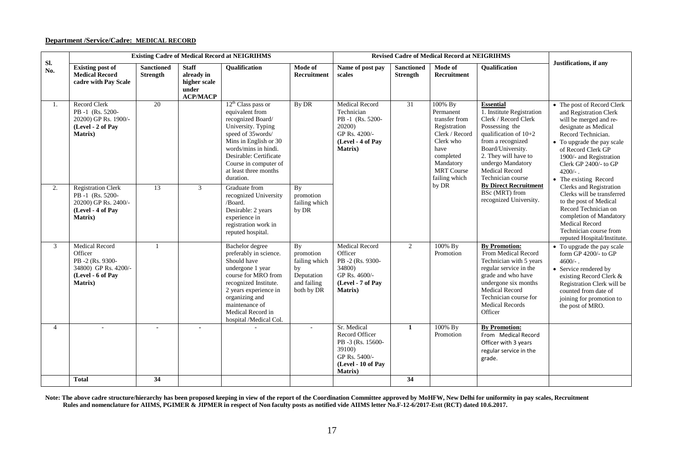#### **Department /Service/Cadre: MEDICAL RECORD**

| <b>Existing Cadre of Medical Record at NEIGRIHMS</b><br><b>Revised Cadre of Medical Record at NEIGRIHMS</b><br>Sl.<br><b>Staff</b><br><b>Existing post of</b><br><b>Sanctioned</b><br><b>Oualification</b><br>Mode of<br>Name of post pay<br>Mode of<br><b>Sanctioned</b> |                                                                                                                     |                 |                                                        |                                                                                                                                                                                                                                                   |                                                                                   |                                                                                                                           |                 |                                                                                                                                                                       |                                                                                                                                                                                                                                                                                         |                                                                                                                                                                                                                                                                             |
|---------------------------------------------------------------------------------------------------------------------------------------------------------------------------------------------------------------------------------------------------------------------------|---------------------------------------------------------------------------------------------------------------------|-----------------|--------------------------------------------------------|---------------------------------------------------------------------------------------------------------------------------------------------------------------------------------------------------------------------------------------------------|-----------------------------------------------------------------------------------|---------------------------------------------------------------------------------------------------------------------------|-----------------|-----------------------------------------------------------------------------------------------------------------------------------------------------------------------|-----------------------------------------------------------------------------------------------------------------------------------------------------------------------------------------------------------------------------------------------------------------------------------------|-----------------------------------------------------------------------------------------------------------------------------------------------------------------------------------------------------------------------------------------------------------------------------|
| No.                                                                                                                                                                                                                                                                       | <b>Medical Record</b><br>cadre with Pay Scale                                                                       | <b>Strength</b> | already in<br>higher scale<br>under<br><b>ACP/MACP</b> |                                                                                                                                                                                                                                                   | <b>Recruitment</b>                                                                | scales                                                                                                                    | <b>Strength</b> | Recruitment                                                                                                                                                           | <b>Oualification</b>                                                                                                                                                                                                                                                                    | Justifications, if any                                                                                                                                                                                                                                                      |
| 1.                                                                                                                                                                                                                                                                        | <b>Record Clerk</b><br>PB-1 (Rs. 5200-<br>20200) GP Rs. 1900/-<br>(Level - 2 of Pay<br>Matrix)                      | 20              |                                                        | $12th$ Class pass or<br>equivalent from<br>recognized Board/<br>University. Typing<br>speed of 35words/<br>Mins in English or 30<br>words/mins in hindi.<br>Desirable: Certificate<br>Course in computer of<br>at least three months<br>duration. | By DR                                                                             | <b>Medical Record</b><br>Technician<br>PB-1 (Rs. 5200-<br>20200)<br>GP Rs. 4200/-<br>(Level - 4 of Pav<br><b>Matrix</b> ) | 31              | 100% By<br>Permanent<br>transfer from<br>Registration<br>Clerk / Record<br>Clerk who<br>have<br>completed<br>Mandatory<br><b>MRT</b> Course<br>failing which<br>by DR | <b>Essential</b><br>1. Institute Registration<br>Clerk / Record Clerk<br>Possessing the<br>qualification of $10+2$<br>from a recognized<br>Board/University.<br>2. They will have to<br>undergo Mandatory<br><b>Medical Record</b><br>Technician course<br><b>By Direct Recruitment</b> | • The post of Record Clerk<br>and Registration Clerk<br>will be merged and re-<br>designate as Medical<br>Record Technician.<br>• To upgrade the pay scale<br>of Record Clerk GP<br>1900/- and Registration<br>Clerk GP 2400/- to GP<br>$4200/-$ .<br>• The existing Record |
| 2.                                                                                                                                                                                                                                                                        | <b>Registration Clerk</b><br>PB-1 (Rs. 5200-<br>20200) GP Rs. 2400/-<br>(Level - 4 of Pav<br><b>Matrix</b> )        | 13              | $\mathfrak{Z}$                                         | Graduate from<br>recognized University<br>/Board.<br>Desirable: 2 years<br>experience in<br>registration work in<br>reputed hospital.                                                                                                             | By<br>promotion<br>failing which<br>by DR                                         |                                                                                                                           |                 |                                                                                                                                                                       | BSc (MRT) from<br>recognized University.                                                                                                                                                                                                                                                | <b>Clerks</b> and Registration<br>Clerks will be transferred<br>to the post of Medical<br>Record Technician on<br>completion of Mandatory<br><b>Medical Record</b><br>Technician course from<br>reputed Hospital/Institute.                                                 |
| 3                                                                                                                                                                                                                                                                         | <b>Medical Record</b><br>Officer<br>PB-2 (Rs. 9300-<br>34800) GP Rs. 4200/-<br>(Level - 6 of Pay<br><b>Matrix</b> ) | $\overline{1}$  |                                                        | Bachelor degree<br>preferably in science.<br>Should have<br>undergone 1 year<br>course for MRO from<br>recognized Institute.<br>2 years experience in<br>organizing and<br>maintenance of<br>Medical Record in<br>hospital /Medical Col.          | By<br>promotion<br>failing which<br>by<br>Deputation<br>and failing<br>both by DR | <b>Medical Record</b><br>Officer<br>PB -2 (Rs. 9300-<br>34800)<br>GP Rs. 4600/-<br>(Level - 7 of Pav<br><b>Matrix</b> )   | 2               | 100% By<br>Promotion                                                                                                                                                  | <b>By Promotion:</b><br>From Medical Record<br>Technician with 5 years<br>regular service in the<br>grade and who have<br>undergone six months<br><b>Medical Record</b><br>Technician course for<br><b>Medical Records</b><br>Officer                                                   | • To upgrade the pay scale<br>form GP $4200/$ - to GP<br>$4600/-$ .<br>• Service rendered by<br>existing Record Clerk &<br>Registration Clerk will be<br>counted from date of<br>joining for promotion to<br>the post of MRO.                                               |
| $\overline{4}$                                                                                                                                                                                                                                                            |                                                                                                                     |                 | $\blacksquare$                                         |                                                                                                                                                                                                                                                   | $\overline{\phantom{a}}$                                                          | Sr. Medical<br>Record Officer<br>PB -3 (Rs. 15600-<br>39100)<br>GP Rs. 5400/-<br>(Level - 10 of Pay<br><b>Matrix</b> )    | 1               | 100% By<br>Promotion                                                                                                                                                  | <b>By Promotion:</b><br>From Medical Record<br>Officer with 3 years<br>regular service in the<br>grade.                                                                                                                                                                                 |                                                                                                                                                                                                                                                                             |
|                                                                                                                                                                                                                                                                           | <b>Total</b>                                                                                                        | 34              |                                                        |                                                                                                                                                                                                                                                   |                                                                                   |                                                                                                                           | 34              |                                                                                                                                                                       |                                                                                                                                                                                                                                                                                         |                                                                                                                                                                                                                                                                             |

Note: The above cadre structure/hierarchy has been proposed keeping in view of the report of the Coordination Committee approved by MoHFW, New Delhi for uniformity in pay scales, Recruitment  **Rules and nomenclature for AIIMS, PGIMER & JIPMER in respect of Non faculty posts as notified vide AIIMS letter No.F-12-6/2017-Estt (RCT) dated 10.6.2017.**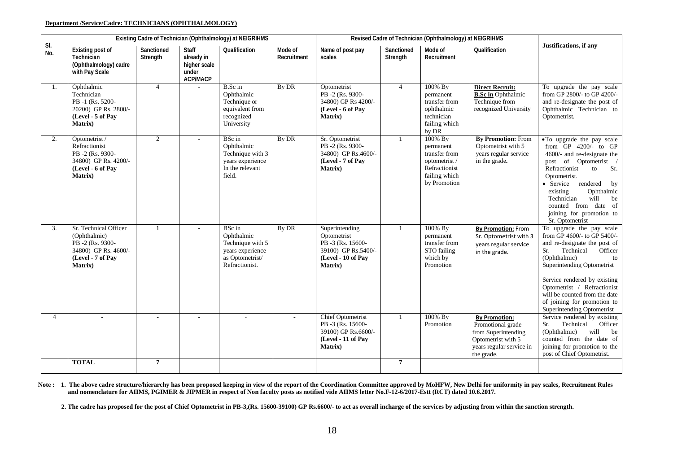#### **Department /Service/Cadre: TECHNICIANS (OPHTHALMOLOGY)**

|                | Existing Cadre of Technician (Ophthalmology) at NEIGRIHMS<br>Revised Cadre of Technician (Ophthalmology) at NEIGRIHMS    |                        |                                                                        |                                                                                                   |                        |                                                                                                           |                        |                                                                                                          |                                                                                                                                  |                                                                                                                                                                                                                                                                                                                                         |
|----------------|--------------------------------------------------------------------------------------------------------------------------|------------------------|------------------------------------------------------------------------|---------------------------------------------------------------------------------------------------|------------------------|-----------------------------------------------------------------------------------------------------------|------------------------|----------------------------------------------------------------------------------------------------------|----------------------------------------------------------------------------------------------------------------------------------|-----------------------------------------------------------------------------------------------------------------------------------------------------------------------------------------------------------------------------------------------------------------------------------------------------------------------------------------|
| SI.<br>No.     | <b>Existing post of</b><br>Technician<br>(Ophthalmology) cadre<br>with Pay Scale                                         | Sanctioned<br>Strength | <b>Staff</b><br>already in<br>higher scale<br>under<br><b>ACP/MACP</b> | Qualification                                                                                     | Mode of<br>Recruitment | Name of post pay<br>scales                                                                                | Sanctioned<br>Strength | Mode of<br>Recruitment                                                                                   | Qualification                                                                                                                    | Justifications, if any                                                                                                                                                                                                                                                                                                                  |
| 1.             | Ophthalmic<br>Technician<br>PB-1 (Rs. 5200-<br>20200) GP Rs. 2800/-<br>(Level - 5 of Pay<br><b>Matrix</b> )              | $\overline{4}$         |                                                                        | B.Sc in<br>Ophthalmic<br>Technique or<br>equivalent from<br>recognized<br>University              | By DR                  | Optometrist<br>PB-2 (Rs. 9300-<br>34800) GP Rs 4200/-<br>(Level - 6 of Pay<br>Matrix)                     | $\overline{4}$         | 100% By<br>permanent<br>transfer from<br>ophthalmic<br>technician<br>failing which<br>by DR              | <b>Direct Recruit:</b><br><b>B.Sc in Ophthalmic</b><br>Technique from<br>recognized University                                   | To upgrade the pay scale<br>from $\ddot{\text{GP}}$ 2800/- to $\ddot{\text{GP}}$ 4200/-<br>and re-designate the post of<br>Ophthalmic Technician to<br>Optometrist.                                                                                                                                                                     |
| 2.             | Optometrist /<br>Refractionist<br>PB-2 (Rs. 9300-<br>34800) GP Rs. 4200/-<br>(Level - 6 of Pay<br><b>Matrix</b> )        | $\overline{2}$         | $\overline{a}$                                                         | BSc in<br>Ophthalmic<br>Technique with 3<br>years experience<br>In the relevant<br>field.         | By DR                  | Sr. Optometrist<br>PB-2 (Rs. 9300-<br>34800) GP Rs.4600/-<br>(Level - 7 of Pav<br><b>Matrix</b> )         | $\mathbf{1}$           | 100% By<br>permanent<br>transfer from<br>optometrist /<br>Refractionist<br>failing which<br>by Promotion | <b>By Promotion:</b> From<br>Optometrist with 5<br>years regular service<br>in the grade.                                        | • To upgrade the pay scale<br>from $GP$ 4200/- to $GP$<br>4600/- and re-designate the<br>of Optometrist /<br>post<br>Refractionist<br>to<br>Sr.<br>Optometrist.<br>• Service<br>rendered<br>by<br>Ophthalmic<br>existing<br>Technician<br>will<br>be<br>counted from date of<br>joining for promotion to<br>Sr. Optometrist             |
| 3.             | Sr. Technical Officer<br>(Ophthalmic)<br>PB-2 (Rs. 9300-<br>34800) GP Rs. 4600/-<br>(Level - 7 of Pav<br><b>Matrix</b> ) | $\mathbf{1}$           | ÷,                                                                     | BSc in<br>Ophthalmic<br>Technique with 5<br>years experience<br>as Optometrist/<br>Refractionist. | By DR                  | Superintending<br>Optometrist<br>PB-3 (Rs. 15600-<br>39100) GP Rs.5400/-<br>(Level - 10 of Pav<br>Matrix) | $\mathbf{1}$           | 100% By<br>permanent<br>transfer from<br>STO failing<br>which by<br>Promotion                            | <b>By Promotion: From</b><br>Sr. Optometrist with 3<br>years regular service<br>in the grade.                                    | To upgrade the pay scale<br>from GP 4600/- to GP 5400/-<br>and re-designate the post of<br>Technical<br>Officer<br>Sr.<br>(Ophthalmic)<br>to<br>Superintending Optometrist<br>Service rendered by existing<br>Optometrist / Refractionist<br>will be counted from the date<br>of joining for promotion to<br>Superintending Optometrist |
| $\overline{4}$ |                                                                                                                          |                        |                                                                        |                                                                                                   |                        | Chief Optometrist<br>PB -3 (Rs. 15600-<br>39100) GP Rs.6600/-<br>(Level - 11 of Pay<br>Matrix)            | $\mathbf{1}$           | 100% By<br>Promotion                                                                                     | <b>By Promotion:</b><br>Promotional grade<br>from Superintending<br>Optometrist with 5<br>years regular service in<br>the grade. | Service rendered by existing<br>Sr.<br>Technical<br>Officer<br>(Ophthalmic)<br>will<br>be<br>counted from the date of<br>joining for promotion to the<br>post of Chief Optometrist.                                                                                                                                                     |
|                | <b>TOTAL</b>                                                                                                             | $\overline{7}$         |                                                                        |                                                                                                   |                        |                                                                                                           | $\overline{7}$         |                                                                                                          |                                                                                                                                  |                                                                                                                                                                                                                                                                                                                                         |

**Note : 1. The above cadre structure/hierarchy has been proposed keeping in view of the report of the Coordination Committee approved by MoHFW, New Delhi for uniformity in pay scales, Recruitment Rules and nomenclature for AIIMS, PGIMER & JIPMER in respect of Non faculty posts as notified vide AIIMS letter No.F-12-6/2017-Estt (RCT) dated 10.6.2017.**

2. The cadre has proposed for the post of Chief Optometrist in PB-3,(Rs. 15600-39100) GP Rs.6600/- to act as overall incharge of the services by adjusting from within the sanction strength.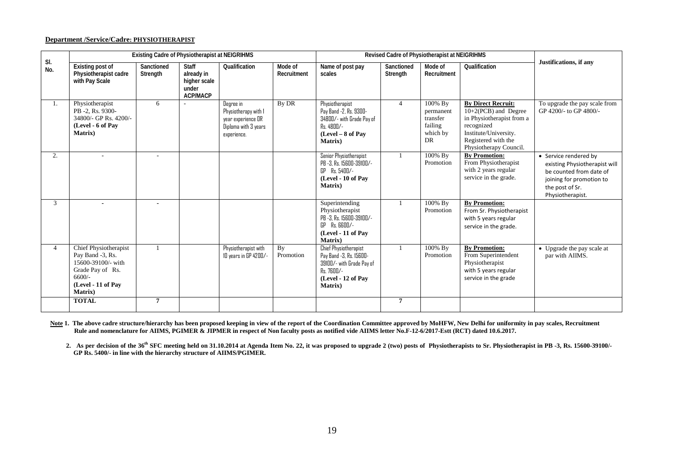#### **Department /Service/Cadre: PHYSIOTHERAPIST**

|                |                                                                                                                                  |                        | Existing Cadre of Physiotherapist at NEIGRIHMS                         |                                                                                                |                        |                                                                                                                                             | Revised Cadre of Physiotherapist at NEIGRIHMS |                                                               |                                                                                                                                                                        |                                                                                                                                                      |
|----------------|----------------------------------------------------------------------------------------------------------------------------------|------------------------|------------------------------------------------------------------------|------------------------------------------------------------------------------------------------|------------------------|---------------------------------------------------------------------------------------------------------------------------------------------|-----------------------------------------------|---------------------------------------------------------------|------------------------------------------------------------------------------------------------------------------------------------------------------------------------|------------------------------------------------------------------------------------------------------------------------------------------------------|
| SI.<br>No.     | <b>Existing post of</b><br>Physiotherapist cadre<br>with Pay Scale                                                               | Sanctioned<br>Strength | <b>Staff</b><br>already in<br>higher scale<br>under<br><b>ACP/MACP</b> | Qualification                                                                                  | Mode of<br>Recruitment | Name of post pay<br>scales                                                                                                                  | Sanctioned<br>Strength                        | Mode of<br>Recruitment                                        | Qualification                                                                                                                                                          | Justifications, if any                                                                                                                               |
| 1.             | Physiotherapist<br>PB -2, Rs. 9300-<br>34800/- GP Rs. 4200/-<br>(Level - 6 of Pay<br>Matrix)                                     | 6                      |                                                                        | Degree in<br>Physiotherapy with 1<br>year experience OR<br>Diploma with 3 years<br>experience. | By DR                  | Physiotherapist<br>Pay Band -2, Rs. 9300-<br>34800/- with Grade Pay of<br>Rs. 4800/-<br>$(Level-8 of Pay)$<br><b>Matrix</b> )               | $\overline{4}$                                | 100% By<br>permanent<br>transfer<br>failing<br>which by<br>DR | <b>By Direct Recruit:</b><br>10+2(PCB) and Degree<br>in Physiotherapist from a<br>recognized<br>Institute/University.<br>Registered with the<br>Physiotherapy Council. | To upgrade the pay scale from<br>GP 4200/- to GP 4800/-                                                                                              |
| 2.             |                                                                                                                                  |                        |                                                                        |                                                                                                |                        | Senior Physiotherapist<br>PB -3, Rs. 15600-39100/-<br>GP Rs. 5400/-<br>(Level - 10 of Pay<br>Matrix)                                        |                                               | 100% By<br>Promotion                                          | <b>By Promotion:</b><br>From Physiotherapist<br>with 2 years regular<br>service in the grade.                                                                          | • Service rendered by<br>existing Physiotherapist will<br>be counted from date of<br>joining for promotion to<br>the post of Sr.<br>Physiotherapist. |
| 3              |                                                                                                                                  |                        |                                                                        |                                                                                                |                        | Superintending<br>Physiotherapist<br>PB -3, Rs. 15600-39100/-<br>$GP$ $Rs.$ $BBID/-$<br>(Level - 11 of Pay<br>Matrix)                       |                                               | $100\%$ By<br>Promotion                                       | <b>By Promotion:</b><br>From Sr. Physiotherapist<br>with 5 years regular<br>service in the grade.                                                                      |                                                                                                                                                      |
| $\overline{4}$ | Chief Physiotherapist<br>Pay Band -3, Rs.<br>15600-39100/- with<br>Grade Pay of Rs.<br>$6600/-$<br>(Level - 11 of Pav<br>Matrix) |                        |                                                                        | Physiotherapist with<br>10 years in GP 4200/-                                                  | By<br>Promotion        | <b>Chief Physiotherapist</b><br>Pay Band -3, Rs. 15600-<br>39100/- with Grade Pay of<br>Rs. 7600/-<br>(Level - 12 of Pay<br><b>Matrix</b> ) | 1                                             | 100% By<br>Promotion                                          | <b>By Promotion:</b><br>From Superintendent<br>Physiotherapist<br>with 5 years regular<br>service in the grade                                                         | • Upgrade the pay scale at<br>par with AIIMS.                                                                                                        |
|                | <b>TOTAL</b>                                                                                                                     | $\overline{7}$         |                                                                        |                                                                                                |                        |                                                                                                                                             | $\overline{7}$                                |                                                               |                                                                                                                                                                        |                                                                                                                                                      |

Note 1. The above cadre structure/hierarchy has been proposed keeping in view of the report of the Coordination Committee approved by MoHFW, New Delhi for uniformity in pay scales, Recruitment  **Rule and nomenclature for AIIMS, PGIMER & JIPMER in respect of Non faculty posts as notified vide AIIMS letter No.F-12-6/2017-Estt (RCT) dated 10.6.2017.**

 **2. As per decision of the 36th SFC meeting held on 31.10.2014 at Agenda Item No. 22, it was proposed to upgrade 2 (two) posts of Physiotherapists to Sr. Physiotherapist in PB -3, Rs. 15600-39100/- GP Rs. 5400/- in line with the hierarchy structure of AIIMS/PGIMER.**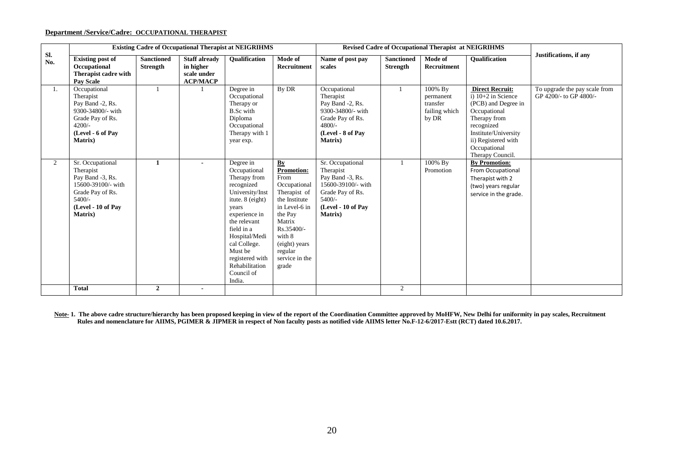### **Department /Service/Cadre: OCCUPATIONAL THERAPIST**

|                |                                                                                                                                          |                                      |                                                                     | <b>Existing Cadre of Occupational Therapist at NEIGRIHMS</b>                                                                                                                                                                                                    |                                                                                                                                                                                                       |                                                                                                                                          |                                      | <b>Revised Cadre of Occupational Therapist at NEIGRIHMS</b> |                                                                                                                                                                                                        |                                                         |
|----------------|------------------------------------------------------------------------------------------------------------------------------------------|--------------------------------------|---------------------------------------------------------------------|-----------------------------------------------------------------------------------------------------------------------------------------------------------------------------------------------------------------------------------------------------------------|-------------------------------------------------------------------------------------------------------------------------------------------------------------------------------------------------------|------------------------------------------------------------------------------------------------------------------------------------------|--------------------------------------|-------------------------------------------------------------|--------------------------------------------------------------------------------------------------------------------------------------------------------------------------------------------------------|---------------------------------------------------------|
| Sl.<br>No.     | <b>Existing post of</b><br>Occupational<br>Therapist cadre with<br><b>Pay Scale</b>                                                      | <b>Sanctioned</b><br><b>Strength</b> | <b>Staff already</b><br>in higher<br>scale under<br><b>ACP/MACP</b> | <b>Oualification</b>                                                                                                                                                                                                                                            | Mode of<br><b>Recruitment</b>                                                                                                                                                                         | Name of post pay<br>scales                                                                                                               | <b>Sanctioned</b><br><b>Strength</b> | Mode of<br>Recruitment                                      | <b>Oualification</b>                                                                                                                                                                                   | Justifications, if any                                  |
| 1.             | Occupational<br>Therapist<br>Pay Band -2, Rs.<br>9300-34800/- with<br>Grade Pay of Rs.<br>$4200/-$<br>(Level - 6 of Pay<br>Matrix)       |                                      |                                                                     | Degree in<br>Occupational<br>Therapy or<br><b>B.Sc</b> with<br>Diploma<br>Occupational<br>Therapy with 1<br>year exp.                                                                                                                                           | By DR                                                                                                                                                                                                 | Occupational<br>Therapist<br>Pay Band -2, Rs.<br>9300-34800/- with<br>Grade Pay of Rs.<br>$4800/-$<br>(Level - 8 of Pay<br>Matrix)       |                                      | 100% By<br>permanent<br>transfer<br>failing which<br>by DR  | <b>Direct Recruit:</b><br>i) $10+2$ in Science<br>(PCB) and Degree in<br>Occupational<br>Therapy from<br>recognized<br>Institute/University<br>ii) Registered with<br>Occupational<br>Therapy Council. | To upgrade the pay scale from<br>GP 4200/- to GP 4800/- |
| $\overline{2}$ | Sr. Occupational<br>Therapist<br>Pay Band -3, Rs.<br>15600-39100/- with<br>Grade Pay of Rs.<br>$5400/-$<br>(Level - 10 of Pav<br>Matrix) | $\mathbf{1}$                         | $\blacksquare$                                                      | Degree in<br>Occupational<br>Therapy from<br>recognized<br>University/Inst<br>itute. 8 (eight)<br>years<br>experience in<br>the relevant<br>field in a<br>Hospital/Medi<br>cal College.<br>Must be<br>registered with<br>Rehabilitation<br>Council of<br>India. | By<br><b>Promotion:</b><br>From<br>Occupational<br>Therapist of<br>the Institute<br>in Level-6 in<br>the Pay<br>Matrix<br>Rs.35400/-<br>with 8<br>(eight) years<br>regular<br>service in the<br>grade | Sr. Occupational<br>Therapist<br>Pay Band -3, Rs.<br>15600-39100/- with<br>Grade Pay of Rs.<br>$5400/-$<br>(Level - 10 of Pay<br>Matrix) | $\overline{1}$                       | 100% By<br>Promotion                                        | <b>By Promotion:</b><br>From Occupational<br>Therapist with 2<br>(two) years regular<br>service in the grade.                                                                                          |                                                         |
|                | <b>Total</b>                                                                                                                             | $\overline{2}$                       | $\sim$                                                              |                                                                                                                                                                                                                                                                 |                                                                                                                                                                                                       |                                                                                                                                          | 2                                    |                                                             |                                                                                                                                                                                                        |                                                         |

Note-1. The above cadre structure/hierarchy has been proposed keeping in view of the report of the Coordination Committee approved by MoHFW, New Delhi for uniformity in pay scales, Recruitment  **Rules and nomenclature for AIIMS, PGIMER & JIPMER in respect of Non faculty posts as notified vide AIIMS letter No.F-12-6/2017-Estt (RCT) dated 10.6.2017.**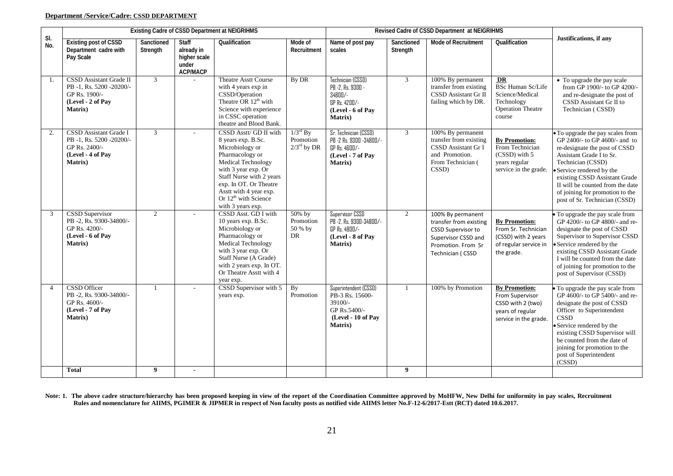# **Department /Service/Cadre: CSSD DEPARTMENT**

|                |                                                                                                                  | Existing Cadre of CSSD Department at NEIGRIHMS |                                                                        |                                                                                                                                                                                                                                                                          |                                                              | Revised Cadre of CSSD Department at NEIGRIHMS                                                                |                        |                                                                                                                                           |                                                                                                           |                                                                                                                                                                                                                                                                                                                           |
|----------------|------------------------------------------------------------------------------------------------------------------|------------------------------------------------|------------------------------------------------------------------------|--------------------------------------------------------------------------------------------------------------------------------------------------------------------------------------------------------------------------------------------------------------------------|--------------------------------------------------------------|--------------------------------------------------------------------------------------------------------------|------------------------|-------------------------------------------------------------------------------------------------------------------------------------------|-----------------------------------------------------------------------------------------------------------|---------------------------------------------------------------------------------------------------------------------------------------------------------------------------------------------------------------------------------------------------------------------------------------------------------------------------|
| SI.<br>No.     | <b>Existing post of CSSD</b><br>Department cadre with<br>Pay Scale                                               | Sanctioned<br>Strength                         | <b>Staff</b><br>already in<br>higher scale<br>under<br><b>ACP/MACP</b> | Qualification                                                                                                                                                                                                                                                            | Mode of<br>Recruitment                                       | Name of post pay<br>scales                                                                                   | Sanctioned<br>Strength | <b>Mode of Recruitment</b>                                                                                                                | Qualification                                                                                             | Justifications, if any                                                                                                                                                                                                                                                                                                    |
| 1.             | CSSD Assistant Grade II<br>PB-1, Rs. 5200-20200/-<br>GP Rs. 1900/-<br>(Level - 2 of Pay<br><b>Matrix</b> )       | $\mathfrak{Z}$                                 |                                                                        | <b>Theatre Asstt Course</b><br>with 4 years exp in<br>CSSD/Operation<br>Theatre OR 12 <sup>th</sup> with<br>Science with experience<br>in CSSC operation<br>theatre and Blood Bank.                                                                                      | By DR                                                        | Technician (CSSD)<br>PB -2, Rs. 9300 -<br>34800/-<br>GP Rs. 4200/-<br>(Level - 6 of Pay<br>Matrix)           | 3                      | 100% By permanent<br>transfer from existing<br>CSSD Assistant Gr II<br>failing which by DR.                                               | DR<br><b>BSc Human Sc/Life</b><br>Science/Medical<br>Technology<br><b>Operation Theatre</b><br>course     | • To upgrade the pay scale<br>from GP 1900/- to GP 4200/-<br>and re-designate the post of<br>CSSD Assistant Gr II to<br>Technician (CSSD)                                                                                                                                                                                 |
| 2.             | <b>CSSD</b> Assistant Grade I<br>PB-1, Rs. 5200-20200/-<br>GP Rs. 2400/-<br>(Level - 4 of Pay<br><b>Matrix</b> ) | $\mathfrak{Z}$                                 | ÷.                                                                     | CSSD Asstt/ GD II with<br>8 years exp. B.Sc.<br>Microbiology or<br>Pharmacology or<br>Medical Technology<br>with 3 year exp. Or<br>Staff Nurse with 2 years<br>exp. In OT. Or Theatre<br>Asstt with 4 year exp.<br>Or 12 <sup>th</sup> with Science<br>with 3 years exp. | $1/3^{\text{rd}}$ By<br>Promotion<br>$2/3^{\text{rd}}$ by DR | Sr. Technician (CSSD)<br>PB -2 Rs. 9300 -34800/-<br>GP Rs. 4600/-<br>(Level - 7 of Pay<br><b>Matrix</b> )    | 3                      | 100% By permanent<br>transfer from existing<br>CSSD Assistant Gr I<br>and Promotion.<br>From Technician (<br>CSSD)                        | <b>By Promotion:</b><br>From Technician<br>(CSSD) with 5<br>years regular<br>service in the grade.        | • To upgrade the pay scales from<br>GP 2400/- to GP 4600/- and to<br>re-designate the post of CSSD<br>Assistant Grade I to Sr.<br>Technician (CSSD)<br>• Service rendered by the<br>existing CSSD Assistant Grade<br>II will be counted from the date<br>of joining for promotion to the<br>post of Sr. Technician (CSSD) |
| 3              | CSSD Supervisor<br>PB -2, Rs. 9300-34800/-<br>GP Rs. 4200/-<br>(Level - 6 of Pay<br><b>Matrix</b> )              | $\overline{2}$                                 |                                                                        | CSSD Asst. GD I with<br>10 years exp. B.Sc.<br>Microbiology or<br>Pharmacology or<br>Medical Technology<br>with 3 year exp. Or<br>Staff Nurse (A Grade)<br>with 2 years exp. In OT.<br>Or Theatre Asstt with 4<br>year exp.                                              | 50% by<br>Promotion<br>50 % by<br>DR                         | Supervisor CSSD<br>PB -2, Rs. 9300-34800/-<br>GP Rs. 4800/-<br>(Level - 8 of Pay<br><b>Matrix</b> )          | $\overline{2}$         | 100% By permanent<br>transfer from existing<br><b>CSSD Supervisor to</b><br>Supervisor CSSD and<br>Promotion. From Sr<br>Technician (CSSD | <b>By Promotion:</b><br>From Sr. Technician<br>(CSSD) with 2 years<br>of regular service in<br>the grade. | To upgrade the pay scale from<br>GP 4200/- to GP 4800/- and re-<br>designate the post of CSSD<br>Supervisor to Supervisor CSSD<br>• Service rendered by the<br>existing CSSD Assistant Grade<br>I will be counted from the date<br>of joining for promotion to the<br>post of Supervisor (CSSD)                           |
| $\overline{4}$ | <b>CSSD</b> Officer<br>PB -2, Rs. 9300-34800/-<br>GP Rs. 4600/-<br>(Level - 7 of Pay<br><b>Matrix</b> )          | $\overline{1}$                                 |                                                                        | CSSD Supervisor with 5<br>years exp.                                                                                                                                                                                                                                     | By<br>Promotion                                              | Superintendent (CSSD)<br>PB-3 Rs. 15600-<br>39100/-<br>GP Rs.5400/-<br>(Level - 10 of Pay<br><b>Matrix</b> ) |                        | 100% by Promotion                                                                                                                         | <b>By Promotion:</b><br>From Supervisor<br>CSSD with 2 (two)<br>years of regular<br>service in the grade. | To upgrade the pay scale from<br>GP 4600/- to GP 5400/- and re-<br>designate the post of CSSD<br>Officer to Superintendent<br><b>CSSD</b><br>Service rendered by the<br>existing CSSD Supervisor will<br>be counted from the date of<br>joining for promotion to the<br>post of Superintendent<br>(CSSD)                  |
|                | <b>Total</b>                                                                                                     | 9                                              | $\blacksquare$                                                         |                                                                                                                                                                                                                                                                          |                                                              |                                                                                                              | 9                      |                                                                                                                                           |                                                                                                           |                                                                                                                                                                                                                                                                                                                           |

**Note: 1. The above cadre structure/hierarchy has been proposed keeping in view of the report of the Coordination Committee approved by MoHFW, New Delhi for uniformity in pay scales, Recruitment Rules and nomenclature for AIIMS, PGIMER & JIPMER in respect of Non faculty posts as notified vide AIIMS letter No.F-12-6/2017-Estt (RCT) dated 10.6.2017.**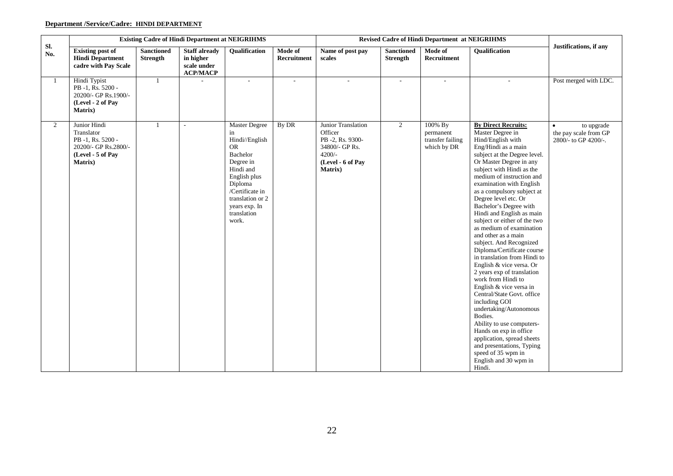# **Department /Service/Cadre: HINDI DEPARTMENT**

|                | <b>Existing Cadre of Hindi Department at NEIGRIHMS</b><br><b>Revised Cadre of Hindi Department at NEIGRIHMS</b> |                               |                                                                     |                                                                                                                                                                                                     |                        |                                                                                                                         |                                      |                                                         |                                                                                                                                                                                                                                                                                                                                                                                                                                                                                                                                                                                                                                                                                                                                                                                                                                                                                                                |                                                             |
|----------------|-----------------------------------------------------------------------------------------------------------------|-------------------------------|---------------------------------------------------------------------|-----------------------------------------------------------------------------------------------------------------------------------------------------------------------------------------------------|------------------------|-------------------------------------------------------------------------------------------------------------------------|--------------------------------------|---------------------------------------------------------|----------------------------------------------------------------------------------------------------------------------------------------------------------------------------------------------------------------------------------------------------------------------------------------------------------------------------------------------------------------------------------------------------------------------------------------------------------------------------------------------------------------------------------------------------------------------------------------------------------------------------------------------------------------------------------------------------------------------------------------------------------------------------------------------------------------------------------------------------------------------------------------------------------------|-------------------------------------------------------------|
| Sl.<br>No.     | <b>Existing post of</b><br><b>Hindi Department</b><br>cadre with Pay Scale                                      | <b>Sanctioned</b><br>Strength | <b>Staff already</b><br>in higher<br>scale under<br><b>ACP/MACP</b> | <b>Oualification</b>                                                                                                                                                                                | Mode of<br>Recruitment | Name of post pay<br>scales                                                                                              | <b>Sanctioned</b><br><b>Strength</b> | Mode of<br>Recruitment                                  | <b>Oualification</b>                                                                                                                                                                                                                                                                                                                                                                                                                                                                                                                                                                                                                                                                                                                                                                                                                                                                                           | Justifications, if any                                      |
| -1             | Hindi Typist<br>PB-1, Rs. 5200 -<br>20200/- GP Rs.1900/-<br>(Level - 2 of Pay<br><b>Matrix</b> )                | $\overline{1}$                |                                                                     | $\sim$                                                                                                                                                                                              | $\sim$                 | $\overline{\phantom{a}}$                                                                                                | $\overline{\phantom{a}}$             | $\overline{\phantom{a}}$                                | $\overline{\phantom{a}}$                                                                                                                                                                                                                                                                                                                                                                                                                                                                                                                                                                                                                                                                                                                                                                                                                                                                                       | Post merged with LDC.                                       |
| $\overline{2}$ | Junior Hindi<br>Translator<br>PB-1, Rs. 5200 -<br>20200/- GP Rs.2800/-<br>(Level - 5 of Pay<br><b>Matrix</b> )  |                               | $\sim$                                                              | Master Degree<br>in<br>Hindi//English<br><b>OR</b><br>Bachelor<br>Degree in<br>Hindi and<br>English plus<br>Diploma<br>/Certificate in<br>translation or 2<br>years exp. In<br>translation<br>work. | By DR                  | Junior Translation<br>Officer<br>PB -2, Rs. 9300-<br>34800/- GP Rs.<br>$4200/-$<br>(Level - 6 of Pay<br><b>Matrix</b> ) | $\overline{2}$                       | 100% By<br>permanent<br>transfer failing<br>which by DR | <b>By Direct Recruits:</b><br>Master Degree in<br>Hind/English with<br>Eng/Hindi as a main<br>subject at the Degree level.<br>Or Master Degree in any<br>subject with Hindi as the<br>medium of instruction and<br>examination with English<br>as a compulsory subject at<br>Degree level etc. Or<br>Bachelor's Degree with<br>Hindi and English as main<br>subject or either of the two<br>as medium of examination<br>and other as a main<br>subject. And Recognized<br>Diploma/Certificate course<br>in translation from Hindi to<br>English & vice versa. Or<br>2 years exp of translation<br>work from Hindi to<br>English & vice versa in<br>Central/State Govt. office<br>including GOI<br>undertaking/Autonomous<br>Bodies.<br>Ability to use computers-<br>Hands on exp in office<br>application, spread sheets<br>and presentations, Typing<br>speed of 35 wpm in<br>English and 30 wpm in<br>Hindi. | to upgrade<br>the pay scale from GP<br>2800/- to GP 4200/-. |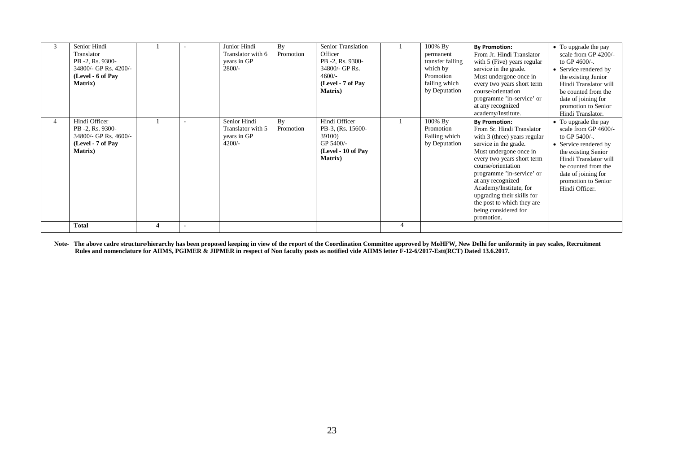| 3 | Senior Hindi<br>Translator<br>PB -2, Rs. 9300-<br>34800/- GP Rs. 4200/-<br>(Level - 6 of Pay<br><b>Matrix</b> ) |  | Junior Hindi<br>Translator with 6<br>years in GP<br>$2800/-$ | By<br>Promotion | Senior Translation<br>Officer<br>PB -2, Rs. 9300-<br>34800/- GP Rs.<br>$4600/-$<br>(Level - 7 of Pay<br><b>Matrix</b> ) |                | 100% By<br>permanent<br>transfer failing<br>which by<br>Promotion<br>failing which<br>by Deputation | <b>By Promotion:</b><br>From Jr. Hindi Translator<br>with 5 (Five) years regular<br>service in the grade.<br>Must undergone once in<br>every two years short term<br>course/orientation<br>programme 'in-service' or<br>at any recognized<br>academy/Institute.                                                                                                        | • To upgrade the pay<br>scale from GP 4200/-<br>to GP $4600$ -.<br>• Service rendered by<br>the existing Junior<br>Hindi Translator will<br>be counted from the<br>date of joining for<br>promotion to Senior<br>Hindi Translator. |
|---|-----------------------------------------------------------------------------------------------------------------|--|--------------------------------------------------------------|-----------------|-------------------------------------------------------------------------------------------------------------------------|----------------|-----------------------------------------------------------------------------------------------------|------------------------------------------------------------------------------------------------------------------------------------------------------------------------------------------------------------------------------------------------------------------------------------------------------------------------------------------------------------------------|------------------------------------------------------------------------------------------------------------------------------------------------------------------------------------------------------------------------------------|
|   | Hindi Officer<br>PB -2, Rs. 9300-<br>34800/- GP Rs. 4600/-<br>(Level - 7 of Pay<br><b>Matrix</b> )              |  | Senior Hindi<br>Translator with 5<br>years in GP<br>$4200/-$ | By<br>Promotion | Hindi Officer<br>PB-3, (Rs. 15600-<br>39100)<br>GP 5400/-<br>(Level - 10 of Pay<br><b>Matrix</b> )                      |                | 100% By<br>Promotion<br>Failing which<br>by Deputation                                              | <b>By Promotion:</b><br>From Sr. Hindi Translator<br>with 3 (three) years regular<br>service in the grade.<br>Must undergone once in<br>every two years short term<br>course/orientation<br>programme 'in-service' or<br>at any recognized<br>Academy/Institute, for<br>upgrading their skills for<br>the post to which they are<br>being considered for<br>promotion. | • To upgrade the pay<br>scale from GP 4600/-<br>to GP $5400$ /-.<br>• Service rendered by<br>the existing Senior<br>Hindi Translator will<br>be counted from the<br>date of joining for<br>promotion to Senior<br>Hindi Officer.   |
|   | Total                                                                                                           |  |                                                              |                 |                                                                                                                         | $\overline{4}$ |                                                                                                     |                                                                                                                                                                                                                                                                                                                                                                        |                                                                                                                                                                                                                                    |

Note- The above cadre structure/hierarchy has been proposed keeping in view of the report of the Coordination Committee approved by MoHFW, New Delhi for uniformity in pay scales, Recruitment  **Rules and nomenclature for AIIMS, PGIMER & JIPMER in respect of Non faculty posts as notified vide AIIMS letter F-12-6/2017-Estt(RCT) Dated 13.6.2017.**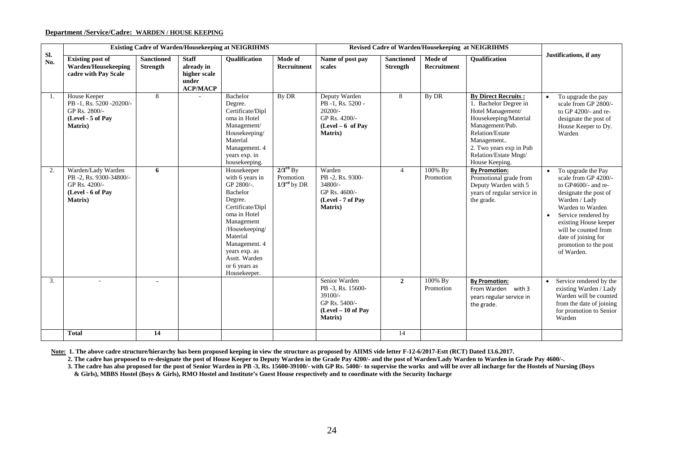#### **Department /Service/Cadre: WARDEN / HOUSE KEEPING**

|            |                                                                                                        |                                      |                                                                        | <b>Existing Cadre of Warden/Housekeeping at NEIGRIHMS</b>                                                                                                                                                                               |                                                              |                                                                                                            |                                      | Revised Cadre of Warden/Housekeeping at NEIGRIHMS |                                                                                                                                                                                                                                    |                                                                                                                                                                                                                                                                                    |
|------------|--------------------------------------------------------------------------------------------------------|--------------------------------------|------------------------------------------------------------------------|-----------------------------------------------------------------------------------------------------------------------------------------------------------------------------------------------------------------------------------------|--------------------------------------------------------------|------------------------------------------------------------------------------------------------------------|--------------------------------------|---------------------------------------------------|------------------------------------------------------------------------------------------------------------------------------------------------------------------------------------------------------------------------------------|------------------------------------------------------------------------------------------------------------------------------------------------------------------------------------------------------------------------------------------------------------------------------------|
| Sl.<br>No. | <b>Existing post of</b><br>Warden/Housekeeping<br>cadre with Pay Scale                                 | <b>Sanctioned</b><br><b>Strength</b> | <b>Staff</b><br>already in<br>higher scale<br>under<br><b>ACP/MACP</b> | <b>Oualification</b>                                                                                                                                                                                                                    | Mode of<br><b>Recruitment</b>                                | Name of post pay<br>scales                                                                                 | <b>Sanctioned</b><br><b>Strength</b> | Mode of<br><b>Recruitment</b>                     | <b>Oualification</b>                                                                                                                                                                                                               | Justifications, if any                                                                                                                                                                                                                                                             |
| -1.        | House Keeper<br>PB -1, Rs. 5200 -20200/-<br>GP Rs. 2800/-<br>(Level - 5 of Pay<br>Matrix)              | 8                                    |                                                                        | Bachelor<br>Degree.<br>Certificate/Dipl<br>oma in Hotel<br>Management/<br>Housekeeping/<br>Material<br>Management. 4<br>years exp. in<br>housekeeping.                                                                                  | By DR                                                        | Deputy Warden<br>PB-1, Rs. 5200 -<br>$20200/-$<br>GP Rs. 4200/-<br>$(Level-6 of Pay)$<br><b>Matrix</b> )   | 8                                    | By DR                                             | <b>By Direct Recruits:</b><br>1. Bachelor Degree in<br>Hotel Management/<br>Housekeeping/Material<br>Management/Pub.<br><b>Relation/Estate</b><br>Management<br>2. Two years exp in Pub<br>Relation/Estate Mngt/<br>House Keeping. | To upgrade the pay<br>scale from GP 2800/-<br>to GP $4200/$ - and re-<br>designate the post of<br>House Keeper to Dy.<br>Warden                                                                                                                                                    |
| 2.         | Warden/Lady Warden<br>PB -2, Rs. 9300-34800/-<br>GP Rs. 4200/-<br>(Level - 6 of Pay<br><b>Matrix</b> ) | 6                                    |                                                                        | Housekeeper<br>with 6 years in<br>GP 2800/-.<br>Bachelor<br>Degree.<br>Certificate/Dipl<br>oma in Hotel<br>Management<br>/Housekeeping/<br>Material<br>Management. 4<br>years exp. as<br>Asstt. Warden<br>or 6 years as<br>Housekeeper. | $2/3^{\text{rd}}$ By<br>Promotion<br>$1/3^{\text{rd}}$ by DR | Warden<br>PB-2, Rs. 9300-<br>$34800/-$<br>GP Rs. 4600/-<br>(Level - 7 of Pay<br><b>Matrix</b> )            | $\overline{4}$                       | 100% By<br>Promotion                              | <b>By Promotion:</b><br>Promotional grade from<br>Deputy Warden with 5<br>years of regular service in<br>the grade.                                                                                                                | To upgrade the Pay<br>$\bullet$<br>scale from GP 4200/-<br>to GP4600/- and re-<br>designate the post of<br>Warden / Lady<br>Warden to Warden<br>Service rendered by<br>existing House keeper<br>will be counted from<br>date of joining for<br>promotion to the post<br>of Warden. |
| 3.         |                                                                                                        |                                      |                                                                        |                                                                                                                                                                                                                                         |                                                              | Senior Warden<br>PB -3, Rs. 15600-<br>39100/-<br>GP Rs. 5400/-<br>$(Level - 10 of Pay)$<br><b>Matrix</b> ) | $\overline{2}$                       | 100% By<br>Promotion                              | <b>By Promotion:</b><br>From Warden with 3<br>years regular service in<br>the grade.                                                                                                                                               | Service rendered by the<br>existing Warden / Lady<br>Warden will be counted<br>from the date of joining<br>for promotion to Senior<br>Warden                                                                                                                                       |
|            | <b>Total</b>                                                                                           | 14                                   |                                                                        |                                                                                                                                                                                                                                         |                                                              |                                                                                                            | 14                                   |                                                   |                                                                                                                                                                                                                                    |                                                                                                                                                                                                                                                                                    |

**Note: 1. The above cadre structure/hierarchy has been proposed keeping in view the structure as proposed by AIIMS vide letter F-12-6/2017-Estt (RCT) Dated 13.6.2017.**

 **2. The cadre has proposed to re-designate the post of House Keeper to Deputy Warden in the Grade Pay 4200/- and the post of Warden/Lady Warden to Warden in Grade Pay 4600/-.**

 **3. The cadre has also proposed for the post of Senior Warden in PB -3, Rs. 15600-39100/- with GP Rs. 5400/**- **to supervise the works and will be over all incharge for the Hostels of Nursing (Boys & Girls), MBBS Hostel (Boys & Girls), RMO Hostel and Institute's Guest House respectively and to coordinate with the Security Incharge**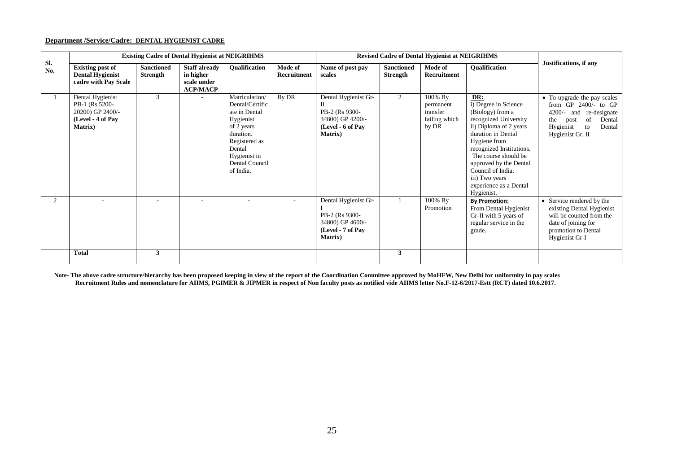# **Department /Service/Cadre: DENTAL HYGIENIST CADRE**

|            |                                                                                                |                               | <b>Existing Cadre of Dental Hygienist at NEIGRIHMS</b>              |                                                                                                                                                                            |                        |                                                                                                    |                               | <b>Revised Cadre of Dental Hygienist at NEIGRIHMS</b>      |                                                                                                                                                                                                                                                                                                       |                                                                                                                                                                            |
|------------|------------------------------------------------------------------------------------------------|-------------------------------|---------------------------------------------------------------------|----------------------------------------------------------------------------------------------------------------------------------------------------------------------------|------------------------|----------------------------------------------------------------------------------------------------|-------------------------------|------------------------------------------------------------|-------------------------------------------------------------------------------------------------------------------------------------------------------------------------------------------------------------------------------------------------------------------------------------------------------|----------------------------------------------------------------------------------------------------------------------------------------------------------------------------|
| Sl.<br>No. | <b>Existing post of</b><br><b>Dental Hygienist</b><br>cadre with Pay Scale                     | <b>Sanctioned</b><br>Strength | <b>Staff already</b><br>in higher<br>scale under<br><b>ACP/MACP</b> | Qualification                                                                                                                                                              | Mode of<br>Recruitment | Name of post pay<br>scales                                                                         | <b>Sanctioned</b><br>Strength | Mode of<br>Recruitment                                     | Qualification                                                                                                                                                                                                                                                                                         | Justifications, if any                                                                                                                                                     |
|            | Dental Hygienist<br>PB-1 (Rs 5200-<br>20200) GP 2400/-<br>(Level - 4 of Pay<br><b>Matrix</b> ) | $\mathcal{R}$                 |                                                                     | <b>Matriculation</b><br>Dental/Certific<br>ate in Dental<br>Hygienist<br>of 2 years<br>duration.<br>Registered as<br>Dental<br>Hygienist in<br>Dental Council<br>of India. | By DR                  | Dental Hygienist Gr-<br>PB-2 (Rs 9300-<br>34800) GP 4200/-<br>(Level - 6 of Pay<br><b>Matrix</b> ) | $\overline{2}$                | 100% By<br>permanent<br>transfer<br>failing which<br>by DR | DR:<br>i) Degree in Science<br>(Biology) from a<br>recognized University<br>ii) Diploma of 2 years<br>duration in Dental<br>Hygiene from<br>recognized Institutions.<br>The course should be<br>approved by the Dental<br>Council of India.<br>iii) Two years<br>experience as a Dental<br>Hygienist. | • To upgrade the pay scales<br>from $GP$ 2400/- to $GP$<br>$4200/-$<br>re-designate<br>and<br>of<br>Dental<br>the<br>post<br>Hygienist<br>Dental<br>to<br>Hygienist Gr. II |
| 2          |                                                                                                | ٠                             | $\sim$                                                              |                                                                                                                                                                            |                        | Dental Hygienist Gr-<br>PB-2 (Rs 9300-<br>34800) GP 4600/-<br>(Level - 7 of Pay<br><b>Matrix</b> ) |                               | 100% By<br>Promotion                                       | <b>By Promotion:</b><br>From Dental Hygienist<br>Gr-II with 5 years of<br>regular service in the<br>grade.                                                                                                                                                                                            | • Service rendered by the<br>existing Dental Hygienist<br>will be counted from the<br>date of joining for<br>promotion to Dental<br>Hygienist Gr-I                         |
|            | <b>Total</b>                                                                                   | 3                             |                                                                     |                                                                                                                                                                            |                        |                                                                                                    | 3                             |                                                            |                                                                                                                                                                                                                                                                                                       |                                                                                                                                                                            |

 **Note- The above cadre structure/hierarchy has been proposed keeping in view of the report of the Coordination Committee approved by MoHFW, New Delhi for uniformity in pay scales Recruitment Rules and nomenclature for AIIMS, PGIMER & JIPMER in respect of Non faculty posts as notified vide AIIMS letter No.F-12-6/2017-Estt (RCT) dated 10.6.2017.**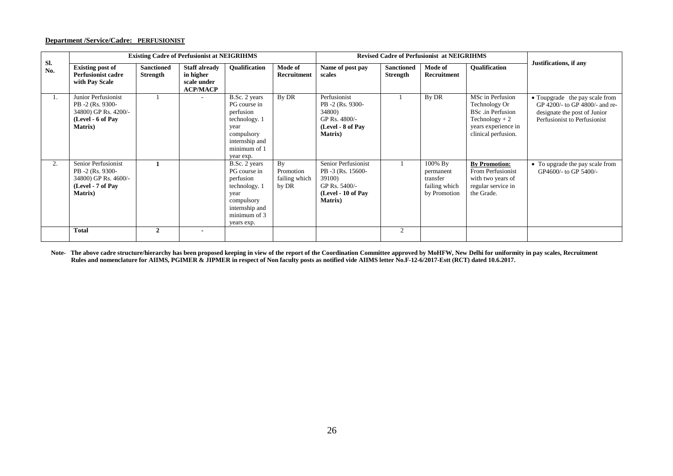#### **Department /Service/Cadre: PERFUSIONIST**

|            |                                                                                                         |                                      | <b>Existing Cadre of Perfusionist at NEIGRIHMS</b>                  |                                                                                                                                   |                                           |                                                                                                              |                                      | <b>Revised Cadre of Perfusionist at NEIGRIHMS</b>                 |                                                                                                                                 |                                                                                                                                  |
|------------|---------------------------------------------------------------------------------------------------------|--------------------------------------|---------------------------------------------------------------------|-----------------------------------------------------------------------------------------------------------------------------------|-------------------------------------------|--------------------------------------------------------------------------------------------------------------|--------------------------------------|-------------------------------------------------------------------|---------------------------------------------------------------------------------------------------------------------------------|----------------------------------------------------------------------------------------------------------------------------------|
| Sl.<br>No. | <b>Existing post of</b><br><b>Perfusionist cadre</b><br>with Pay Scale                                  | <b>Sanctioned</b><br><b>Strength</b> | <b>Staff already</b><br>in higher<br>scale under<br><b>ACP/MACP</b> | <b>Oualification</b>                                                                                                              | Mode of<br>Recruitment                    | Name of post pay<br>scales                                                                                   | <b>Sanctioned</b><br><b>Strength</b> | Mode of<br>Recruitment                                            | <b>Oualification</b>                                                                                                            | Justifications, if any                                                                                                           |
| 1.         | Junior Perfusionist<br>PB -2 (Rs. 9300-<br>34800) GP Rs. 4200/-<br>(Level - 6 of Pay<br><b>Matrix</b> ) |                                      |                                                                     | B.Sc. 2 years<br>PG course in<br>perfusion<br>technology. 1<br>year<br>compulsory<br>internship and<br>minimum of 1<br>year exp.  | By DR                                     | Perfusionist<br>PB -2 (Rs. 9300-<br>34800)<br>GP Rs. 4800/-<br>(Level - 8 of Pav<br><b>Matrix</b> )          |                                      | By DR                                                             | MSc in Perfusion<br>Technology Or<br><b>BSc</b> .in Perfusion<br>$Technology + 2$<br>years experience in<br>clinical perfusion. | • Toupgrade the pay scale from<br>GP 4200/- to GP 4800/- and re-<br>designate the post of Junior<br>Perfusionist to Perfusionist |
| 2.         | Senior Perfusionist<br>PB -2 (Rs. 9300-<br>34800) GP Rs. 4600/-<br>(Level - 7 of Pay<br><b>Matrix</b> ) |                                      |                                                                     | B.Sc. 2 years<br>PG course in<br>perfusion<br>technology. 1<br>year<br>compulsory<br>internship and<br>minimum of 3<br>years exp. | By<br>Promotion<br>failing which<br>by DR | Senior Perfusionist<br>PB -3 (Rs. 15600-<br>39100)<br>GP Rs. 5400/-<br>(Level - 10 of Pay<br><b>Matrix</b> ) |                                      | 100% By<br>permanent<br>transfer<br>failing which<br>by Promotion | <b>By Promotion:</b><br>From Perfusionist<br>with two years of<br>regular service in<br>the Grade.                              | • To upgrade the pay scale from<br>GP4600/- to GP 5400/-                                                                         |
|            | <b>Total</b>                                                                                            | $\mathfrak{D}$                       |                                                                     |                                                                                                                                   |                                           |                                                                                                              | 2                                    |                                                                   |                                                                                                                                 |                                                                                                                                  |

**Note- The above cadre structure/hierarchy has been proposed keeping in view of the report of the Coordination Committee approved by MoHFW, New Delhi for uniformity in pay scales, Recruitment Rules and nomenclature for AIIMS, PGIMER & JIPMER in respect of Non faculty posts as notified vide AIIMS letter No.F-12-6/2017-Estt (RCT) dated 10.6.2017.**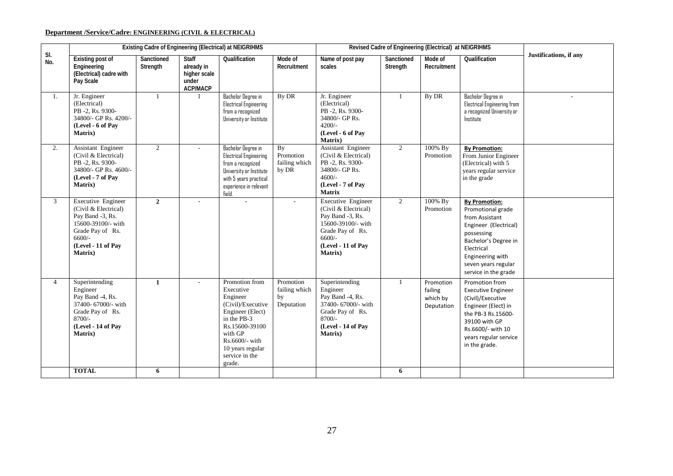# **Department /Service/Cadre: ENGINEERING (CIVIL & ELECTRICAL)**

|               |                                                                                                                                                       |                        |                                                                        | Existing Cadre of Engineering (Electrical) at NEIGRIHMS                                                                                                                                        |                                                  |                                                                                                                                                              |                        | Revised Cadre of Engineering (Electrical) at NEIGRIHMS |                                                                                                                                                                                                             |                        |
|---------------|-------------------------------------------------------------------------------------------------------------------------------------------------------|------------------------|------------------------------------------------------------------------|------------------------------------------------------------------------------------------------------------------------------------------------------------------------------------------------|--------------------------------------------------|--------------------------------------------------------------------------------------------------------------------------------------------------------------|------------------------|--------------------------------------------------------|-------------------------------------------------------------------------------------------------------------------------------------------------------------------------------------------------------------|------------------------|
| SI.<br>No.    | <b>Existing post of</b><br>Engineering<br>(Electrical) cadre with<br>Pay Scale                                                                        | Sanctioned<br>Strength | <b>Staff</b><br>already in<br>higher scale<br>under<br><b>ACP/MACP</b> | Qualification                                                                                                                                                                                  | Mode of<br>Recruitment                           | Name of post pay<br>scales                                                                                                                                   | Sanctioned<br>Strength | Mode of<br>Recruitment                                 | Qualification                                                                                                                                                                                               | Justifications, if any |
| 1.            | Jr. Engineer<br>(Electrical)<br>PB -2, Rs. 9300-<br>34800/- GP Rs. 4200/-<br>(Level - 6 of Pav<br><b>Matrix</b> )                                     | 1                      |                                                                        | Bachelor Degree in<br><b>Electrical Engineering</b><br>from a recognized<br>University or Institute                                                                                            | By DR                                            | Jr. Engineer<br>(Electrical)<br>PB -2, Rs. 9300-<br>34800/- GP Rs.<br>$4200/-$<br>(Level - 6 of Pay<br>Matrix)                                               |                        | By DR                                                  | Bachelor Degree in<br>Electrical Engineering from<br>a recognized University or<br>Institute                                                                                                                |                        |
| 2.            | Assistant Engineer<br>(Civil & Electrical)<br>PB -2, Rs. 9300-<br>34800/- GP Rs. 4600/-<br>(Level - 7 of Pay<br><b>Matrix</b> )                       | $\overline{2}$         |                                                                        | <b>Bachelor Degree in</b><br><b>Electrical Engineering</b><br>from a recoonized<br>University or Institute<br>with 5 years practical<br>experience in relevant<br>field.                       | <b>By</b><br>Promotion<br>failing which<br>by DR | Assistant Engineer<br>(Civil & Electrical)<br>PB -2, Rs. 9300-<br>34800/- GP Rs.<br>$4600/-$<br>(Level - 7 of Pay<br><b>Matrix</b>                           | $\overline{2}$         | 100% By<br>Promotion                                   | <b>By Promotion:</b><br>From Junior Engineer<br>(Electrical) with 5<br>years regular service<br>in the grade                                                                                                |                        |
| $\mathcal{E}$ | Executive Engineer<br>(Civil & Electrical)<br>Pay Band -3, Rs.<br>15600-39100/- with<br>Grade Pay of Rs.<br>$6600/-$<br>(Level - 11 of Pay<br>Matrix) | $\overline{2}$         |                                                                        |                                                                                                                                                                                                | $\sim$                                           | <b>Executive Engineer</b><br>(Civil & Electrical)<br>Pay Band -3, Rs.<br>15600-39100/- with<br>Grade Pay of Rs.<br>$6600/-$<br>(Level - 11 of Pay<br>Matrix) | $\overline{2}$         | 100% By<br>Promotion                                   | <b>By Promotion:</b><br>Promotional grade<br>from Assistant<br>Engineer (Electrical)<br>possessing<br>Bachelor's Degree in<br>Electrical<br>Engineering with<br>seven years regular<br>service in the grade |                        |
| 4             | Superintending<br>Engineer<br>Pay Band -4, Rs.<br>37400- 67000/- with<br>Grade Pay of Rs.<br>8700/-<br>(Level - 14 of Pay<br><b>Matrix</b> )          | $\mathbf{1}$           |                                                                        | Promotion from<br>Executive<br>Engineer<br>(Civil)/Executive<br>Engineer (Elect)<br>in the PB-3<br>Rs.15600-39100<br>with GP<br>Rs.6600/- with<br>10 years regular<br>service in the<br>grade. | Promotion<br>failing which<br>by<br>Deputation   | Superintending<br>Engineer<br>Pay Band -4, Rs.<br>37400- 67000/- with<br>Grade Pay of Rs.<br>8700/-<br>(Level - 14 of Pay<br>Matrix)                         | $\mathbf{1}$           | Promotion<br>failing<br>which by<br>Deputation         | Promotion from<br><b>Executive Engineer</b><br>(Civil)/Executive<br>Engineer (Elect) in<br>the PB-3 Rs.15600-<br>39100 with GP<br>Rs.6600/- with 10<br>years regular service<br>in the grade.               |                        |
|               | <b>TOTAL</b>                                                                                                                                          | 6                      |                                                                        |                                                                                                                                                                                                |                                                  |                                                                                                                                                              | 6                      |                                                        |                                                                                                                                                                                                             |                        |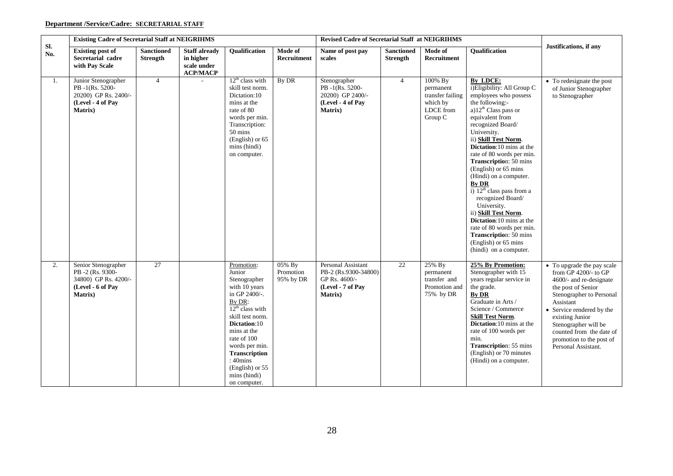# **Department /Service/Cadre: SECRETARIAL STAFF**

|            | <b>Existing Cadre of Secretarial Staff at NEIGRIHMS</b>                                                |                                      |                                                                          |                                                                                                                                                                                                                                                                                              |                                  | <b>Revised Cadre of Secretarial Staff at NEIGRIHMS</b>                                              |                                      |                                                                              |                                                                                                                                                                                                                                                                                                                                                                                                                                                                                                                                                                                                                                         |                                                                                                                                                                                                                                                                                                         |
|------------|--------------------------------------------------------------------------------------------------------|--------------------------------------|--------------------------------------------------------------------------|----------------------------------------------------------------------------------------------------------------------------------------------------------------------------------------------------------------------------------------------------------------------------------------------|----------------------------------|-----------------------------------------------------------------------------------------------------|--------------------------------------|------------------------------------------------------------------------------|-----------------------------------------------------------------------------------------------------------------------------------------------------------------------------------------------------------------------------------------------------------------------------------------------------------------------------------------------------------------------------------------------------------------------------------------------------------------------------------------------------------------------------------------------------------------------------------------------------------------------------------------|---------------------------------------------------------------------------------------------------------------------------------------------------------------------------------------------------------------------------------------------------------------------------------------------------------|
| Sl.<br>No. | <b>Existing post of</b><br>Secretarial cadre<br>with Pay Scale                                         | <b>Sanctioned</b><br><b>Strength</b> | <b>Staff already</b><br>in higher<br>scale under<br>$\bf{AC}P/M\bf{AC}P$ | Qualification                                                                                                                                                                                                                                                                                | Mode of<br>Recruitment           | Name of post pay<br>scales                                                                          | <b>Sanctioned</b><br><b>Strength</b> | Mode of<br>Recruitment                                                       | <b>Oualification</b>                                                                                                                                                                                                                                                                                                                                                                                                                                                                                                                                                                                                                    | Justifications, if any                                                                                                                                                                                                                                                                                  |
| 1.         | Junior Stenographer<br>PB-1(Rs. 5200-<br>20200) GP Rs. 2400/-<br>(Level - 4 of Pay<br><b>Matrix</b> )  | $\overline{4}$                       |                                                                          | $12th$ class with<br>skill test norm.<br>Dictation:10<br>mins at the<br>rate of 80<br>words per min.<br>Transcription:<br>50 mins<br>(English) or 65<br>mins (hindi)<br>on computer.                                                                                                         | By DR                            | Stenographer<br>PB-1(Rs. 5200-<br>20200) GP 2400/-<br>(Level - 4 of Pay<br><b>Matrix</b> )          | $\overline{4}$                       | 100% By<br>permanent<br>transfer failing<br>which by<br>LDCE from<br>Group C | By LDCE:<br>i)Eligibility: All Group C<br>employees who possess<br>the following:-<br>a)12 <sup>th</sup> Class pass or<br>equivalent from<br>recognized Board/<br>University.<br>ii) Skill Test Norm.<br><b>Dictation:10</b> mins at the<br>rate of 80 words per min.<br><b>Transcription: 50 mins</b><br>(English) or 65 mins<br>(Hindi) on a computer.<br><b>By DR</b><br>$\overline{1}$ ) $12^{\text{th}}$ class pass from a<br>recognized Board/<br>University.<br>ii) Skill Test Norm.<br>Dictation:10 mins at the<br>rate of 80 words per min.<br><b>Transcription: 50 mins</b><br>(English) or 65 mins<br>(hindi) on a computer. | • To redesignate the post<br>of Junior Stenographer<br>to Stenographer                                                                                                                                                                                                                                  |
| 2.         | Senior Stenographer<br>PB-2 (Rs. 9300-<br>34800) GP Rs. 4200/-<br>(Level - 6 of Pay<br><b>Matrix</b> ) | 27                                   |                                                                          | Promotion:<br>Junior<br>Stenographer<br>with 10 years<br>in GP 2400/-.<br>By DR:<br>$12^{th}$ class with<br>skill test norm.<br>Dictation:10<br>mins at the<br>rate of 100<br>words per min.<br><b>Transcription</b><br>$:40 \text{mins}$<br>(English) or 55<br>mins (hindi)<br>on computer. | 05% By<br>Promotion<br>95% by DR | Personal Assistant<br>PB-2 (Rs.9300-34800)<br>GP Rs. 4600/-<br>(Level - 7 of Pay<br><b>Matrix</b> ) | 22                                   | 25% By<br>permanent<br>transfer and<br>Promotion and<br>75% by DR            | 25% By Promotion:<br>Stenographer with 15<br>years regular service in<br>the grade.<br><b>By DR</b><br>Graduate in Arts /<br>Science / Commerce<br><b>Skill Test Norm.</b><br>Dictation:10 mins at the<br>rate of 100 words per<br>min.<br><b>Transcription: 55 mins</b><br>(English) or 70 minutes<br>(Hindi) on a computer.                                                                                                                                                                                                                                                                                                           | • To upgrade the pay scale<br>from $GP$ 4200/- to $GP$<br>4600/- and re-designate<br>the post of Senior<br>Stenographer to Personal<br>Assistant<br>• Service rendered by the<br>existing Junior<br>Stenographer will be<br>counted from the date of<br>promotion to the post of<br>Personal Assistant. |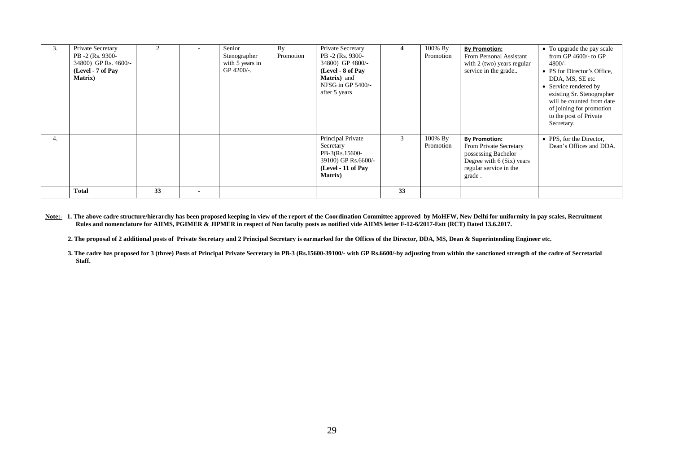| 3. | Private Secretary<br>PB -2 (Rs. 9300-<br>34800) GP Rs. 4600/-<br>(Level - 7 of Pay<br><b>Matrix</b> ) |    | $\blacksquare$ | Senior<br>Stenographer<br>with 5 years in<br>GP 4200/-. | By<br>Promotion | Private Secretary<br>PB -2 (Rs. 9300-<br>34800) GP 4800/-<br>(Level - 8 of Pay<br>Matrix) and<br>NFSG in GP 5400/-<br>after 5 years | 4  | 100% By<br>Promotion | <b>By Promotion:</b><br>From Personal Assistant<br>with 2 (two) years regular<br>service in the grade                                  | • To upgrade the pay scale<br>from GP $4600/-$ to GP<br>4800/-<br>• PS for Director's Office,<br>DDA, MS, SE etc<br>• Service rendered by<br>existing Sr. Stenographer<br>will be counted from date<br>of joining for promotion<br>to the post of Private<br>Secretary. |
|----|-------------------------------------------------------------------------------------------------------|----|----------------|---------------------------------------------------------|-----------------|-------------------------------------------------------------------------------------------------------------------------------------|----|----------------------|----------------------------------------------------------------------------------------------------------------------------------------|-------------------------------------------------------------------------------------------------------------------------------------------------------------------------------------------------------------------------------------------------------------------------|
| 4. |                                                                                                       |    |                |                                                         |                 | Principal Private<br>Secretary<br>PB-3(Rs.15600-<br>39100) GP Rs.6600/-<br>(Level - 11 of Pay<br><b>Matrix</b> )                    | 3  | 100% By<br>Promotion | <b>By Promotion:</b><br>From Private Secretary<br>possessing Bachelor<br>Degree with 6 (Six) years<br>regular service in the<br>grade. | • PPS, for the Director,<br>Dean's Offices and DDA.                                                                                                                                                                                                                     |
|    | <b>Total</b>                                                                                          | 33 | $\blacksquare$ |                                                         |                 |                                                                                                                                     | 33 |                      |                                                                                                                                        |                                                                                                                                                                                                                                                                         |

Note:- 1. The above cadre structure/hierarchy has been proposed keeping in view of the report of the Coordination Committee approved by MoHFW, New Delhi for uniformity in pay scales, Recruitment  **Rules and nomenclature for AIIMS, PGIMER & JIPMER in respect of Non faculty posts as notified vide AIIMS letter F-12-6/2017-Estt (RCT) Dated 13.6.2017.**

**2. The proposal of 2 additional posts of Private Secretary and 2 Principal Secretary is earmarked for the Offices of the Director, DDA, MS, Dean & Superintending Engineer etc.**

**3. The cadre has proposed for 3 (three) Posts of Principal Private Secretary in PB-3 (Rs.15600-39100/- with GP Rs.6600/-by adjusting from within the sanctioned strength of the cadre of Secretarial Staff.**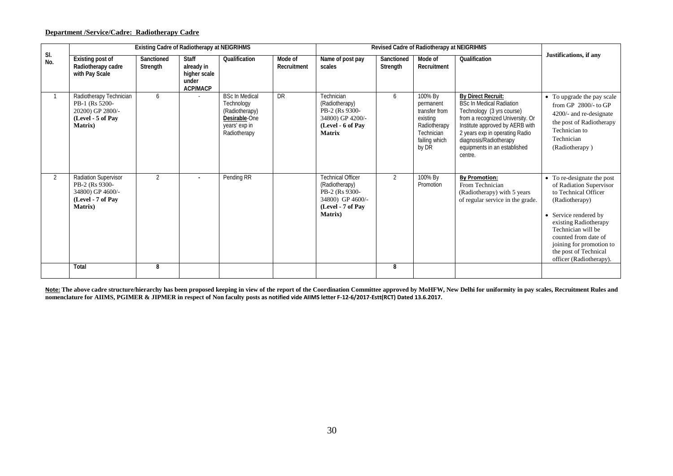# **Department /Service/Cadre: Radiotherapy Cadre**

|                |                                                                                                       | <b>Existing Cadre of Radiotherapy at NEIGRIHMS</b> |                                                                        |                                                                                                         |                        |                                                                                                                          |                        | Revised Cadre of Radiotherapy at NEIGRIHMS                                                                |                                                                                                                                                                                                                                                                  |                                                                                                                                                                                                                                                                                 |
|----------------|-------------------------------------------------------------------------------------------------------|----------------------------------------------------|------------------------------------------------------------------------|---------------------------------------------------------------------------------------------------------|------------------------|--------------------------------------------------------------------------------------------------------------------------|------------------------|-----------------------------------------------------------------------------------------------------------|------------------------------------------------------------------------------------------------------------------------------------------------------------------------------------------------------------------------------------------------------------------|---------------------------------------------------------------------------------------------------------------------------------------------------------------------------------------------------------------------------------------------------------------------------------|
| SI.<br>No.     | Existing post of<br>Radiotherapy cadre<br>with Pay Scale                                              | Sanctioned<br>Strength                             | <b>Staff</b><br>already in<br>higher scale<br>under<br><b>ACP/MACP</b> | Qualification                                                                                           | Mode of<br>Recruitment | Name of post pay<br>scales                                                                                               | Sanctioned<br>Strength | Mode of<br>Recruitment                                                                                    | Qualification                                                                                                                                                                                                                                                    | Justifications, if any                                                                                                                                                                                                                                                          |
|                | Radiotherapy Technician<br>PB-1 (Rs 5200-<br>20200) GP 2800/-<br>(Level - 5 of Pav<br><b>Matrix</b> ) | 6                                                  |                                                                        | <b>BSc In Medical</b><br>Technology<br>(Radiotherapy)<br>Desirable-One<br>years' exp in<br>Radiotherapy | <b>DR</b>              | Technician<br>(Radiotherapy)<br>PB-2 (Rs 9300-<br>34800) GP 4200/-<br>(Level - 6 of Pay<br><b>Matrix</b>                 | 6                      | 100% By<br>permanent<br>transfer from<br>existing<br>Radiotherapy<br>Technician<br>failing which<br>by DR | By Direct Recruit:<br><b>BSc In Medical Radiation</b><br>Technology (3 yrs course)<br>from a recognized University. Or<br>Institute approved by AERB with<br>2 years exp in operating Radio<br>diagnosis/Radiotherapy<br>equipments in an established<br>centre. | • To upgrade the pay scale<br>from GP $2800/-$ to GP<br>4200/- and re-designate<br>the post of Radiotherapy<br>Technician to<br>Technician<br>(Radiotherapy)                                                                                                                    |
| $\overline{2}$ | Radiation Supervisor<br>PB-2 (Rs 9300-<br>34800) GP 4600/-<br>(Level - 7 of Pay<br><b>Matrix</b> )    | $\overline{2}$                                     | $\overline{\phantom{a}}$                                               | Pending RR                                                                                              |                        | <b>Technical Officer</b><br>(Radiotherapy)<br>PB-2 (Rs 9300-<br>34800) GP 4600/-<br>(Level - 7 of Pav<br><b>Matrix</b> ) | $\overline{2}$         | 100% By<br>Promotion                                                                                      | <b>By Promotion:</b><br>From Technician<br>(Radiotherapy) with 5 years<br>of regular service in the grade.                                                                                                                                                       | • To re-designate the post<br>of Radiation Supervisor<br>to Technical Officer<br>(Radiotherapy)<br>• Service rendered by<br>existing Radiotherapy<br>Technician will be<br>counted from date of<br>joining for promotion to<br>the post of Technical<br>officer (Radiotherapy). |
|                | Total                                                                                                 | 8                                                  |                                                                        |                                                                                                         |                        |                                                                                                                          | 8                      |                                                                                                           |                                                                                                                                                                                                                                                                  |                                                                                                                                                                                                                                                                                 |

**Note: The above cadre structure/hierarchy has been proposed keeping in view of the report of the Coordination Committee approved by MoHFW, New Delhi for uniformity in pay scales, Recruitment Rules and nomenclature for AIIMS, PGIMER & JIPMER in respect of Non faculty posts as notified vide AIIMS letter F-12-6/2017-Estt(RCT) Dated 13.6.2017.**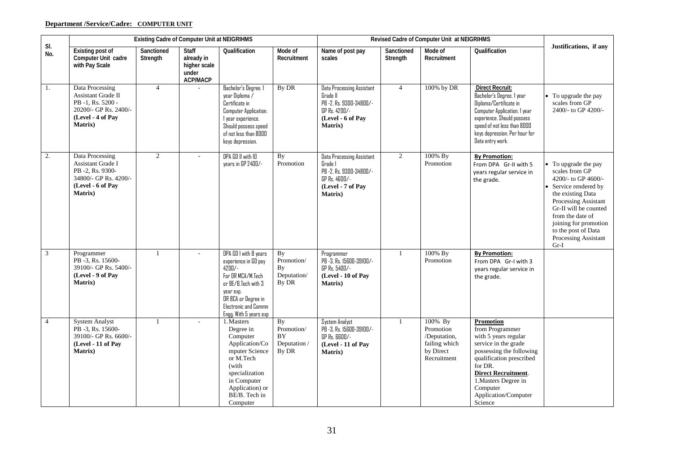# **Department /Service/Cadre: COMPUTER UNIT**

|                |                                                                                                                                   | <b>Existing Cadre of Computer Unit at NEIGRIHMS</b> |                                                                        |                                                                                                                                                                                               |                                                        |                                                                                                                                  |                        | Revised Cadre of Computer Unit at NEIGRIHMS                                       |                                                                                                                                                                                                                                                             |                                                                                                                                                                                                                                                                  |
|----------------|-----------------------------------------------------------------------------------------------------------------------------------|-----------------------------------------------------|------------------------------------------------------------------------|-----------------------------------------------------------------------------------------------------------------------------------------------------------------------------------------------|--------------------------------------------------------|----------------------------------------------------------------------------------------------------------------------------------|------------------------|-----------------------------------------------------------------------------------|-------------------------------------------------------------------------------------------------------------------------------------------------------------------------------------------------------------------------------------------------------------|------------------------------------------------------------------------------------------------------------------------------------------------------------------------------------------------------------------------------------------------------------------|
| SI.<br>No.     | <b>Existing post of</b><br>Computer Unit cadre<br>with Pay Scale                                                                  | Sanctioned<br>Strength                              | <b>Staff</b><br>already in<br>higher scale<br>under<br><b>ACP/MACP</b> | Qualification                                                                                                                                                                                 | Mode of<br>Recruitment                                 | Name of post pay<br>scales                                                                                                       | Sanctioned<br>Strength | Mode of<br>Recruitment                                                            | Qualification                                                                                                                                                                                                                                               | Justifications, if any                                                                                                                                                                                                                                           |
| 1.             | Data Processing<br><b>Assistant Grade II</b><br>PB-1, Rs. 5200 -<br>20200/- GP Rs. 2400/-<br>(Level - 4 of Pay<br><b>Matrix</b> ) | $\overline{4}$                                      |                                                                        | Bachelor's Degree. 1<br>year Diploma /<br>Certificate in<br>Computer Application.<br>I year experience.<br>Should possess speed<br>of not less than 8000<br>keys depression.                  | By DR                                                  | <b>Data Processing Assistant</b><br>Grade II<br>PB -2, Rs. 9300-34800/-<br>GP Rs. 4200/-<br>(Level - 6 of Pay<br><b>Matrix</b> ) | $\overline{4}$         | 100% by DR                                                                        | <b>Direct Recruit:</b><br>Bachelor's Degree. I year<br>Diploma/Certificate in<br>Computer Application. I year<br>experience. Should possess<br>speed of not less than 8000<br>keys depression. Per hour for<br>Data entry work.                             | • To upgrade the pay<br>scales from GP<br>2400/- to GP 4200/-                                                                                                                                                                                                    |
| 2.             | Data Processing<br>Assistant Grade I<br>PB -2, Rs. 9300-<br>34800/- GP Rs. 4200/-<br>(Level - 6 of Pay<br>Matrix)                 | $\overline{2}$                                      | $\overline{\phantom{a}}$                                               | DPA GD II with ID<br>years in GP 2400/-                                                                                                                                                       | By<br>Promotion                                        | Data Processing Assistant<br>Grade I<br>PB -2, Rs. 9300-34800/-<br>GP Rs. 4600/-<br>(Level - 7 of Pay<br><b>Matrix</b> )         | $\overline{2}$         | 100% By<br>Promotion                                                              | <b>By Promotion:</b><br>From DPA Gr-II with 5<br>years regular service in<br>the grade.                                                                                                                                                                     | • To upgrade the pay<br>scales from GP<br>4200/- to GP 4600/-<br>Service rendered by<br>the existing Data<br>Processing Assistant<br>Gr-II will be counted<br>from the date of<br>joining for promotion<br>to the post of Data<br>Processing Assistant<br>$Gr-I$ |
| 3              | Programmer<br>PB -3, Rs. 15600-<br>39100/- GP Rs. 5400/-<br>(Level - 9 of Pav<br><b>Matrix</b> )                                  | 1                                                   |                                                                        | DPA GD I with 8 years<br>experience in GD pay<br>$47\Pi/$ -<br>For DR MCA/M.Tech<br>or BE/B.Tech with 3<br>year exp.<br>OR BCA or Degree in<br>Electronic and Commn<br>Engg. With 5 years exp | By<br>Promotion/<br>By<br>Deputation/<br>By DR         | Programmer<br>PB -3, Rs. 15600-39100/-<br>GP Rs. 5400/-<br>(Level - 10 of Pay<br><b>Matrix</b> )                                 | $\mathbf{1}$           | 100% By<br>Promotion                                                              | <b>By Promotion:</b><br>From DPA Gr-I with 3<br>years regular service in<br>the grade.                                                                                                                                                                      |                                                                                                                                                                                                                                                                  |
| $\overline{4}$ | <b>System Analyst</b><br>PB -3, Rs. 15600-<br>39100/- GP Rs. 6600/-<br>(Level - 11 of Pay<br><b>Matrix</b> )                      | $\mathbf{1}$                                        |                                                                        | 1. Masters<br>Degree in<br>Computer<br>Application/Co<br>mputer Science<br>or M.Tech<br>(with<br>specialization<br>in Computer<br>Application) or<br>BE/B. Tech in<br>Computer                | <b>By</b><br>Promotion/<br>BY<br>Deputation /<br>By DR | System Analyst<br>PB -3, Rs. 15600-39100/-<br>GP Rs. 6600/-<br>(Level - 11 of Pay<br>Matrix)                                     |                        | 100% By<br>Promotion<br>/Deputation,<br>failing which<br>by Direct<br>Recruitment | <b>Promotion</b><br>from Programmer<br>with 5 years regular<br>service in the grade<br>possessing the following<br>qualification prescribed<br>for DR.<br><b>Direct Recruitment.</b><br>1. Masters Degree in<br>Computer<br>Application/Computer<br>Science |                                                                                                                                                                                                                                                                  |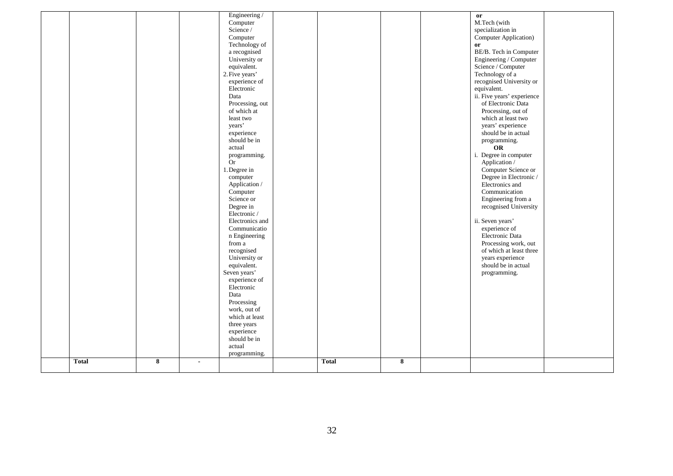|              |   |                | Engineering /<br>Computer<br>Science /<br>Computer<br>Technology of<br>a recognised<br>University or<br>equivalent.<br>2. Five years'<br>experience of<br>Electronic<br>Data<br>Processing, out<br>of which at<br>least two<br>years'<br>experience<br>should be in<br>actual<br>programming.<br><b>Or</b> |              |   | or<br>M.Tech (with<br>specialization in<br>Computer Application)<br>or<br>BE/B. Tech in Computer<br>Engineering / Computer<br>Science / Computer<br>Technology of a<br>recognised University or<br>equivalent.<br>ii. Five years' experience<br>of Electronic Data<br>Processing, out of<br>which at least two<br>years' experience<br>should be in actual<br>programming.<br>OR<br>i. Degree in computer<br>Application / |  |
|--------------|---|----------------|------------------------------------------------------------------------------------------------------------------------------------------------------------------------------------------------------------------------------------------------------------------------------------------------------------|--------------|---|----------------------------------------------------------------------------------------------------------------------------------------------------------------------------------------------------------------------------------------------------------------------------------------------------------------------------------------------------------------------------------------------------------------------------|--|
|              |   |                | Science or<br>Degree in<br>Electronic /<br>Electronics and<br>Communicatio<br>n Engineering<br>from a<br>recognised<br>University or<br>equivalent.<br>Seven years'<br>experience of                                                                                                                       |              |   | Engineering from a<br>recognised University<br>ii. Seven years'<br>experience of<br>Electronic Data<br>Processing work, out<br>of which at least three<br>years experience<br>should be in actual<br>programming.                                                                                                                                                                                                          |  |
|              |   |                | Electronic<br>Data<br>Processing<br>work, out of<br>which at least<br>three years<br>experience<br>should be in<br>actual<br>programming.                                                                                                                                                                  |              |   |                                                                                                                                                                                                                                                                                                                                                                                                                            |  |
| <b>Total</b> | 8 | $\blacksquare$ |                                                                                                                                                                                                                                                                                                            | <b>Total</b> | 8 |                                                                                                                                                                                                                                                                                                                                                                                                                            |  |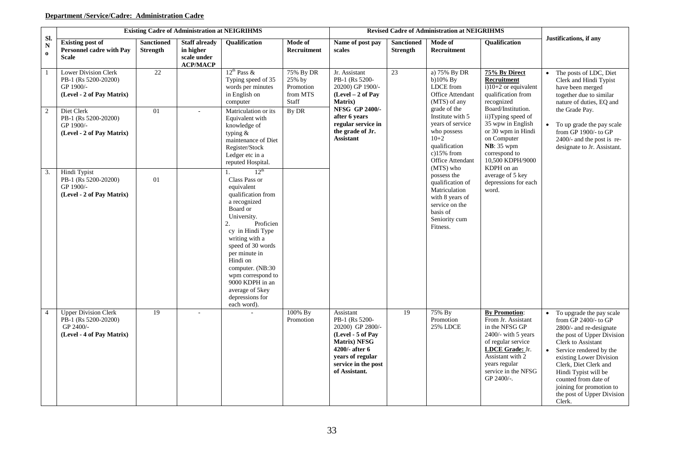# **Department /Service/Cadre: Administration Cadre**

|                              |                                                                                               |                                      | <b>Existing Cadre of Administration at NEIGRIHMS</b>                |                                                                                                                                                                                                                                                                                                                                                     |                                                       |                                                                                                                                                                    |                                      | <b>Revised Cadre of Administration at NEIGRIHMS</b>                                                                                             |                                                                                                                                                                                                           |                                                                                                                                                                                                                                                                                                                                                 |
|------------------------------|-----------------------------------------------------------------------------------------------|--------------------------------------|---------------------------------------------------------------------|-----------------------------------------------------------------------------------------------------------------------------------------------------------------------------------------------------------------------------------------------------------------------------------------------------------------------------------------------------|-------------------------------------------------------|--------------------------------------------------------------------------------------------------------------------------------------------------------------------|--------------------------------------|-------------------------------------------------------------------------------------------------------------------------------------------------|-----------------------------------------------------------------------------------------------------------------------------------------------------------------------------------------------------------|-------------------------------------------------------------------------------------------------------------------------------------------------------------------------------------------------------------------------------------------------------------------------------------------------------------------------------------------------|
| SI.<br>${\bf N}$<br>$\bf{0}$ | <b>Existing post of</b><br><b>Personnel cadre with Pay</b><br><b>Scale</b>                    | <b>Sanctioned</b><br><b>Strength</b> | <b>Staff already</b><br>in higher<br>scale under<br><b>ACP/MACP</b> | <b>Oualification</b>                                                                                                                                                                                                                                                                                                                                | Mode of<br>Recruitment                                | Name of post pay<br>scales                                                                                                                                         | <b>Sanctioned</b><br><b>Strength</b> | Mode of<br>Recruitment                                                                                                                          | <b>Oualification</b>                                                                                                                                                                                      | Justifications, if any                                                                                                                                                                                                                                                                                                                          |
|                              | Lower Division Clerk<br>PB-1 (Rs 5200-20200)<br>GP 1900/-<br>(Level - 2 of Pay Matrix)        | 22                                   |                                                                     | $12^{th}$ Pass &<br>Typing speed of 35<br>words per minutes<br>in English on<br>computer                                                                                                                                                                                                                                                            | 75% By DR<br>25% by<br>Promotion<br>from MTS<br>Staff | Jr. Assistant<br>PB-1 (Rs 5200-<br>20200) GP 1900/-<br>$(Level - 2 of Pay)$<br><b>Matrix</b> )                                                                     | 23                                   | a) 75% By DR<br>b) $10\%$ By<br>LDCE from<br>Office Attendant<br>(MTS) of any                                                                   | 75% By Direct<br>Recruitment<br>$\overline{1}$ (10+2 or equivalent<br>qualification from<br>recognized                                                                                                    | • The posts of LDC, Diet<br>Clerk and Hindi Typist<br>have been merged<br>together due to similar<br>nature of duties, EQ and                                                                                                                                                                                                                   |
| $\overline{2}$               | Diet Clerk<br>PB-1 (Rs 5200-20200)<br>GP 1900/-<br>(Level - 2 of Pay Matrix)                  | 01                                   |                                                                     | Matriculation or its<br>Equivalent with<br>knowledge of<br>typing &<br>maintenance of Diet<br>Register/Stock<br>Ledger etc in a<br>reputed Hospital.                                                                                                                                                                                                | By DR                                                 | NFSG GP 2400/-<br>after 6 years<br>regular service in<br>the grade of Jr.<br><b>Assistant</b>                                                                      |                                      | grade of the<br>Institute with 5<br>years of service<br>who possess<br>$10+2$<br>qualification<br>$c)15%$ from<br>Office Attendant<br>(MTS) who | Board/Institution.<br>ii)Typing speed of<br>35 wpw in English<br>or 30 wpm in Hindi<br>on Computer<br><b>NB</b> : 35 wpm<br>correspond to<br>10,500 KDPH/9000<br>KDPH on an                               | the Grade Pay.<br>• To up grade the pay scale<br>from $GP$ 1900/- to $GP$<br>$2400/-$ and the post is re-<br>designate to Jr. Assistant.                                                                                                                                                                                                        |
| 3.                           | Hindi Typist<br>PB-1 (Rs 5200-20200)<br>GP 1900/-<br>(Level - 2 of Pay Matrix)                | 01                                   |                                                                     | 12 <sup>th</sup><br>1.<br>Class Pass or<br>equivalent<br>qualification from<br>a recognized<br>Board or<br>University.<br>2.<br>Proficien<br>cy in Hindi Type<br>writing with a<br>speed of 30 words<br>per minute in<br>Hindi on<br>computer. (NB:30)<br>wpm correspond to<br>9000 KDPH in an<br>average of 5key<br>depressions for<br>each word). |                                                       |                                                                                                                                                                    |                                      | possess the<br>qualification of<br>Matriculation<br>with 8 years of<br>service on the<br>basis of<br>Seniority cum<br>Fitness.                  | average of 5 key<br>depressions for each<br>word.                                                                                                                                                         |                                                                                                                                                                                                                                                                                                                                                 |
| $\overline{4}$               | <b>Upper Division Clerk</b><br>PB-1 (Rs 5200-20200)<br>GP 2400/-<br>(Level - 4 of Pay Matrix) | 19                                   | $\overline{a}$                                                      |                                                                                                                                                                                                                                                                                                                                                     | 100% By<br>Promotion                                  | Assistant<br>PB-1 (Rs 5200-<br>20200) GP 2800/-<br>(Level - 5 of Pay<br>Matrix) NFSG<br>4200/- after 6<br>years of regular<br>service in the post<br>of Assistant. | 19                                   | 75% By<br>Promotion<br><b>25% LDCE</b>                                                                                                          | <b>By Promotion:</b><br>From Jr. Assistant<br>in the NFSG GP<br>$2400$ /- with 5 years<br>of regular service<br>LDCE Grade: Jr.<br>Assistant with 2<br>years regular<br>service in the NFSG<br>GP 2400/-. | To upgrade the pay scale<br>from GP 2400/- to GP<br>2800/- and re-designate<br>the post of Upper Division<br>Clerk to Assistant<br>$\bullet$<br>Service rendered by the<br>existing Lower Division<br>Clerk, Diet Clerk and<br>Hindi Typist will be<br>counted from date of<br>joining for promotion to<br>the post of Upper Division<br>Clerk. |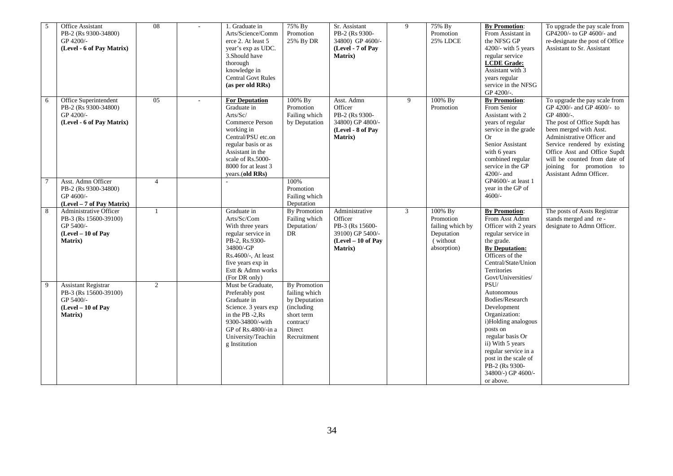| 5 | Office Assistant<br>PB-2 (Rs 9300-34800)<br>GP 4200/-<br>(Level - 6 of Pay Matrix)                    | $\overline{08}$ | $\sim$                   | 1. Graduate in<br>Arts/Science/Comm<br>erce 2. At least 5<br>year's exp as UDC.<br>3. Should have<br>thorough<br>knowledge in<br><b>Central Govt Rules</b><br>(as per old RRs)                                    | 75% By<br>Promotion<br>25% By DR                                                                                 | Sr. Assistant<br>PB-2 (Rs 9300-<br>34800) GP 4600/-<br>(Level - 7 of Pay<br><b>Matrix</b> )          | 9 | 75% By<br>Promotion<br><b>25% LDCE</b>                                            | <b>By Promotion:</b><br>From Assistant in<br>the NFSG GP<br>4200/- with 5 years<br>regular service<br><b>LCDE</b> Grade:<br>Assistant with 3<br>years regular<br>service in the NFSG<br>GP 4200/-.                                                    | To upgrade the pay scale from<br>GP4200/- to GP 4600/- and<br>re-designate the post of Office<br>Assistant to Sr. Assistant                                                                                                                                                                                              |
|---|-------------------------------------------------------------------------------------------------------|-----------------|--------------------------|-------------------------------------------------------------------------------------------------------------------------------------------------------------------------------------------------------------------|------------------------------------------------------------------------------------------------------------------|------------------------------------------------------------------------------------------------------|---|-----------------------------------------------------------------------------------|-------------------------------------------------------------------------------------------------------------------------------------------------------------------------------------------------------------------------------------------------------|--------------------------------------------------------------------------------------------------------------------------------------------------------------------------------------------------------------------------------------------------------------------------------------------------------------------------|
| 6 | Office Superintendent<br>PB-2 (Rs 9300-34800)<br>GP 4200/-<br>(Level - 6 of Pay Matrix)               | 05              | $\overline{\phantom{a}}$ | <b>For Deputation</b><br>Graduate in<br>Arts/Sc/<br>Commerce Person<br>working in<br>Central/PSU etc.on<br>regular basis or as<br>Assistant in the<br>scale of Rs.5000-<br>8000 for at least 3<br>years.(old RRs) | 100% By<br>Promotion<br>Failing which<br>by Deputation                                                           | Asst. Admn<br>Officer<br>PB-2 (Rs 9300-<br>34800) GP 4800/-<br>(Level - 8 of Pay<br>Matrix)          | 9 | 100% By<br>Promotion                                                              | <b>By Promotion:</b><br>From Senior<br>Assistant with 2<br>years of regular<br>service in the grade<br><b>Or</b><br>Senior Assistant<br>with 6 years<br>combined regular<br>service in the GP<br>$4200/-$ and                                         | To upgrade the pay scale from<br>GP 4200/- and GP 4600/- to<br>GP 4800/-.<br>The post of Office Supdt has<br>been merged with Asst.<br>Administrative Officer and<br>Service rendered by existing<br>Office Asst and Office Supdt<br>will be counted from date of<br>joining for promotion to<br>Assistant Admn Officer. |
|   | Asst. Admn Officer<br>PB-2 (Rs 9300-34800)<br>GP 4600/-<br>(Level - 7 of Pay Matrix)                  | $\overline{4}$  |                          |                                                                                                                                                                                                                   | 100%<br>Promotion<br>Failing which<br>Deputation                                                                 |                                                                                                      |   |                                                                                   | GP4600/- at least 1<br>year in the GP of<br>$4600/-$                                                                                                                                                                                                  |                                                                                                                                                                                                                                                                                                                          |
| 8 | Administrative Officer<br>PB-3 (Rs 15600-39100)<br>GP 5400/-<br>(Level - 10 of Pay<br><b>Matrix</b> ) | $\mathbf{1}$    |                          | Graduate in<br>Arts/Sc/Com<br>With three years<br>regular service in<br>PB-2, Rs.9300-<br>34800/-GP<br>Rs.4600/-, At least<br>five years exp in<br>Estt & Admn works<br>(For DR only)                             | <b>By Promotion</b><br>Failing which<br>Deputation/<br>DR                                                        | Administrative<br>Officer<br>PB-3 (Rs 15600-<br>39100) GP 5400/-<br>$(Level - 10 of Pay)$<br>Matrix) | 3 | 100% By<br>Promotion<br>failing which by<br>Deputation<br>(without<br>absorption) | <b>By Promotion:</b><br>From Asst Admn<br>Officer with 2 years<br>regular service in<br>the grade.<br><b>By Deputation:</b><br>Officers of the<br>Central/State/Union<br>Territories<br>Govt/Universities/                                            | The posts of Assts Registrar<br>stands merged and re-<br>designate to Admn Officer.                                                                                                                                                                                                                                      |
| 9 | <b>Assistant Registrar</b><br>PB-3 (Rs 15600-39100)<br>GP 5400/-<br>(Level - 10 of Pay<br>Matrix)     | $\overline{2}$  |                          | Must be Graduate,<br>Preferably post<br>Graduate in<br>Science. 3 years exp<br>in the PB -2,Rs<br>9300-34800/-with<br>GP of $Rs.4800/$ -in a<br>University/Teachin<br>g Institution                               | By Promotion<br>failing which<br>by Deputation<br>(including<br>short term<br>contract/<br>Direct<br>Recruitment |                                                                                                      |   |                                                                                   | PSU/<br>Autonomous<br>Bodies/Research<br>Development<br>Organization:<br>i)Holding analogous<br>posts on<br>regular basis Or<br>ii) With 5 years<br>regular service in a<br>post in the scale of<br>PB-2 (Rs 9300-<br>34800/-) GP 4600/-<br>or above. |                                                                                                                                                                                                                                                                                                                          |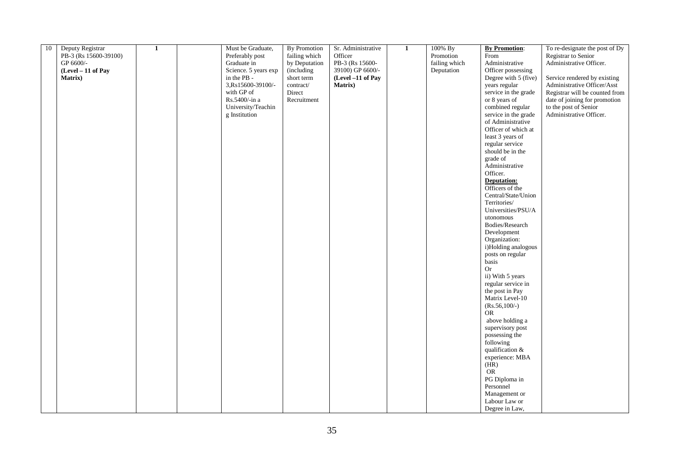| 10 | Deputy Registrar      | $\mathbf{1}$ | Must be Graduate,    | By Promotion  | Sr. Administrative | 1 | 100% By       | <b>By Promotion:</b>      | To re-designate the post of Dy |
|----|-----------------------|--------------|----------------------|---------------|--------------------|---|---------------|---------------------------|--------------------------------|
|    | PB-3 (Rs 15600-39100) |              | Preferably post      | failing which | Officer            |   | Promotion     | From                      | Registrar to Senior            |
|    | GP 6600/-             |              | Graduate in          | by Deputation | PB-3 (Rs 15600-    |   | failing which | Administrative            | Administrative Officer.        |
|    | (Level - 11 of Pay    |              | Science. 5 years exp | (including    | 39100) GP 6600/-   |   | Deputation    | Officer possessing        |                                |
|    | Matrix)               |              | in the PB -          | short term    | (Level -11 of Pay  |   |               | Degree with 5 (five)      | Service rendered by existing   |
|    |                       |              | 3,Rs15600-39100/-    | contract/     | <b>Matrix</b> )    |   |               | years regular             | Administrative Officer/Asst    |
|    |                       |              | with GP of           | Direct        |                    |   |               | service in the grade      | Registrar will be counted from |
|    |                       |              | Rs.5400/-in a        | Recruitment   |                    |   |               | or 8 years of             | date of joining for promotion  |
|    |                       |              | University/Teachin   |               |                    |   |               | combined regular          | to the post of Senior          |
|    |                       |              | g Institution        |               |                    |   |               | service in the grade      | Administrative Officer.        |
|    |                       |              |                      |               |                    |   |               | of Administrative         |                                |
|    |                       |              |                      |               |                    |   |               | Officer of which at       |                                |
|    |                       |              |                      |               |                    |   |               | least 3 years of          |                                |
|    |                       |              |                      |               |                    |   |               | regular service           |                                |
|    |                       |              |                      |               |                    |   |               | should be in the          |                                |
|    |                       |              |                      |               |                    |   |               | grade of                  |                                |
|    |                       |              |                      |               |                    |   |               | Administrative            |                                |
|    |                       |              |                      |               |                    |   |               | Officer.                  |                                |
|    |                       |              |                      |               |                    |   |               | <b>Deputation:</b>        |                                |
|    |                       |              |                      |               |                    |   |               | Officers of the           |                                |
|    |                       |              |                      |               |                    |   |               | Central/State/Union       |                                |
|    |                       |              |                      |               |                    |   |               | Territories/              |                                |
|    |                       |              |                      |               |                    |   |               | Universities/PSU/A        |                                |
|    |                       |              |                      |               |                    |   |               | utonomous                 |                                |
|    |                       |              |                      |               |                    |   |               | Bodies/Research           |                                |
|    |                       |              |                      |               |                    |   |               | Development               |                                |
|    |                       |              |                      |               |                    |   |               | Organization:             |                                |
|    |                       |              |                      |               |                    |   |               | i)Holding analogous       |                                |
|    |                       |              |                      |               |                    |   |               | posts on regular<br>basis |                                |
|    |                       |              |                      |               |                    |   |               | <b>Or</b>                 |                                |
|    |                       |              |                      |               |                    |   |               | ii) With 5 years          |                                |
|    |                       |              |                      |               |                    |   |               | regular service in        |                                |
|    |                       |              |                      |               |                    |   |               | the post in Pay           |                                |
|    |                       |              |                      |               |                    |   |               | Matrix Level-10           |                                |
|    |                       |              |                      |               |                    |   |               | $(Rs.56, 100/-)$          |                                |
|    |                       |              |                      |               |                    |   |               | <b>OR</b>                 |                                |
|    |                       |              |                      |               |                    |   |               | above holding a           |                                |
|    |                       |              |                      |               |                    |   |               | supervisory post          |                                |
|    |                       |              |                      |               |                    |   |               | possessing the            |                                |
|    |                       |              |                      |               |                    |   |               | following                 |                                |
|    |                       |              |                      |               |                    |   |               | qualification &           |                                |
|    |                       |              |                      |               |                    |   |               | experience: MBA           |                                |
|    |                       |              |                      |               |                    |   |               | (HR)                      |                                |
|    |                       |              |                      |               |                    |   |               | <b>OR</b>                 |                                |
|    |                       |              |                      |               |                    |   |               | PG Diploma in             |                                |
|    |                       |              |                      |               |                    |   |               | Personnel                 |                                |
|    |                       |              |                      |               |                    |   |               | Management or             |                                |
|    |                       |              |                      |               |                    |   |               | Labour Law or             |                                |
|    |                       |              |                      |               |                    |   |               | Degree in Law,            |                                |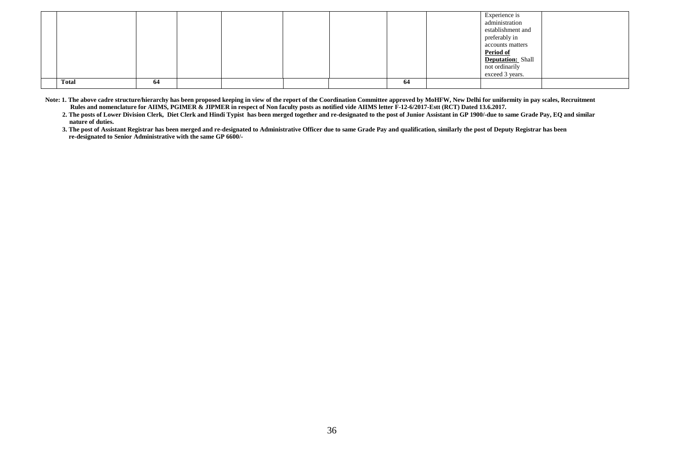|       |    |  |  |    | Experience is<br>administration<br>establishment and<br>preferably in<br>accounts matters<br><b>Period of</b><br><b>Deputation:</b> Shall<br>not ordinarily<br>exceed 3 years. |  |
|-------|----|--|--|----|--------------------------------------------------------------------------------------------------------------------------------------------------------------------------------|--|
| Total | 64 |  |  | 64 |                                                                                                                                                                                |  |

Note: 1. The above cadre structure/hierarchy has been proposed keeping in view of the report of the Coordination Committee approved by MoHFW, New Delhi for uniformity in pay scales, Recruitment Rules and nomenclature for AIIMS, PGIMER & JIPMER in respect of Non faculty posts as notified vide AIIMS letter F-12-6/2017-Estt (RCT) Dated 13.6.2017.

**2. The posts of Lower Division Clerk, Diet Clerk and Hindi Typist has been merged together and re-designated to the post of Junior Assistant in GP 1900/-due to same Grade Pay, EQ and similar nature of duties.**

**3. The post of Assistant Registrar has been merged and re-designated to Administrative Officer due to same Grade Pay and qualification, similarly the post of Deputy Registrar has been re-designated to Senior Administrative with the same GP 6600/-**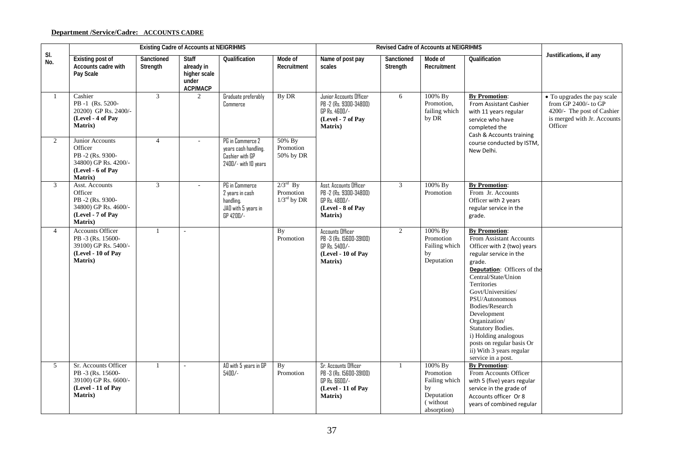# **Department /Service/Cadre: ACCOUNTS CADRE**

|                 |                                                                                                               |                        | <b>Existing Cadre of Accounts at NEIGRIHMS</b>                         |                                                                                     |                                                           |                                                                                                           |                        | <b>Revised Cadre of Accounts at NEIGRIHMS</b>                                         |                                                                                                                                                                                                                                                                                                                                                                                                                      |                                                                                                                             |
|-----------------|---------------------------------------------------------------------------------------------------------------|------------------------|------------------------------------------------------------------------|-------------------------------------------------------------------------------------|-----------------------------------------------------------|-----------------------------------------------------------------------------------------------------------|------------------------|---------------------------------------------------------------------------------------|----------------------------------------------------------------------------------------------------------------------------------------------------------------------------------------------------------------------------------------------------------------------------------------------------------------------------------------------------------------------------------------------------------------------|-----------------------------------------------------------------------------------------------------------------------------|
| SI.<br>No.      | <b>Existing post of</b><br>Accounts cadre with<br>Pay Scale                                                   | Sanctioned<br>Strength | <b>Staff</b><br>already in<br>higher scale<br>under<br><b>ACP/MACP</b> | Qualification                                                                       | Mode of<br>Recruitment                                    | Name of post pay<br>scales                                                                                | Sanctioned<br>Strength | Mode of<br>Recruitment                                                                | Qualification                                                                                                                                                                                                                                                                                                                                                                                                        | Justifications, if any                                                                                                      |
| $\mathbf{1}$    | Cashier<br>PB-1 (Rs. 5200-<br>20200) GP Rs. 2400/-<br>(Level - 4 of Pay<br><b>Matrix</b> )                    | 3                      | 2                                                                      | Graduate preferably<br>Commerce                                                     | By DR                                                     | Junior Accounts Officer<br>PB -2 (Rs. 9300-34800)<br>GP Rs. 4600/-<br>(Level - 7 of Pay<br>Matrix)        | 6                      | 100% By<br>Promotion.<br>failing which<br>by DR                                       | <b>By Promotion:</b><br>From Assistant Cashier<br>with 11 years regular<br>service who have<br>completed the<br>Cash & Accounts training                                                                                                                                                                                                                                                                             | • To upgrades the pay scale<br>from GP 2400/- to GP<br>4200/- The post of Cashier<br>is merged with Jr. Accounts<br>Officer |
| 2               | Junior Accounts<br>Officer<br>PB-2 (Rs. 9300-<br>34800) GP Rs. 4200/-<br>(Level - 6 of Pav<br>Matrix)         | $\overline{4}$         | ٠                                                                      | PG in Commerce 2<br>years cash handling.<br>Cashier with GP<br>2400/- with 10 years | 50% By<br>Promotion<br>50% by DR                          |                                                                                                           |                        |                                                                                       | course conducted by ISTM,<br>New Delhi.                                                                                                                                                                                                                                                                                                                                                                              |                                                                                                                             |
| 3               | Asst. Accounts<br>Officer<br>PB -2 (Rs. 9300-<br>34800) GP Rs. 4600/-<br>(Level - 7 of Pay<br><b>Matrix</b> ) | $\overline{3}$         | $\overline{a}$                                                         | PG in Commerce<br>2 years in cash<br>handling.<br>JAD with 5 years in<br>GP 4200/-  | $2/3^{\text{rd}}$ By<br>Promotion<br>$1/3^{\rm rd}$ by DR | Asst. Accounts Officer<br>PB -2 (Rs. 9300-34800)<br>GP Rs. 4800/-<br>(Level - 8 of Pay<br><b>Matrix</b> ) | $\mathfrak{Z}$         | 100% By<br>Promotion                                                                  | <b>By Promotion:</b><br>From Jr. Accounts<br>Officer with 2 years<br>regular service in the<br>grade.                                                                                                                                                                                                                                                                                                                |                                                                                                                             |
| $\overline{4}$  | <b>Accounts Officer</b><br>PB-3 (Rs. 15600-<br>39100) GP Rs. 5400/-<br>(Level - 10 of Pay<br>Matrix)          | $\mathbf{1}$           | $\sim$                                                                 |                                                                                     | By<br>Promotion                                           | <b>Accounts Officer</b><br>PB -3 (Rs. 15600-39100)<br>GP Rs. 5400/-<br>(Level - 10 of Pay<br>Matrix)      | $\overline{2}$         | 100% By<br>Promotion<br>Failing which<br>by<br>Deputation                             | <b>By Promotion:</b><br>From Assistant Accounts<br>Officer with 2 (two) years<br>regular service in the<br>grade.<br>Deputation: Officers of the<br>Central/State/Union<br>Territories<br>Govt/Universities/<br>PSU/Autonomous<br>Bodies/Research<br>Development<br>Organization/<br><b>Statutory Bodies.</b><br>i) Holding analogous<br>posts on regular basis Or<br>ii) With 3 years regular<br>service in a post. |                                                                                                                             |
| $5\overline{)}$ | Sr. Accounts Officer<br>PB-3 (Rs. 15600-<br>39100) GP Rs. 6600/-<br>(Level - 11 of Pay<br>Matrix)             | 1                      | $\sim$                                                                 | AD with 5 years in GP<br>5400/-                                                     | <b>By</b><br>Promotion                                    | <b>Sr. Accounts Officer</b><br>PB -3 (Rs. 15600-39100)<br>GP Rs. 6600/-<br>(Level - 11 of Pay<br>Matrix)  | $\mathbf{1}$           | 100% By<br>Promotion<br>Failing which<br>by<br>Deputation<br>(without)<br>absorption) | <b>By Promotion:</b><br>From Accounts Officer<br>with 5 (five) years regular<br>service in the grade of<br>Accounts officer Or 8<br>years of combined regular                                                                                                                                                                                                                                                        |                                                                                                                             |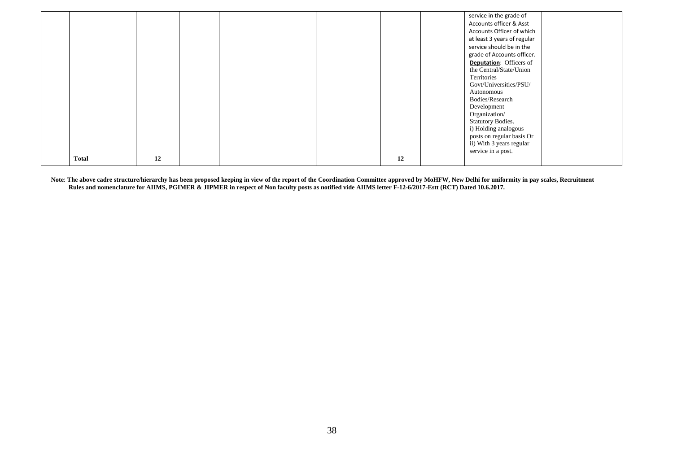|       |    |  |  |    | service in the grade of<br>Accounts officer & Asst<br>Accounts Officer of which<br>at least 3 years of regular<br>service should be in the<br>grade of Accounts officer.<br><b>Deputation:</b> Officers of<br>the Central/State/Union<br>Territories<br>Govt/Universities/PSU/<br>Autonomous<br>Bodies/Research<br>Development<br>Organization/<br><b>Statutory Bodies.</b><br>i) Holding analogous<br>posts on regular basis Or<br>ii) With 3 years regular<br>service in a post. |  |
|-------|----|--|--|----|------------------------------------------------------------------------------------------------------------------------------------------------------------------------------------------------------------------------------------------------------------------------------------------------------------------------------------------------------------------------------------------------------------------------------------------------------------------------------------|--|
| Total | 12 |  |  | 12 |                                                                                                                                                                                                                                                                                                                                                                                                                                                                                    |  |

Note: The above cadre structure/hierarchy has been proposed keeping in view of the report of the Coordination Committee approved by MoHFW, New Delhi for uniformity in pay scales, Recruitment  **Rules and nomenclature for AIIMS, PGIMER & JIPMER in respect of Non faculty posts as notified vide AIIMS letter F-12-6/2017-Estt (RCT) Dated 10.6.2017.**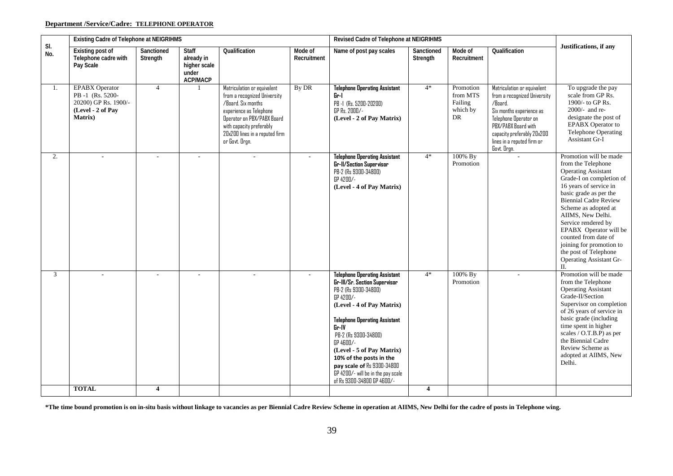# **Department /Service/Cadre: TELEPHONE OPERATOR**

|            | Existing Cadre of Telephone at NEIGRIHMS                                                                 |                        |                                                                        |                                                                                                                                                                                                                            |                        | Revised Cadre of Telephone at NEIGRIHMS                                                                                                                                                                                                                                                                                                                                                 |                        |                                                    |                                                                                                                                                                                                                               |                                                                                                                                                                                                                                                                                                                                                                                                                    |
|------------|----------------------------------------------------------------------------------------------------------|------------------------|------------------------------------------------------------------------|----------------------------------------------------------------------------------------------------------------------------------------------------------------------------------------------------------------------------|------------------------|-----------------------------------------------------------------------------------------------------------------------------------------------------------------------------------------------------------------------------------------------------------------------------------------------------------------------------------------------------------------------------------------|------------------------|----------------------------------------------------|-------------------------------------------------------------------------------------------------------------------------------------------------------------------------------------------------------------------------------|--------------------------------------------------------------------------------------------------------------------------------------------------------------------------------------------------------------------------------------------------------------------------------------------------------------------------------------------------------------------------------------------------------------------|
| SI.<br>No. | Existing post of<br>Telephone cadre with<br>Pay Scale                                                    | Sanctioned<br>Strength | <b>Staff</b><br>already in<br>higher scale<br>under<br><b>ACP/MACP</b> | Qualification                                                                                                                                                                                                              | Mode of<br>Recruitment | Name of post pay scales                                                                                                                                                                                                                                                                                                                                                                 | Sanctioned<br>Strength | Mode of<br>Recruitment                             | Qualification                                                                                                                                                                                                                 | Justifications, if any                                                                                                                                                                                                                                                                                                                                                                                             |
| 1.         | <b>EPABX</b> Operator<br>PB-1 (Rs. 5200-<br>20200) GP Rs. 1900/-<br>(Level - 2 of Pay<br><b>Matrix</b> ) | $\overline{4}$         |                                                                        | Matriculation or equivalent<br>from a recognized University<br>/Board. Six months<br>experience as Telephone<br>Operator on PBX/PABX Board<br>with capacity preferably<br>20x200 lines in a reputed firm<br>or Govt. Orgn. | By DR                  | <b>Telephone Operating Assistant</b><br>Gr-I<br>PB-1 (Rs. 5200-20200)<br>GP Rs. 2000/-<br>(Level - 2 of Pay Matrix)                                                                                                                                                                                                                                                                     | $4*$                   | Promotion<br>from MTS<br>Failing<br>which by<br>DR | Matriculation or equivalent<br>from a recognized University<br>/Board.<br>Six months experience as<br>Telephone Operator on<br>PBX/PABX Board with<br>capacity preferably 20x200<br>lines in a reputed firm or<br>Govt. Orgn. | To upgrade the pay<br>scale from GP Rs.<br>1900/- to GP Rs.<br>$2000/-$ and re-<br>designate the post of<br>EPABX Operator to<br>Telephone Operating<br>Assistant Gr-I                                                                                                                                                                                                                                             |
| 2.         | $\sim$                                                                                                   |                        | $\sim$                                                                 |                                                                                                                                                                                                                            |                        | <b>Telephone Operating Assistant</b><br>Gr-II/Section Supervisor<br>PB-2 (Rs 9300-34800)<br>GP 4200/-<br>(Level - 4 of Pay Matrix)                                                                                                                                                                                                                                                      | $4*$                   | 100% By<br>Promotion                               |                                                                                                                                                                                                                               | Promotion will be made<br>from the Telephone<br><b>Operating Assistant</b><br>Grade-I on completion of<br>16 years of service in<br>basic grade as per the<br><b>Biennial Cadre Review</b><br>Scheme as adopted at<br>AIIMS, New Delhi.<br>Service rendered by<br>EPABX Operator will be<br>counted from date of<br>joining for promotion to<br>the post of Telephone<br><b>Operating Assistant Gr-</b><br>$\Pi$ . |
| 3          |                                                                                                          |                        |                                                                        |                                                                                                                                                                                                                            |                        | <b>Telephone Operating Assistant</b><br>Gr-III/Sr. Section Supervisor<br>PB-2 (Rs 9300-34800)<br>GP 4200/-<br>(Level - 4 of Pay Matrix)<br><b>Telephone Operating Assistant</b><br>Gr-IV<br>PB-2 (Rs 9300-34800)<br>GP 4600/-<br>(Level - 5 of Pay Matrix)<br>10% of the posts in the<br>pay scale of Rs 9300-34800<br>GP 4200/- will be in the pay scale<br>of Rs 9300-34800 GP 4600/- | $4*$                   | 100% By<br>Promotion                               |                                                                                                                                                                                                                               | Promotion will be made<br>from the Telephone<br><b>Operating Assistant</b><br>Grade-II/Section<br>Supervisor on completion<br>of 26 years of service in<br>basic grade (including<br>time spent in higher<br>scales / O.T.B.P) as per<br>the Biennial Cadre<br>Review Scheme as<br>adopted at AIIMS, New<br>Delhi.                                                                                                 |
|            | <b>TOTAL</b>                                                                                             | $\overline{4}$         |                                                                        |                                                                                                                                                                                                                            |                        |                                                                                                                                                                                                                                                                                                                                                                                         | 4                      |                                                    |                                                                                                                                                                                                                               |                                                                                                                                                                                                                                                                                                                                                                                                                    |

**\*The time bound promotion is on in-situ basis without linkage to vacancies as per Biennial Cadre Review Scheme in operation at AIIMS, New Delhi for the cadre of posts in Telephone wing.**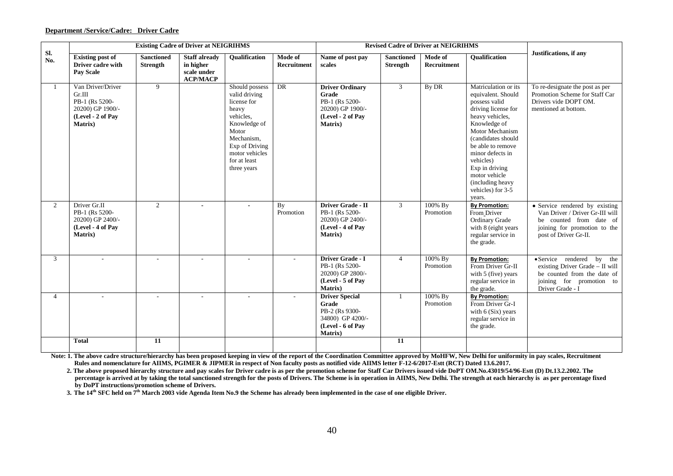#### **Department /Service/Cadre: Driver Cadre**

|                |                                                                                                   |                                      | <b>Existing Cadre of Driver at NEIGRIHMS</b>                        |                                                                                                                                                                                |                               |                                                                                                       |                                      | <b>Revised Cadre of Driver at NEIGRIHMS</b> |                                                                                                                                                                                                                                                                                                             |                                                                                                                                                       |
|----------------|---------------------------------------------------------------------------------------------------|--------------------------------------|---------------------------------------------------------------------|--------------------------------------------------------------------------------------------------------------------------------------------------------------------------------|-------------------------------|-------------------------------------------------------------------------------------------------------|--------------------------------------|---------------------------------------------|-------------------------------------------------------------------------------------------------------------------------------------------------------------------------------------------------------------------------------------------------------------------------------------------------------------|-------------------------------------------------------------------------------------------------------------------------------------------------------|
| Sl.<br>No.     | <b>Existing post of</b><br>Driver cadre with<br><b>Pay Scale</b>                                  | <b>Sanctioned</b><br><b>Strength</b> | <b>Staff already</b><br>in higher<br>scale under<br><b>ACP/MACP</b> | <b>Oualification</b>                                                                                                                                                           | Mode of<br><b>Recruitment</b> | Name of post pay<br>scales                                                                            | <b>Sanctioned</b><br><b>Strength</b> | Mode of<br>Recruitment                      | <b>Qualification</b>                                                                                                                                                                                                                                                                                        | Justifications, if any                                                                                                                                |
| -1             | Van Driver/Driver<br>Gr.III<br>PB-1 (Rs 5200-<br>20200) GP 1900/-<br>(Level - 2 of Pay<br>Matrix) | 9                                    |                                                                     | Should possess<br>valid driving<br>license for<br>heavy<br>vehicles.<br>Knowledge of<br>Motor<br>Mechanism,<br>Exp of Driving<br>motor vehicles<br>for at least<br>three years | DR                            | <b>Driver Ordinary</b><br>Grade<br>PB-1 (Rs 5200-<br>20200) GP 1900/-<br>(Level - 2 of Pav<br>Matrix) | $\mathfrak{Z}$                       | By DR                                       | Matriculation or its<br>equivalent. Should<br>possess valid<br>driving license for<br>heavy vehicles,<br>Knowledge of<br>Motor Mechanism<br>(candidates should<br>be able to remove<br>minor defects in<br>vehicles)<br>Exp in driving<br>motor vehicle<br>(including heavy)<br>vehicles) for 3-5<br>years. | To re-designate the post as per<br>Promotion Scheme for Staff Car<br>Drivers vide DOPT OM.<br>mentioned at bottom.                                    |
| 2              | Driver Gr.II<br>PB-1 (Rs 5200-<br>20200) GP 2400/-<br>(Level - 4 of Pav<br><b>Matrix</b> )        | $\overline{2}$                       | $\blacksquare$                                                      |                                                                                                                                                                                | By<br>Promotion               | Driver Grade - II<br>PB-1 (Rs 5200-<br>20200) GP 2400/-<br>(Level - 4 of Pay<br><b>Matrix</b> )       | $\mathfrak{Z}$                       | 100% By<br>Promotion                        | <b>By Promotion:</b><br>From Driver<br>Ordinary Grade<br>with 8 (eight years<br>regular service in<br>the grade.                                                                                                                                                                                            | • Service rendered by existing<br>Van Driver / Driver Gr-III will<br>be counted from date of<br>joining for promotion to the<br>post of Driver Gr-II. |
| $\mathfrak{Z}$ |                                                                                                   | $\mathbf{r}$                         | $\sim$                                                              | $\sim$                                                                                                                                                                         | $\sim$                        | Driver Grade - I<br>PB-1 (Rs 5200-<br>20200) GP 2800/-<br>(Level - 5 of Pay<br><b>Matrix</b> )        | $\overline{4}$                       | 100% By<br>Promotion                        | <b>By Promotion:</b><br>From Driver Gr-II<br>with 5 (five) years<br>regular service in<br>the grade.                                                                                                                                                                                                        | • Service rendered by the<br>existing Driver Grade - II will<br>be counted from the date of<br>joining for promotion to<br>Driver Grade - I           |
| $\overline{4}$ |                                                                                                   | ÷.                                   | $\sim$                                                              | $\sim$                                                                                                                                                                         |                               | <b>Driver Special</b><br>Grade<br>PB-2 (Rs 9300-<br>34800) GP 4200/-<br>(Level - 6 of Pay<br>Matrix)  | $\mathbf{1}$                         | 100% By<br>Promotion                        | <b>By Promotion:</b><br>From Driver Gr-I<br>with $6(Six)$ years<br>regular service in<br>the grade.                                                                                                                                                                                                         |                                                                                                                                                       |
|                | <b>Total</b>                                                                                      | $\overline{11}$                      |                                                                     |                                                                                                                                                                                |                               |                                                                                                       | 11                                   |                                             |                                                                                                                                                                                                                                                                                                             |                                                                                                                                                       |

Note: 1. The above cadre structure/hierarchy has been proposed keeping in view of the report of the Coordination Committee approved by MoHFW, New Delhi for uniformity in pay scales, Recruitment  **Rules and nomenclature for AIIMS, PGIMER & JIPMER in respect of Non faculty posts as notified vide AIIMS letter F-12-6/2017-Estt (RCT) Dated 13.6.2017.**

**2. The above proposed hierarchy structure and pay scales for Driver cadre is as per the promotion scheme for Staff Car Drivers issued vide DoPT OM.No.43019/54/96-Estt (D) Dt.13.2.2002. The percentage is arrived at by taking the total sanctioned strength for the posts of Drivers. The Scheme is in operation in AIIMS, New Delhi. The strength at each hierarchy is as per percentage fixed by DoPT instructions/promotion scheme of Drivers.** 

**3. The 14th SFC held on 7th March 2003 vide Agenda Item No.9 the Scheme has already been implemented in the case of one eligible Driver.**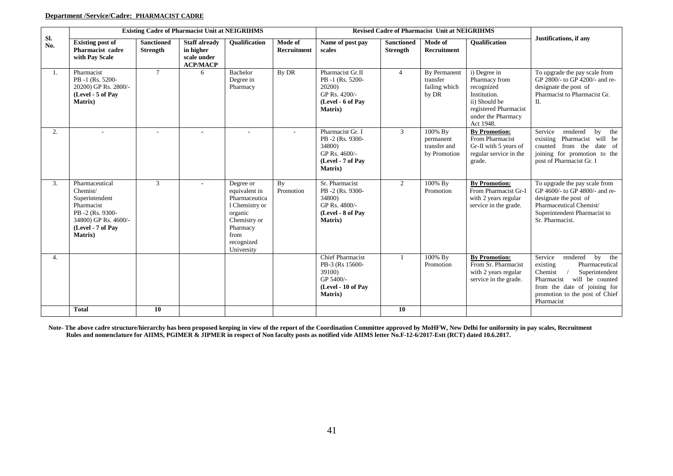#### **Department /Service/Cadre: PHARMACIST CADRE**

|            |                                                                                                                                               |                               | <b>Existing Cadre of Pharmacist Unit at NEIGRIHMS</b>               |                                                                                                                                          |                               |                                                                                                      |                                      | <b>Revised Cadre of Pharmacist Unit at NEIGRIHMS</b> |                                                                                                                                          |                                                                                                                                                                                                              |
|------------|-----------------------------------------------------------------------------------------------------------------------------------------------|-------------------------------|---------------------------------------------------------------------|------------------------------------------------------------------------------------------------------------------------------------------|-------------------------------|------------------------------------------------------------------------------------------------------|--------------------------------------|------------------------------------------------------|------------------------------------------------------------------------------------------------------------------------------------------|--------------------------------------------------------------------------------------------------------------------------------------------------------------------------------------------------------------|
| Sl.<br>No. | <b>Existing post of</b><br>Pharmacist cadre<br>with Pay Scale                                                                                 | <b>Sanctioned</b><br>Strength | <b>Staff already</b><br>in higher<br>scale under<br><b>ACP/MACP</b> | <b>Oualification</b>                                                                                                                     | Mode of<br><b>Recruitment</b> | Name of post pay<br>scales                                                                           | <b>Sanctioned</b><br><b>Strength</b> | <b>Mode of</b><br>Recruitment                        | <b>Oualification</b>                                                                                                                     | Justifications, if any                                                                                                                                                                                       |
| 1.         | Pharmacist<br>PB-1 (Rs. 5200-<br>20200) GP Rs. 2800/-<br>(Level - 5 of Pay<br>Matrix)                                                         | $\tau$                        | 6                                                                   | Bachelor<br>Degree in<br>Pharmacy                                                                                                        | By DR                         | Pharmacist Gr.II<br>PB-1 (Rs. 5200-<br>20200)<br>GP Rs. 4200/-<br>(Level - 6 of Pay<br>Matrix)       | $\overline{4}$                       | By Permanent<br>transfer<br>failing which<br>by DR   | i) Degree in<br>Pharmacy from<br>recognized<br>Institution.<br>ii) Should be<br>registered Pharmacist<br>under the Pharmacy<br>Act 1948. | To upgrade the pay scale from<br>GP 2800/- to GP 4200/- and re-<br>designate the post of<br>Pharmacist to Pharmacist Gr.<br>II.                                                                              |
| 2.         | $\sim$                                                                                                                                        | ÷.                            | $\blacksquare$                                                      | $\sim$                                                                                                                                   |                               | Pharmacist Gr. I<br>PB-2 (Rs. 9300-<br>34800)<br>GP Rs. 4600/-<br>(Level - 7 of Pay<br>Matrix)       | 3                                    | 100% By<br>permanent<br>transfer and<br>by Promotion | <b>By Promotion:</b><br>From Pharmacist<br>Gr-II with 5 years of<br>regular service in the<br>grade.                                     | Service<br>rendered<br>by<br>the<br>Pharmacist will be<br>existing<br>from the date of<br>counted<br>joining for promotion to the<br>post of Pharmacist Gr. I                                                |
| 3.         | Pharmaceutical<br>Chemist/<br>Superintendent<br>Pharmacist<br>PB-2 (Rs. 9300-<br>34800) GP Rs. 4600/-<br>(Level - 7 of Pay<br><b>Matrix</b> ) | 3                             |                                                                     | Degree or<br>equivalent in<br>Pharmaceutica<br>1 Chemistry or<br>organic<br>Chemistry or<br>Pharmacy<br>from<br>recognized<br>University | By<br>Promotion               | Sr. Pharmacist<br>PB-2 (Rs. 9300-<br>34800)<br>GP Rs. 4800/-<br>(Level - 8 of Pay<br><b>Matrix</b> ) | 2                                    | 100% By<br>Promotion                                 | <b>By Promotion:</b><br>From Pharmacist Gr-I<br>with 2 years regular<br>service in the grade.                                            | To upgrade the pay scale from<br>GP 4600/- to GP 4800/- and re-<br>designate the post of<br>Pharmaceutical Chemist/<br>Superintendent Pharmacist to<br>Sr. Pharmacist.                                       |
| 4.         |                                                                                                                                               |                               |                                                                     |                                                                                                                                          |                               | <b>Chief Pharmacist</b><br>PB-3 (Rs 15600-<br>39100)<br>GP 5400/-<br>(Level - 10 of Pay<br>Matrix)   |                                      | 100% By<br>Promotion                                 | <b>By Promotion:</b><br>From Sr. Pharmacist<br>with 2 years regular<br>service in the grade.                                             | Service<br>rendered<br>by<br>the<br>existing<br>Pharmaceutical<br>Chemist<br>Superintendent<br>Pharmacist<br>will be counted<br>from the date of joining for<br>promotion to the post of Chief<br>Pharmacist |
|            | <b>Total</b>                                                                                                                                  | 10                            |                                                                     |                                                                                                                                          |                               |                                                                                                      | 10                                   |                                                      |                                                                                                                                          |                                                                                                                                                                                                              |

 **Note- The above cadre structure/hierarchy has been proposed keeping in view of the report of the Coordination Committee approved by MoHFW, New Delhi for uniformity in pay scales, Recruitment Rules and nomenclature for AIIMS, PGIMER & JIPMER in respect of Non faculty posts as notified vide AIIMS letter No.F-12-6/2017-Estt (RCT) dated 10.6.2017.**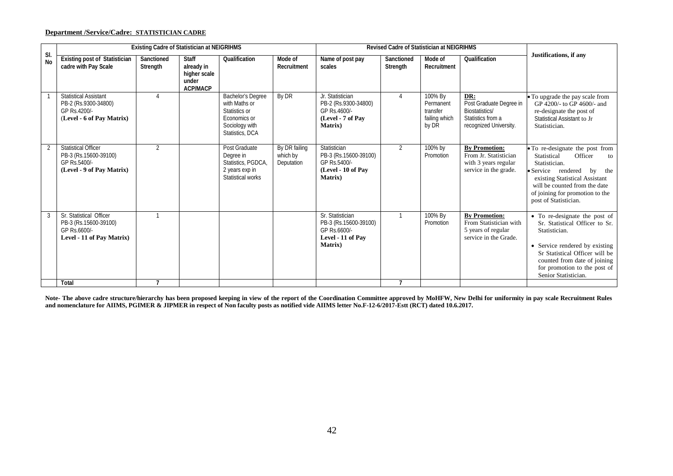### **Department /Service/Cadre: STATISTICIAN CADRE**

|                  |                                                                                                   | <b>Existing Cadre of Statistician at NEIGRIHMS</b> |                                                                        |                                                                                                          |                                         | Revised Cadre of Statistician at NEIGRIHMS                                                        |                        |                                                            |                                                                                                 |                                                                                                                                                                                                                                                 |
|------------------|---------------------------------------------------------------------------------------------------|----------------------------------------------------|------------------------------------------------------------------------|----------------------------------------------------------------------------------------------------------|-----------------------------------------|---------------------------------------------------------------------------------------------------|------------------------|------------------------------------------------------------|-------------------------------------------------------------------------------------------------|-------------------------------------------------------------------------------------------------------------------------------------------------------------------------------------------------------------------------------------------------|
| SI.<br><b>No</b> | <b>Existing post of Statistician</b><br>cadre with Pay Scale                                      | Sanctioned<br>Strength                             | <b>Staff</b><br>already in<br>higher scale<br>under<br><b>ACP/MACP</b> | Qualification                                                                                            | Mode of<br>Recruitment                  | Name of post pay<br>scales                                                                        | Sanctioned<br>Strength | Mode of<br>Recruitment                                     | Qualification                                                                                   | Justifications, if any                                                                                                                                                                                                                          |
|                  | <b>Statistical Assistant</b><br>PB-2 (Rs.9300-34800)<br>GP Rs.4200/-<br>(Level - 6 of Pay Matrix) | 4                                                  |                                                                        | Bachelor's Degree<br>with Maths or<br>Statistics or<br>Economics or<br>Sociology with<br>Statistics, DCA | By DR                                   | Jr. Statistician<br>PB-2 (Rs.9300-34800)<br>GP Rs.4600/-<br>(Level - 7 of Pay<br>Matrix)          | 4                      | 100% By<br>Permanent<br>transfer<br>failing which<br>by DR | DR:<br>Post Graduate Degree in<br>Biostatistics/<br>Statistics from a<br>recognized University. | • To upgrade the pay scale from<br>GP 4200/- to GP 4600/- and<br>re-designate the post of<br>Statistical Assistant to Jr<br>Statistician.                                                                                                       |
| $\overline{2}$   | <b>Statistical Officer</b><br>PB-3 (Rs.15600-39100)<br>GP Rs.5400/-<br>(Level - 9 of Pay Matrix)  | $\overline{2}$                                     |                                                                        | Post Graduate<br>Degree in<br>Statistics, PGDCA,<br>2 years exp in<br>Statistical works                  | By DR failing<br>which by<br>Deputation | Statistician<br>PB-3 (Rs.15600-39100)<br>GP Rs.5400/-<br>(Level - 10 of Pay<br>Matrix)            | 2                      | 100% by<br>Promotion                                       | <b>By Promotion:</b><br>From Jr. Statistician<br>with 3 years regular<br>service in the grade.  | • To re-designate the post from<br>Statistical<br>Officer<br>to<br>Statistician.<br>• Service rendered<br>by the<br>existing Statistical Assistant<br>will be counted from the date<br>of joining for promotion to the<br>post of Statistician. |
| 3                | Sr. Statistical Officer<br>PB-3 (Rs.15600-39100)<br>GP Rs.6600/-<br>Level - 11 of Pay Matrix)     |                                                    |                                                                        |                                                                                                          |                                         | Sr. Statistician<br>PB-3 (Rs.15600-39100)<br>GP Rs.6600/-<br>Level - 11 of Pav<br><b>Matrix</b> ) | $\overline{1}$         | 100% By<br>Promotion                                       | <b>By Promotion:</b><br>From Statistician with<br>5 years of regular<br>service in the Grade.   | • To re-designate the post of<br>Sr. Statistical Officer to Sr.<br>Statistician.<br>• Service rendered by existing<br>Sr Statistical Officer will be<br>counted from date of joining<br>for promotion to the post of<br>Senior Statistician.    |
|                  | Total                                                                                             |                                                    |                                                                        |                                                                                                          |                                         |                                                                                                   |                        |                                                            |                                                                                                 |                                                                                                                                                                                                                                                 |

**Note- The above cadre structure/hierarchy has been proposed keeping in view of the report of the Coordination Committee approved by MoHFW, New Delhi for uniformity in pay scale Recruitment Rules and nomenclature for AIIMS, PGIMER & JIPMER in respect of Non faculty posts as notified vide AIIMS letter No.F-12-6/2017-Estt (RCT) dated 10.6.2017.**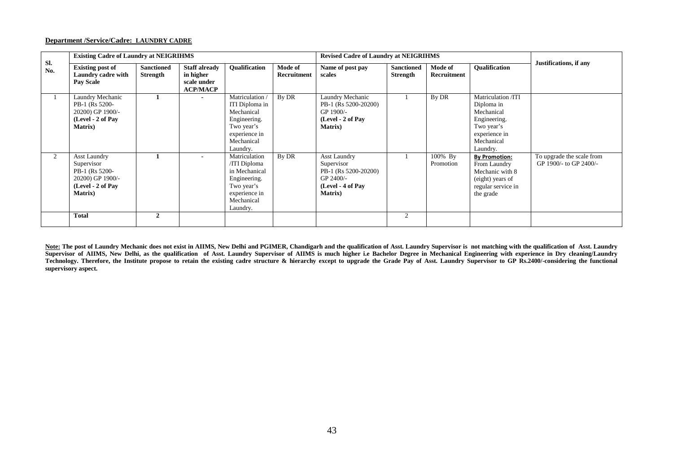#### **Department /Service/Cadre: LAUNDRY CADRE**

|                | <b>Existing Cadre of Laundry at NEIGRIHMS</b>                                                            |                                      |                                                                     |                                                                                                                         |                        | <b>Revised Cadre of Laundry at NEIGRIHMS</b>                                                                   |                               |                        |                                                                                                                         |                                                     |
|----------------|----------------------------------------------------------------------------------------------------------|--------------------------------------|---------------------------------------------------------------------|-------------------------------------------------------------------------------------------------------------------------|------------------------|----------------------------------------------------------------------------------------------------------------|-------------------------------|------------------------|-------------------------------------------------------------------------------------------------------------------------|-----------------------------------------------------|
| Sl.<br>No.     | <b>Existing post of</b><br>Laundry cadre with<br><b>Pay Scale</b>                                        | <b>Sanctioned</b><br><b>Strength</b> | <b>Staff already</b><br>in higher<br>scale under<br><b>ACP/MACP</b> | <b>Oualification</b>                                                                                                    | Mode of<br>Recruitment | Name of post pay<br>scales                                                                                     | <b>Sanctioned</b><br>Strength | Mode of<br>Recruitment | <b>Oualification</b>                                                                                                    | Justifications, if any                              |
|                | Laundry Mechanic<br>PB-1 (Rs 5200-<br>20200) GP 1900/-<br>(Level - 2 of Pay<br><b>Matrix</b> )           |                                      |                                                                     | Matriculation<br>ITI Diploma in<br>Mechanical<br>Engineering.<br>Two year's<br>experience in<br>Mechanical<br>Laundry.  | By DR                  | Laundry Mechanic<br>PB-1 (Rs 5200-20200)<br>GP 1900/-<br>(Level - 2 of Pay<br><b>Matrix</b> )                  |                               | By DR                  | Matriculation /ITI<br>Diploma in<br>Mechanical<br>Engineering.<br>Two year's<br>experience in<br>Mechanical<br>Laundry. |                                                     |
| $\mathfrak{D}$ | Asst Laundry<br>Supervisor<br>PB-1 (Rs 5200-<br>20200) GP 1900/-<br>(Level - 2 of Pay<br><b>Matrix</b> ) |                                      |                                                                     | Matriculation<br>/ITI Diploma<br>in Mechanical<br>Engineering.<br>Two year's<br>experience in<br>Mechanical<br>Laundry. | By DR                  | <b>Asst Laundry</b><br>Supervisor<br>PB-1 (Rs 5200-20200)<br>GP 2400/-<br>(Level - 4 of Pay<br><b>Matrix</b> ) |                               | 100% By<br>Promotion   | <b>By Promotion:</b><br>From Laundry<br>Mechanic with 8<br>(eight) years of<br>regular service in<br>the grade          | To upgrade the scale from<br>GP 1900/- to GP 2400/- |
|                | <b>Total</b>                                                                                             | $\mathbf{2}$                         |                                                                     |                                                                                                                         |                        |                                                                                                                |                               |                        |                                                                                                                         |                                                     |

Note: The post of Laundry Mechanic does not exist in AIIMS, New Delhi and PGIMER, Chandigarh and the qualification of Asst. Laundry Supervisor is not matching with the qualification of Asst. Laundry **Supervisor of AIIMS, New Delhi, as the qualification of Asst. Laundry Supervisor of AIIMS is much higher i.e Bachelor Degree in Mechanical Engineering with experience in Dry cleaning/Laundry** Technology. Therefore, the Institute propose to retain the existing cadre structure & hierarchy except to upgrade the Grade Pay of Asst. Laundry Supervisor to GP Rs.2400/-considering the functional **supervisory aspect.**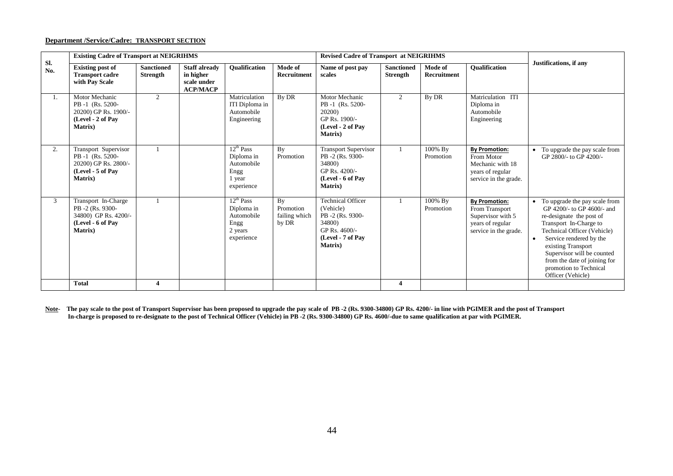#### **Department /Service/Cadre: TRANSPORT SECTION**

|     | <b>Existing Cadre of Transport at NEIGRIHMS</b><br><b>Revised Cadre of Transport at NEIGRIHMS</b><br>Sl. |                                      |                                                                     |                                                                             |                                           |                                                                                                                             |                                      |                        |                                                                                                          |                                                                                                                                                                                                                                                                                                                             |
|-----|----------------------------------------------------------------------------------------------------------|--------------------------------------|---------------------------------------------------------------------|-----------------------------------------------------------------------------|-------------------------------------------|-----------------------------------------------------------------------------------------------------------------------------|--------------------------------------|------------------------|----------------------------------------------------------------------------------------------------------|-----------------------------------------------------------------------------------------------------------------------------------------------------------------------------------------------------------------------------------------------------------------------------------------------------------------------------|
| No. | <b>Existing post of</b><br><b>Transport cadre</b><br>with Pay Scale                                      | <b>Sanctioned</b><br><b>Strength</b> | <b>Staff already</b><br>in higher<br>scale under<br><b>ACP/MACP</b> | Qualification                                                               | Mode of<br><b>Recruitment</b>             | Name of post pay<br>scales                                                                                                  | <b>Sanctioned</b><br><b>Strength</b> | Mode of<br>Recruitment | Qualification                                                                                            | Justifications, if any                                                                                                                                                                                                                                                                                                      |
| 1.  | Motor Mechanic<br>PB-1 (Rs. 5200-<br>20200) GP Rs. 1900/-<br>(Level - 2 of Pav<br><b>Matrix</b> )        | $\overline{2}$                       |                                                                     | Matriculation<br>ITI Diploma in<br>Automobile<br>Engineering                | By DR                                     | Motor Mechanic<br>PB-1 (Rs. 5200-<br>20200)<br>GP Rs. 1900/-<br>(Level - 2 of Pav<br><b>Matrix</b> )                        | 2                                    | By DR                  | Matriculation ITI<br>Diploma in<br>Automobile<br>Engineering                                             |                                                                                                                                                                                                                                                                                                                             |
| 2.  | Transport Supervisor<br>PB-1 (Rs. 5200-<br>20200) GP Rs. 2800/-<br>(Level - 5 of Pav<br><b>Matrix</b> )  |                                      |                                                                     | $12^{th}$ Pass<br>Diploma in<br>Automobile<br>Engg<br>1 year<br>experience  | By<br>Promotion                           | <b>Transport Supervisor</b><br>PB-2 (Rs. 9300-<br>34800)<br>GP Rs. 4200/-<br>(Level - 6 of Pay<br><b>Matrix</b> )           |                                      | 100% By<br>Promotion   | <b>By Promotion:</b><br>From Motor<br>Mechanic with 18<br>years of regular<br>service in the grade.      | To upgrade the pay scale from<br>GP 2800/- to GP 4200/-                                                                                                                                                                                                                                                                     |
| 3   | Transport In-Charge<br>PB-2 (Rs. 9300-<br>34800) GP Rs. 4200/-<br>(Level - 6 of Pav<br><b>Matrix</b> )   |                                      |                                                                     | $12^{th}$ Pass<br>Diploma in<br>Automobile<br>Engg<br>2 years<br>experience | By<br>Promotion<br>failing which<br>by DR | <b>Technical Officer</b><br>(Vehicle)<br>PB-2 (Rs. 9300-<br>34800)<br>GP Rs. 4600/-<br>(Level - 7 of Pav<br><b>Matrix</b> ) |                                      | 100% By<br>Promotion   | <b>By Promotion:</b><br>From Transport<br>Supervisor with 5<br>years of regular<br>service in the grade. | To upgrade the pay scale from<br>$\bullet$<br>GP 4200/- to GP 4600/- and<br>re-designate the post of<br>Transport In-Charge to<br>Technical Officer (Vehicle)<br>Service rendered by the<br>existing Transport<br>Supervisor will be counted<br>from the date of joining for<br>promotion to Technical<br>Officer (Vehicle) |
|     | <b>Total</b>                                                                                             |                                      |                                                                     |                                                                             |                                           |                                                                                                                             | $\overline{\mathbf{4}}$              |                        |                                                                                                          |                                                                                                                                                                                                                                                                                                                             |

**Note**- **The pay scale to the post of Transport Supervisor has been proposed to upgrade the pay scale of PB -2 (Rs. 9300-34800) GP Rs. 4200/- in line with PGIMER and the post of Transport In-charge is proposed to re-designate to the post of Technical Officer (Vehicle) in PB -2 (Rs. 9300-34800) GP Rs. 4600/-due to same qualification at par with PGIMER.**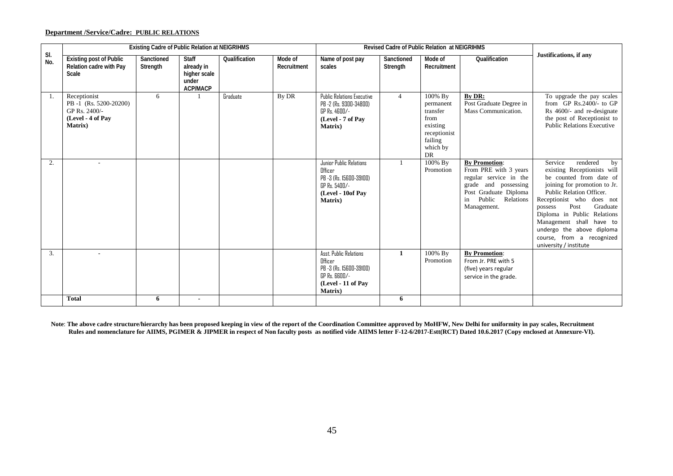### **Department /Service/Cadre: PUBLIC RELATIONS**

|            | <b>Existing Cadre of Public Relation at NEIGRIHMS</b>                                          |                        |                                                                        |               |                        |                                                                                                                             | <b>Revised Cadre of Public Relation at NEIGRIHMS</b> |                                                                                                   |                                                                                                                                                                      |                                                                                                                                                                                                                                                                                                                                                            |
|------------|------------------------------------------------------------------------------------------------|------------------------|------------------------------------------------------------------------|---------------|------------------------|-----------------------------------------------------------------------------------------------------------------------------|------------------------------------------------------|---------------------------------------------------------------------------------------------------|----------------------------------------------------------------------------------------------------------------------------------------------------------------------|------------------------------------------------------------------------------------------------------------------------------------------------------------------------------------------------------------------------------------------------------------------------------------------------------------------------------------------------------------|
| SI.<br>No. | <b>Existing post of Public</b><br>Relation cadre with Pay<br>Scale                             | Sanctioned<br>Strength | <b>Staff</b><br>already in<br>higher scale<br>under<br><b>ACP/MACP</b> | Qualification | Mode of<br>Recruitment | Name of post pay<br>scales                                                                                                  | Sanctioned<br>Strength                               | Mode of<br>Recruitment                                                                            | Qualification                                                                                                                                                        | Justifications, if any                                                                                                                                                                                                                                                                                                                                     |
| -1.        | Receptionist<br>PB-1 (Rs. 5200-20200)<br>GP Rs. 2400/-<br>(Level - 4 of Pay<br><b>Matrix</b> ) | 6                      |                                                                        | Graduate      | By DR                  | <b>Public Relations Executive</b><br>PB -2 (Rs. 9300-34800)<br>GP Rs. 4600/-<br>(Level - 7 of Pay<br><b>Matrix</b> )        | $\overline{4}$                                       | 100% By<br>permanent<br>transfer<br>from<br>existing<br>receptionist<br>failing<br>which by<br>DR | By DR:<br>Post Graduate Degree in<br>Mass Communication.                                                                                                             | To upgrade the pay scales<br>from $GP$ Rs. 2400/- to $GP$<br>Rs 4600/- and re-designate<br>the post of Receptionist to<br><b>Public Relations Executive</b>                                                                                                                                                                                                |
| 2.         |                                                                                                |                        |                                                                        |               |                        | Junior Public Relations<br>Officer<br>PB -3 (Rs. 15600-39100)<br>GP Rs. 5400/-<br>(Level - 10of Pav<br>Matrix)              |                                                      | 100% By<br>Promotion                                                                              | <b>By Promotion:</b><br>From PRE with 3 years<br>regular service in the<br>grade and possessing<br>Post Graduate Diploma<br>Public<br>Relations<br>in<br>Management. | rendered<br>Service<br>by<br>existing Receptionists will<br>be counted from date of<br>joining for promotion to Jr.<br>Public Relation Officer.<br>Receptionist who does not<br>Post<br>Graduate<br>possess<br>Diploma in Public Relations<br>Management shall have to<br>undergo the above diploma<br>course, from a recognized<br>university / institute |
| 3.         |                                                                                                |                        |                                                                        |               |                        | Asst. Public Relations<br>Officer<br>PB -3 (Rs. 15600-39100)<br>$GP$ $Rs.$ $BBD/-$<br>(Level - 11 of Pay<br><b>Matrix</b> ) | $\mathbf{1}$                                         | 100% By<br>Promotion                                                                              | <b>By Promotion:</b><br>From Jr. PRE with 5<br>(five) years regular<br>service in the grade.                                                                         |                                                                                                                                                                                                                                                                                                                                                            |
|            | <b>Total</b>                                                                                   | 6                      | $\blacksquare$                                                         |               |                        |                                                                                                                             | 6                                                    |                                                                                                   |                                                                                                                                                                      |                                                                                                                                                                                                                                                                                                                                                            |

**Note**: **The above cadre structure/hierarchy has been proposed keeping in view of the report of the Coordination Committee approved by MoHFW, New Delhi for uniformity in pay scales, Recruitment Rules and nomenclature for AIIMS, PGIMER & JIPMER in respect of Non faculty posts as notified vide AIIMS letter F-12-6/2017-Estt(RCT) Dated 10.6.2017 (Copy enclosed at Annexure-VI).**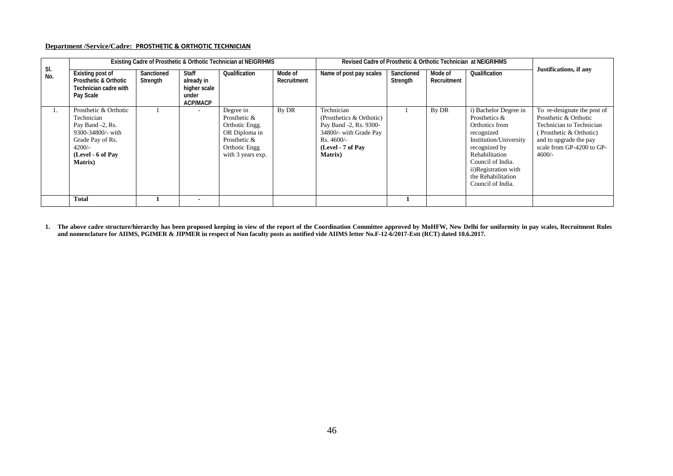#### **Department /Service/Cadre: PROSTHETIC & ORTHOTIC TECHNICIAN**

|            |                                                                                                                                                      |                        |                                                                 | Existing Cadre of Prosthetic & Orthotic Technician at NEIGRIHMS                                                    |                        | Revised Cadre of Prosthetic & Orthotic Technician at NEIGRIHMS                                                                                   |                        |                        |                                                                                                                                                                                                                             |                                                                                                                                                                                |
|------------|------------------------------------------------------------------------------------------------------------------------------------------------------|------------------------|-----------------------------------------------------------------|--------------------------------------------------------------------------------------------------------------------|------------------------|--------------------------------------------------------------------------------------------------------------------------------------------------|------------------------|------------------------|-----------------------------------------------------------------------------------------------------------------------------------------------------------------------------------------------------------------------------|--------------------------------------------------------------------------------------------------------------------------------------------------------------------------------|
| SI.<br>No. | Existing post of<br><b>Prosthetic &amp; Orthotic</b><br>Technician cadre with<br>Pay Scale                                                           | Sanctioned<br>Strength | Staff<br>already in<br>higher scale<br>under<br><b>ACP/MACP</b> | Qualification                                                                                                      | Mode of<br>Recruitment | Name of post pay scales                                                                                                                          | Sanctioned<br>Strength | Mode of<br>Recruitment | Qualification                                                                                                                                                                                                               | Justifications, if any                                                                                                                                                         |
| 1.         | Prosthetic & Orthotic<br>Technician<br>Pay Band -2, Rs.<br>9300-34800/- with<br>Grade Pay of Rs.<br>$4200/-$<br>(Level - 6 of Pay<br><b>Matrix</b> ) |                        |                                                                 | Degree in<br>Prosthetic &<br>Orthotic Engg.<br>OR Diploma in<br>Prosthetic &<br>Orthotic Engg<br>with 3 years exp. | By DR                  | Technician<br>(Prosthetics & Orthotic)<br>Pay Band -2, Rs. 9300-<br>34800/- with Grade Pay<br>Rs. 4600/-<br>(Level - 7 of Pay<br><b>Matrix</b> ) |                        | By DR                  | i) Bachelor Degree in<br>Prosthetics &<br>Orthotics from<br>recognized<br>Institution/University<br>recognized by<br>Rehabilitation<br>Council of India.<br>ii)Registration with<br>the Rehabilitation<br>Council of India. | To re-designate the post of<br>Prosthetic & Orthotic<br>Technician to Technician<br>(Prosthetic & Orthotic)<br>and to upgrade the pay<br>scale from GP-4200 to GP-<br>$4600/-$ |
|            | <b>Total</b>                                                                                                                                         |                        |                                                                 |                                                                                                                    |                        |                                                                                                                                                  |                        |                        |                                                                                                                                                                                                                             |                                                                                                                                                                                |

**1. The above cadre structure/hierarchy has been proposed keeping in view of the report of the Coordination Committee approved by MoHFW, New Delhi for uniformity in pay scales, Recruitment Rules and nomenclature for AIIMS, PGIMER & JIPMER in respect of Non faculty posts as notified vide AIIMS letter No.F-12-6/2017-Estt (RCT) dated 10.6.2017.**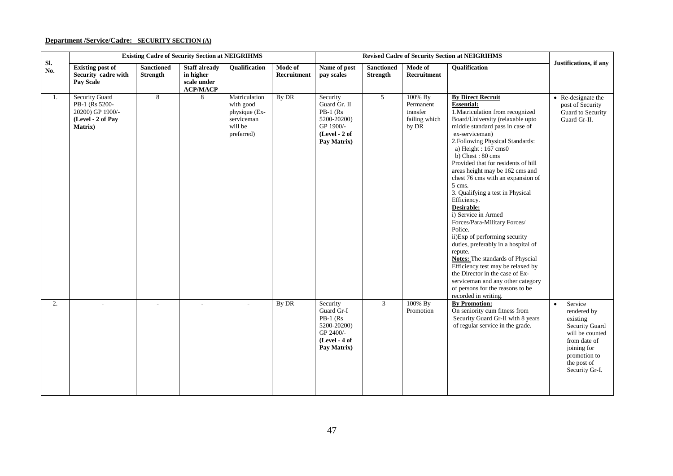# **Department /Service/Cadre: SECURITY SECTION (A)**

|            |                                                                                      |                                      | <b>Existing Cadre of Security Section at NEIGRIHMS</b>              |                                                                                    |                        |                                                                                                    |                                      | <b>Revised Cadre of Security Section at NEIGRIHMS</b><br>Qualification<br>Mode of |                                                                                                                                                                                                                                                                                                                                                                                                                                                                                                                                                                                                                                                                                                                                                                                                                       |                                                                                                                                                                      |
|------------|--------------------------------------------------------------------------------------|--------------------------------------|---------------------------------------------------------------------|------------------------------------------------------------------------------------|------------------------|----------------------------------------------------------------------------------------------------|--------------------------------------|-----------------------------------------------------------------------------------|-----------------------------------------------------------------------------------------------------------------------------------------------------------------------------------------------------------------------------------------------------------------------------------------------------------------------------------------------------------------------------------------------------------------------------------------------------------------------------------------------------------------------------------------------------------------------------------------------------------------------------------------------------------------------------------------------------------------------------------------------------------------------------------------------------------------------|----------------------------------------------------------------------------------------------------------------------------------------------------------------------|
| SI.<br>No. | <b>Existing post of</b><br>Security cadre with<br><b>Pay Scale</b>                   | <b>Sanctioned</b><br><b>Strength</b> | <b>Staff already</b><br>in higher<br>scale under<br><b>ACP/MACP</b> | Qualification                                                                      | Mode of<br>Recruitment | Name of post<br>pay scales                                                                         | <b>Sanctioned</b><br><b>Strength</b> | <b>Recruitment</b>                                                                |                                                                                                                                                                                                                                                                                                                                                                                                                                                                                                                                                                                                                                                                                                                                                                                                                       | Justifications, if any                                                                                                                                               |
| 1.         | Security Guard<br>PB-1 (Rs 5200-<br>20200) GP 1900/-<br>(Level - 2 of Pay<br>Matrix) | 8                                    | 8                                                                   | Matriculation<br>with good<br>physique (Ex-<br>serviceman<br>will be<br>preferred) | By DR                  | Security<br>Guard Gr. II<br>$PB-1$ (Rs<br>5200-20200)<br>GP 1900/-<br>(Level - 2 of<br>Pay Matrix) | 5 <sup>5</sup>                       | 100% By<br>Permanent<br>transfer<br>failing which<br>by DR                        | <b>By Direct Recruit</b><br><b>Essential:</b><br>1. Matriculation from recognized<br>Board/University (relaxable upto<br>middle standard pass in case of<br>ex-serviceman)<br>2. Following Physical Standards:<br>a) Height: 167 cms0<br>b) Chest: 80 cms<br>Provided that for residents of hill<br>areas height may be 162 cms and<br>chest 76 cms with an expansion of<br>5 cms.<br>3. Qualifying a test in Physical<br>Efficiency.<br>Desirable:<br>i) Service in Armed<br>Forces/Para-Military Forces/<br>Police.<br>ii)Exp of performing security<br>duties, preferably in a hospital of<br>repute.<br>Notes: The standards of Physcial<br>Efficiency test may be relaxed by<br>the Director in the case of Ex-<br>serviceman and any other category<br>of persons for the reasons to be<br>recorded in writing. | • Re-designate the<br>post of Security<br>Guard to Security<br>Guard Gr-II.                                                                                          |
| 2.         |                                                                                      |                                      |                                                                     |                                                                                    | By DR                  | Security<br>Guard Gr-I<br>$PB-1$ (Rs<br>5200-20200)<br>GP 2400/-<br>(Level - 4 of<br>Pay Matrix)   | 3                                    | 100% By<br>Promotion                                                              | <b>By Promotion:</b><br>On seniority cum fitness from<br>Security Guard Gr-II with 8 years<br>of regular service in the grade.                                                                                                                                                                                                                                                                                                                                                                                                                                                                                                                                                                                                                                                                                        | Service<br>$\bullet$<br>rendered by<br>existing<br>Security Guard<br>will be counted<br>from date of<br>joining for<br>promotion to<br>the post of<br>Security Gr-I. |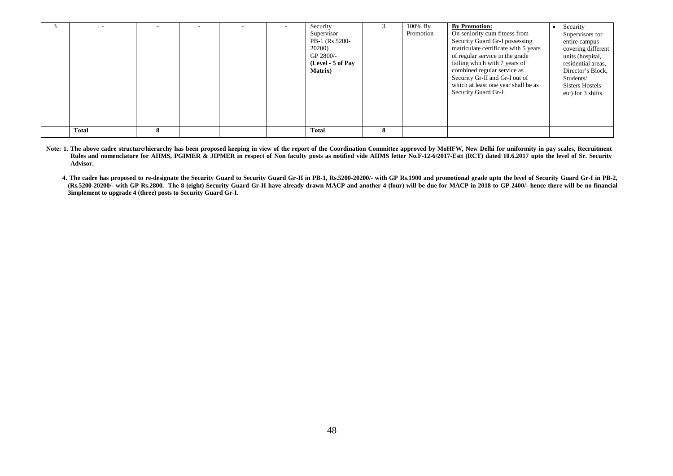|              |  |  | Security<br>Supervisor<br>PB-1 (Rs 5200-<br>20200)<br>GP 2800/-<br>(Level - 5 of Pay<br><b>Matrix</b> ) | 100% By<br>Promotion | <b>By Promotion:</b><br>On seniority cum fitness from<br>Security Guard Gr-I possessing<br>matriculate certificate with 5 years<br>of regular service in the grade<br>failing which with 7 years of<br>combined regular service as<br>Security Gr-II and Gr-I out of<br>which at least one year shall be as<br>Security Guard Gr-I. | Security<br>Supervisors for<br>entire campus<br>covering different<br>units (hospital,<br>residential areas,<br>Director's Block,<br>Students/<br><b>Sisters Hostels</b><br>etc) for 3 shifts. |
|--------------|--|--|---------------------------------------------------------------------------------------------------------|----------------------|-------------------------------------------------------------------------------------------------------------------------------------------------------------------------------------------------------------------------------------------------------------------------------------------------------------------------------------|------------------------------------------------------------------------------------------------------------------------------------------------------------------------------------------------|
| <b>Total</b> |  |  | <b>Total</b>                                                                                            |                      |                                                                                                                                                                                                                                                                                                                                     |                                                                                                                                                                                                |

- Note: 1. The above cadre structure/hierarchy has been proposed keeping in view of the report of the Coordination Committee approved by MoHFW, New Delhi for uniformity in pay scales, Recruitment **Rules and nomenclature for AIIMS, PGIMER & JIPMER in respect of Non faculty posts as notified vide AIIMS letter No.F-12-6/2017-Estt (RCT) dated 10.6.2017 upto the level of Sr. Security Advisor.** 
	- **4. The cadre has proposed to re-designate the Security Guard to Security Guard Gr-II in PB-1, Rs.5200-20200/- with GP Rs.1900 and promotional grade upto the level of Security Guard Gr-I in PB-2, (Rs.5200-20200/- with GP Rs.2800. The 8 (eight) Security Guard Gr-II have already drawn MACP and another 4 (four) will be due for MACP in 2018 to GP 2400/- hence there will be no financial 3implement to upgrade 4 (three) posts to Security Guard Gr-I.**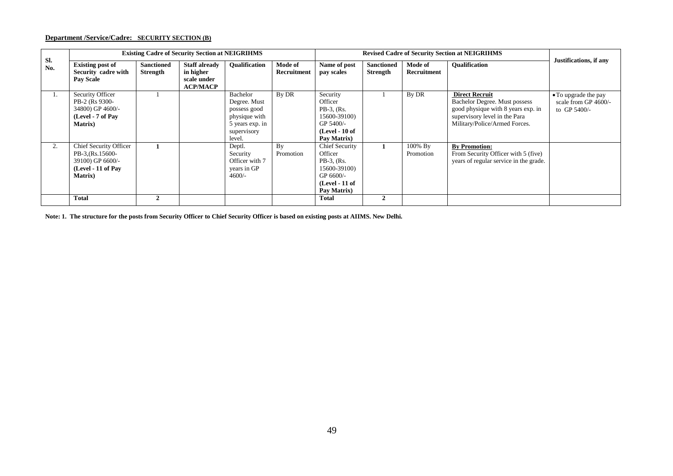# **Department /Service/Cadre: SECURITY SECTION (B)**

|            |                                                                                                          |                                      | <b>Existing Cadre of Security Section at NEIGRIHMS</b>              |                                                                                                       |                               |                                                                                                                  |                                      |                        | <b>Revised Cadre of Security Section at NEIGRIHMS</b>                                                                                                          |                                                                |
|------------|----------------------------------------------------------------------------------------------------------|--------------------------------------|---------------------------------------------------------------------|-------------------------------------------------------------------------------------------------------|-------------------------------|------------------------------------------------------------------------------------------------------------------|--------------------------------------|------------------------|----------------------------------------------------------------------------------------------------------------------------------------------------------------|----------------------------------------------------------------|
| SI.<br>No. | <b>Existing post of</b><br>Security cadre with<br><b>Pay Scale</b>                                       | <b>Sanctioned</b><br><b>Strength</b> | <b>Staff already</b><br>in higher<br>scale under<br><b>ACP/MACP</b> | <b>Oualification</b>                                                                                  | Mode of<br><b>Recruitment</b> | Name of post<br>pay scales                                                                                       | <b>Sanctioned</b><br><b>Strength</b> | Mode of<br>Recruitment | <b>Oualification</b>                                                                                                                                           | Justifications, if any                                         |
| 1.         | Security Officer<br>PB-2 (Rs 9300-<br>34800) GP 4600/-<br>(Level - 7 of Pay<br><b>Matrix</b> )           |                                      |                                                                     | Bachelor<br>Degree. Must<br>possess good<br>physique with<br>5 years exp. in<br>supervisory<br>level. | By DR                         | Security<br>Officer<br>$PB-3$ , (Rs.<br>15600-39100)<br>GP 5400/-<br>$(Level - 10 of$<br>Pay Matrix)             |                                      | By DR                  | <b>Direct Recruit</b><br>Bachelor Degree. Must possess<br>good physique with 8 years exp. in<br>supervisory level in the Para<br>Military/Police/Armed Forces. | • To upgrade the pay<br>scale from GP 4600/-<br>to GP $5400/-$ |
| 2.         | Chief Security Officer<br>PB-3, (Rs. 15600-<br>39100) GP 6600/-<br>(Level - 11 of Pay<br><b>Matrix</b> ) |                                      |                                                                     | Deptl.<br>Security<br>Officer with 7<br>years in GP<br>$4600/-$                                       | By<br>Promotion               | Chief Security<br>Officer<br>$PB-3$ , $(Rs)$ .<br>15600-39100)<br>$GP 6600/-$<br>$(Level - 11 of$<br>Pay Matrix) |                                      | 100% By<br>Promotion   | <b>By Promotion:</b><br>From Security Officer with 5 (five)<br>years of regular service in the grade.                                                          |                                                                |
|            | <b>Total</b>                                                                                             | $\mathbf{2}$                         |                                                                     |                                                                                                       |                               | <b>Total</b>                                                                                                     | $\mathbf{2}$                         |                        |                                                                                                                                                                |                                                                |

**Note: 1. The structure for the posts from Security Officer to Chief Security Officer is based on existing posts at AIIMS. New Delhi.**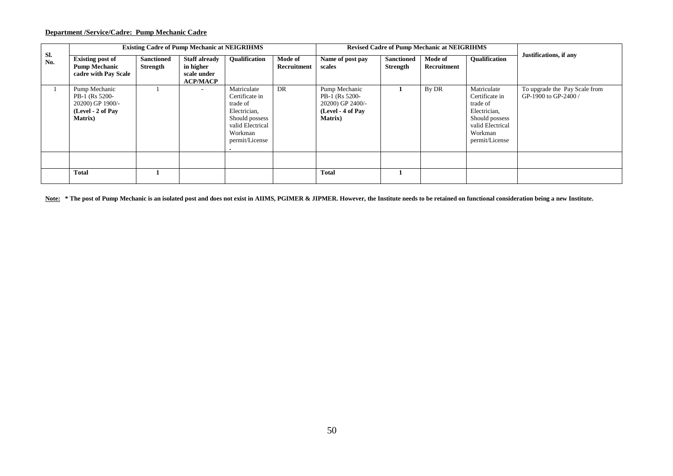# **Department /Service/Cadre: Pump Mechanic Cadre**

|            |                                                                                             |                               | <b>Existing Cadre of Pump Mechanic at NEIGRIHMS</b>                 |                                                                                                                              |                               |                                                                                             |                                      | <b>Revised Cadre of Pump Mechanic at NEIGRIHMS</b> |                                                                                                                              |                                                       |
|------------|---------------------------------------------------------------------------------------------|-------------------------------|---------------------------------------------------------------------|------------------------------------------------------------------------------------------------------------------------------|-------------------------------|---------------------------------------------------------------------------------------------|--------------------------------------|----------------------------------------------------|------------------------------------------------------------------------------------------------------------------------------|-------------------------------------------------------|
| Sl.<br>No. | <b>Existing post of</b><br><b>Pump Mechanic</b><br>cadre with Pay Scale                     | <b>Sanctioned</b><br>Strength | <b>Staff already</b><br>in higher<br>scale under<br><b>ACP/MACP</b> | <b>Oualification</b>                                                                                                         | Mode of<br><b>Recruitment</b> | Name of post pay<br>scales                                                                  | <b>Sanctioned</b><br><b>Strength</b> | Mode of<br>Recruitment                             | <b>Oualification</b>                                                                                                         | Justifications, if any                                |
|            | Pump Mechanic<br>PB-1 (Rs 5200-<br>20200) GP 1900/-<br>(Level - 2 of Pay<br><b>Matrix</b> ) |                               |                                                                     | Matriculate<br>Certificate in<br>trade of<br>Electrician,<br>Should possess<br>valid Electrical<br>Workman<br>permit/License | DR                            | Pump Mechanic<br>PB-1 (Rs 5200-<br>20200) GP 2400/-<br>(Level - 4 of Pav<br><b>Matrix</b> ) |                                      | By DR                                              | Matriculate<br>Certificate in<br>trade of<br>Electrician,<br>Should possess<br>valid Electrical<br>Workman<br>permit/License | To upgrade the Pay Scale from<br>GP-1900 to GP-2400 / |
|            |                                                                                             |                               |                                                                     |                                                                                                                              |                               |                                                                                             |                                      |                                                    |                                                                                                                              |                                                       |
|            | <b>Total</b>                                                                                |                               |                                                                     |                                                                                                                              |                               | <b>Total</b>                                                                                |                                      |                                                    |                                                                                                                              |                                                       |

**Note: \* The post of Pump Mechanic is an isolated post and does not exist in AIIMS, PGIMER & JIPMER. However, the Institute needs to be retained on functional consideration being a new Institute.**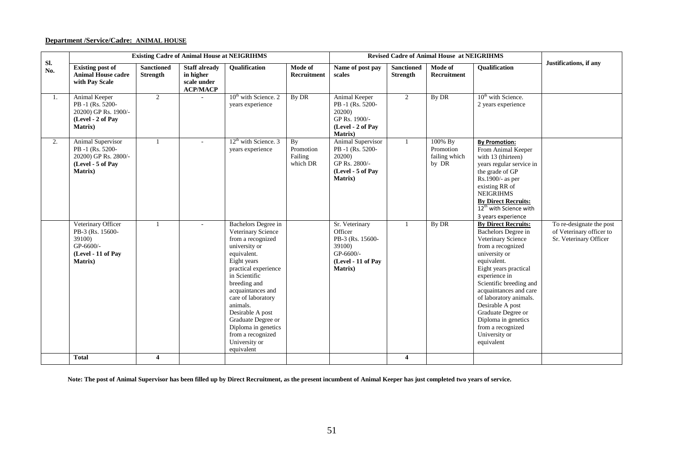# **Department /Service/Cadre: ANIMAL HOUSE**

|            |                                                                                                  |                                      | <b>Existing Cadre of Animal House at NEIGRIHMS</b>                  |                                                                                                                                                                                                                                                                                                                                                    |                                        |                                                                                                               |                                      | <b>Revised Cadre of Animal House at NEIGRIHMS</b> |                                                                                                                                                                                                                                                                                                                                                                            |                                                                                |
|------------|--------------------------------------------------------------------------------------------------|--------------------------------------|---------------------------------------------------------------------|----------------------------------------------------------------------------------------------------------------------------------------------------------------------------------------------------------------------------------------------------------------------------------------------------------------------------------------------------|----------------------------------------|---------------------------------------------------------------------------------------------------------------|--------------------------------------|---------------------------------------------------|----------------------------------------------------------------------------------------------------------------------------------------------------------------------------------------------------------------------------------------------------------------------------------------------------------------------------------------------------------------------------|--------------------------------------------------------------------------------|
| Sl.<br>No. | <b>Existing post of</b><br><b>Animal House cadre</b><br>with Pay Scale                           | <b>Sanctioned</b><br><b>Strength</b> | <b>Staff already</b><br>in higher<br>scale under<br><b>ACP/MACP</b> | <b>Oualification</b>                                                                                                                                                                                                                                                                                                                               | Mode of<br>Recruitment                 | Name of post pay<br>scales                                                                                    | <b>Sanctioned</b><br><b>Strength</b> | Mode of<br><b>Recruitment</b>                     | <b>Oualification</b>                                                                                                                                                                                                                                                                                                                                                       | Justifications, if any                                                         |
| 1.         | Animal Keeper<br>PB-1 (Rs. 5200-<br>20200) GP Rs. 1900/-<br>(Level - 2 of Pay<br><b>Matrix</b> ) | $\overline{2}$                       |                                                                     | $10th$ with Science. 2<br>years experience                                                                                                                                                                                                                                                                                                         | By DR                                  | Animal Keeper<br>PB-1 (Rs. 5200-<br>20200)<br>GP Rs. 1900/-<br>(Level - 2 of Pay<br>Matrix)                   | 2                                    | By DR                                             | 10 <sup>th</sup> with Science.<br>2 years experience                                                                                                                                                                                                                                                                                                                       |                                                                                |
| 2.         | Animal Supervisor<br>PB -1 (Rs. 5200-<br>20200) GP Rs. 2800/-<br>(Level - 5 of Pay<br>Matrix)    |                                      |                                                                     | $12th$ with Science. 3<br>years experience                                                                                                                                                                                                                                                                                                         | By<br>Promotion<br>Failing<br>which DR | Animal Supervisor<br>PB-1 (Rs. 5200-<br>20200)<br>GP Rs. 2800/-<br>(Level - 5 of Pay<br><b>Matrix</b> )       | $\mathbf{1}$                         | 100% By<br>Promotion<br>failing which<br>by DR    | <b>By Promotion:</b><br>From Animal Keeper<br>with 13 (thirteen)<br>years regular service in<br>the grade of GP<br>Rs.1900/- as per<br>existing RR of<br><b>NEIGRIHMS</b><br><b>By Direct Recruits:</b><br>12 <sup>th</sup> with Science with<br>3 years experience                                                                                                        |                                                                                |
|            | Veterinary Officer<br>PB-3 (Rs. 15600-<br>39100)<br>GP-6600/-<br>(Level - 11 of Pay<br>Matrix)   |                                      |                                                                     | Bachelors Degree in<br>Veterinary Science<br>from a recognized<br>university or<br>equivalent.<br>Eight years<br>practical experience<br>in Scientific<br>breeding and<br>acquaintances and<br>care of laboratory<br>animals.<br>Desirable A post<br>Graduate Degree or<br>Diploma in genetics<br>from a recognized<br>University or<br>equivalent |                                        | Sr. Veterinary<br>Officer<br>PB-3 (Rs. 15600-<br>39100)<br>GP-6600/-<br>(Level - 11 of Pay<br><b>Matrix</b> ) |                                      | By DR                                             | <b>By Direct Recruits:</b><br>Bachelors Degree in<br>Veterinary Science<br>from a recognized<br>university or<br>equivalent.<br>Eight years practical<br>experience in<br>Scientific breeding and<br>acquaintances and care<br>of laboratory animals.<br>Desirable A post<br>Graduate Degree or<br>Diploma in genetics<br>from a recognized<br>University or<br>equivalent | To re-designate the post<br>of Veterinary officer to<br>Sr. Veterinary Officer |
|            | <b>Total</b>                                                                                     | $\overline{\mathbf{4}}$              |                                                                     |                                                                                                                                                                                                                                                                                                                                                    |                                        |                                                                                                               | $\overline{4}$                       |                                                   |                                                                                                                                                                                                                                                                                                                                                                            |                                                                                |

 **Note: The post of Animal Supervisor has been filled up by Direct Recruitment, as the present incumbent of Animal Keeper has just completed two years of service.**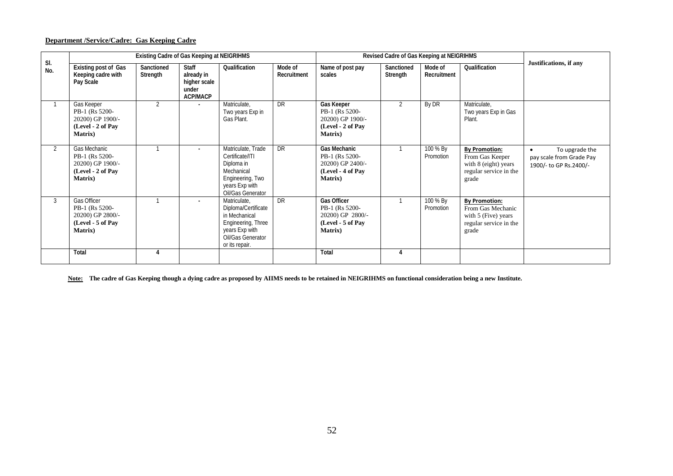# **Department /Service/Cadre: Gas Keeping Cadre**

|            |                                                                                            | Existing Cadre of Gas Keeping at NEIGRIHMS |                                                                        |                                                                                                                                     |                        |                                                                                                   | Revised Cadre of Gas Keeping at NEIGRIHMS |                        |                                                                                                     |                                                                                   |
|------------|--------------------------------------------------------------------------------------------|--------------------------------------------|------------------------------------------------------------------------|-------------------------------------------------------------------------------------------------------------------------------------|------------------------|---------------------------------------------------------------------------------------------------|-------------------------------------------|------------------------|-----------------------------------------------------------------------------------------------------|-----------------------------------------------------------------------------------|
| SI.<br>No. | Existing post of Gas<br>Keeping cadre with<br>Pay Scale                                    | Sanctioned<br>Strength                     | <b>Staff</b><br>already in<br>higher scale<br>under<br><b>ACP/MACP</b> | Qualification                                                                                                                       | Mode of<br>Recruitment | Name of post pay<br>scales                                                                        | Sanctioned<br>Strength                    | Mode of<br>Recruitment | Qualification                                                                                       | Justifications, if any                                                            |
|            | Gas Keeper<br>PB-1 (Rs 5200-<br>20200) GP 1900/-<br>(Level - 2 of Pay<br><b>Matrix</b> )   | 2                                          |                                                                        | Matriculate,<br>Two years Exp in<br>Gas Plant.                                                                                      | <b>DR</b>              | Gas Keeper<br>PB-1 (Rs 5200-<br>20200) GP 1900/-<br>(Level - 2 of Pay<br><b>Matrix</b> )          | $\overline{2}$                            | By DR                  | Matriculate,<br>Two years Exp in Gas<br>Plant.                                                      |                                                                                   |
| 2          | Gas Mechanic<br>PB-1 (Rs 5200-<br>20200) GP 1900/-<br>(Level - 2 of Pay<br><b>Matrix</b> ) |                                            | $\overline{\phantom{a}}$                                               | Matriculate, Trade<br>Certificate/ITI<br>Diploma in<br>Mechanical<br>Engineering, Two<br>years Exp with<br>Oil/Gas Generator        | <b>DR</b>              | <b>Gas Mechanic</b><br>PB-1 (Rs 5200-<br>20200) GP 2400/-<br>(Level - 4 of Pay<br><b>Matrix</b> ) |                                           | 100 % By<br>Promotion  | <b>By Promotion:</b><br>From Gas Keeper<br>with 8 (eight) years<br>regular service in the<br>grade  | To upgrade the<br>$\bullet$<br>pay scale from Grade Pay<br>1900/- to GP Rs.2400/- |
| 3          | Gas Officer<br>PB-1 (Rs 5200-<br>20200) GP 2800/-<br>(Level - 5 of Pay<br><b>Matrix</b> )  |                                            |                                                                        | Matriculate,<br>Diploma/Certificate<br>in Mechanical<br>Engineering, Three<br>years Exp with<br>Oil/Gas Generator<br>or its repair. | <b>DR</b>              | <b>Gas Officer</b><br>PB-1 (Rs 5200-<br>20200) GP 2800/-<br>(Level - 5 of Pay<br><b>Matrix</b> )  |                                           | 100 % By<br>Promotion  | <b>By Promotion:</b><br>From Gas Mechanic<br>with 5 (Five) years<br>regular service in the<br>grade |                                                                                   |
|            | Total                                                                                      |                                            |                                                                        |                                                                                                                                     |                        | Total                                                                                             | 4                                         |                        |                                                                                                     |                                                                                   |

**Note: The cadre of Gas Keeping though a dying cadre as proposed by AIIMS needs to be retained in NEIGRIHMS on functional consideration being a new Institute.**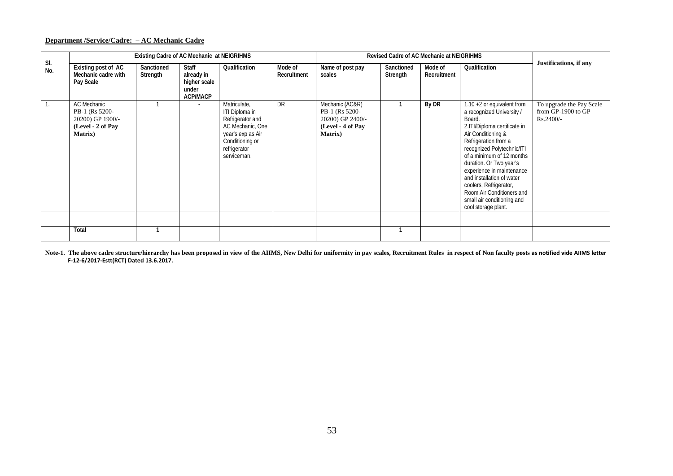# **Department /Service/Cadre: – AC Mechanic Cadre**

|            |                                                                                                  | Existing Cadre of AC Mechanic at NEIGRIHMS |                                                                 |                                                                                                                                               |                        |                                                                                               | Revised Cadre of AC Mechanic at NEIGRIHMS |                        |                                                                                                                                                                                                                                                                                                                                                                                                               |                                                             |
|------------|--------------------------------------------------------------------------------------------------|--------------------------------------------|-----------------------------------------------------------------|-----------------------------------------------------------------------------------------------------------------------------------------------|------------------------|-----------------------------------------------------------------------------------------------|-------------------------------------------|------------------------|---------------------------------------------------------------------------------------------------------------------------------------------------------------------------------------------------------------------------------------------------------------------------------------------------------------------------------------------------------------------------------------------------------------|-------------------------------------------------------------|
| SI.<br>No. | Existing post of AC<br>Mechanic cadre with<br>Pay Scale                                          | Sanctioned<br>Strength                     | Staff<br>already in<br>higher scale<br>under<br><b>ACP/MACP</b> | Qualification                                                                                                                                 | Mode of<br>Recruitment | Name of post pay<br>scales                                                                    | Sanctioned<br>Strength                    | Mode of<br>Recruitment | Qualification                                                                                                                                                                                                                                                                                                                                                                                                 | Justifications, if any                                      |
|            | <b>AC Mechanic</b><br>PB-1 (Rs 5200-<br>20200) GP 1900/-<br>(Level - 2 of Pay<br><b>Matrix</b> ) |                                            |                                                                 | Matriculate,<br>ITI Diploma in<br>Refrigerator and<br>AC Mechanic, One<br>year's exp as Air<br>Conditioning or<br>refrigerator<br>serviceman. | DR                     | Mechanic (AC&R)<br>PB-1 (Rs 5200-<br>20200) GP 2400/-<br>(Level - 4 of Pay<br><b>Matrix</b> ) |                                           | By DR                  | 1.10 $+2$ or equivalent from<br>a recognized University /<br>Board.<br>2.ITI/Diploma certificate in<br>Air Conditioning &<br>Refrigeration from a<br>recognized Polytechnic/ITI<br>of a minimum of 12 months<br>duration. Or Two year's<br>experience in maintenance<br>and installation of water<br>coolers, Refrigerator,<br>Room Air Conditioners and<br>small air conditioning and<br>cool storage plant. | To upgrade the Pay Scale<br>from GP-1900 to GP<br>Rs.2400/- |
|            | Total                                                                                            |                                            |                                                                 |                                                                                                                                               |                        |                                                                                               |                                           |                        |                                                                                                                                                                                                                                                                                                                                                                                                               |                                                             |

Note-1. The above cadre structure/hierarchy has been proposed in view of the AIIMS, New Delhi for uniformity in pay scales, Recruitment Rules in respect of Non faculty posts as notified vide AIIMS letter **F-12-6/2017-Estt(RCT) Dated 13.6.2017.**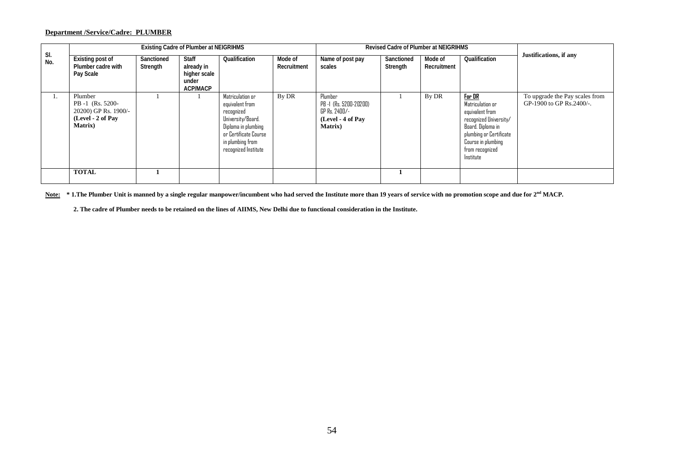# **Department /Service/Cadre: PLUMBER**

|            |                                                                                             |                        | <b>Existing Cadre of Plumber at NEIGRIHMS</b>                          |                                                                                                                                                                    |                        |                                                                                            | <b>Revised Cadre of Plumber at NEIGRIHMS</b> |                        |                                                                                                                                                                               |                                                            |
|------------|---------------------------------------------------------------------------------------------|------------------------|------------------------------------------------------------------------|--------------------------------------------------------------------------------------------------------------------------------------------------------------------|------------------------|--------------------------------------------------------------------------------------------|----------------------------------------------|------------------------|-------------------------------------------------------------------------------------------------------------------------------------------------------------------------------|------------------------------------------------------------|
| SI.<br>No. | Existing post of<br>Plumber cadre with<br>Pay Scale                                         | Sanctioned<br>Strength | <b>Staff</b><br>already in<br>higher scale<br>under<br><b>ACP/MACP</b> | Qualification                                                                                                                                                      | Mode of<br>Recruitment | Name of post pay<br>scales                                                                 | Sanctioned<br>Strength                       | Mode of<br>Recruitment | Qualification                                                                                                                                                                 | Justifications, if any                                     |
| 1.         | Plumber<br>PB -1 (Rs. 5200-<br>20200) GP Rs. 1900/-<br>(Level - 2 of Pay<br><b>Matrix</b> ) |                        |                                                                        | Matriculation or<br>equivalent from<br>recognized<br>University/Board.<br>Diploma in plumbing<br>or Certificate Course<br>in plumbing from<br>recognized Institute | By DR                  | Plumber<br>PB -1 (Rs. 5200-20200)<br>GP Rs. 2400/-<br>(Level - 4 of Pay<br><b>Matrix</b> ) |                                              | By DR                  | For DR<br>Matriculation or<br>equivalent from<br>recognized University/<br>Board. Diploma in<br>plumbing or Certificate<br>Course in plumbing<br>from recognized<br>Institute | To upgrade the Pay scales from<br>GP-1900 to GP Rs.2400/-. |
|            | <b>TOTAL</b>                                                                                |                        |                                                                        |                                                                                                                                                                    |                        |                                                                                            |                                              |                        |                                                                                                                                                                               |                                                            |

Note: \*1.The Plumber Unit is manned by a single regular manpower/incumbent who had served the Institute more than 19 years of service with no promotion scope and due for 2<sup>nd</sup> MACP.

**2. The cadre of Plumber needs to be retained on the lines of AIIMS, New Delhi due to functional consideration in the Institute.**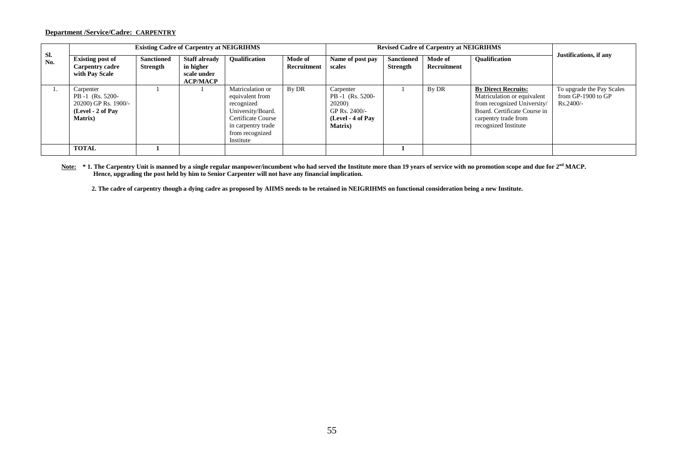### **Department /Service/Cadre: CARPENTRY**

|            |                                                                                               |                               | <b>Existing Cadre of Carpentry at NEIGRIHMS</b>                     |                                                                                                                                                    |                        |                                                                                                  |                               | <b>Revised Cadre of Carpentry at NEIGRIHMS</b> |                                                                                                                                                                          |                                                                |
|------------|-----------------------------------------------------------------------------------------------|-------------------------------|---------------------------------------------------------------------|----------------------------------------------------------------------------------------------------------------------------------------------------|------------------------|--------------------------------------------------------------------------------------------------|-------------------------------|------------------------------------------------|--------------------------------------------------------------------------------------------------------------------------------------------------------------------------|----------------------------------------------------------------|
| Sl.<br>No. | <b>Existing post of</b><br><b>Carpentry cadre</b><br>with Pay Scale                           | <b>Sanctioned</b><br>Strength | <b>Staff already</b><br>in higher<br>scale under<br><b>ACP/MACP</b> | <b>Oualification</b>                                                                                                                               | Mode of<br>Recruitment | Name of post pay<br>scales                                                                       | <b>Sanctioned</b><br>Strength | Mode of<br>Recruitment                         | <b>Oualification</b>                                                                                                                                                     | Justifications, if any                                         |
|            | Carpenter<br>PB -1 (Rs. 5200-<br>20200) GP Rs. 1900/-<br>(Level - 2 of Pay<br><b>Matrix</b> ) |                               |                                                                     | Matriculation or<br>equivalent from<br>recognized<br>University/Board.<br>Certificate Course<br>in carpentry trade<br>from recognized<br>Institute | By DR                  | Carpenter<br>PB -1 (Rs. 5200-<br>20200)<br>GP Rs. 2400/-<br>(Level - 4 of Pay<br><b>Matrix</b> ) |                               | By DR                                          | <b>By Direct Recruits:</b><br>Matriculation or equivalent<br>from recognized University/<br>Board. Certificate Course in<br>carpentry trade from<br>recognized Institute | To upgrade the Pay Scales<br>from GP-1900 to GP<br>$Rs.2400/-$ |
|            | <b>TOTAL</b>                                                                                  |                               |                                                                     |                                                                                                                                                    |                        |                                                                                                  |                               |                                                |                                                                                                                                                                          |                                                                |

Note: \*1. The Carpentry Unit is manned by a single regular manpower/incumbent who had served the Institute more than 19 years of service with no promotion scope and due for 2<sup>nd</sup> MACP. **Hence, upgrading the post held by him to Senior Carpenter will not have any financial implication.**

 **2. The cadre of carpentry though a dying cadre as proposed by AIIMS needs to be retained in NEIGRIHMS on functional consideration being a new Institute.**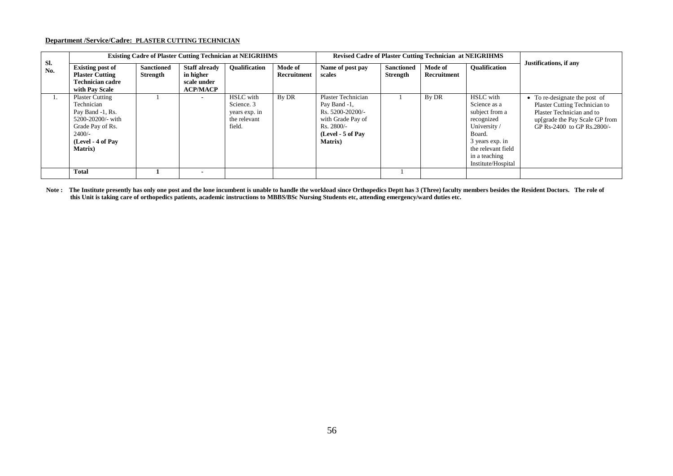#### **Department /Service/Cadre: PLASTER CUTTING TECHNICIAN**

|                |                                                                                                                                                       |                               |                                                                     | <b>Existing Cadre of Plaster Cutting Technician at NEIGRIHMS</b>                      |                        | <b>Revised Cadre of Plaster Cutting Technician at NEIGRIHMS</b>                                                                     |                                      |                        |                                                                                                                                                                            |                                                                                                                                                             |
|----------------|-------------------------------------------------------------------------------------------------------------------------------------------------------|-------------------------------|---------------------------------------------------------------------|---------------------------------------------------------------------------------------|------------------------|-------------------------------------------------------------------------------------------------------------------------------------|--------------------------------------|------------------------|----------------------------------------------------------------------------------------------------------------------------------------------------------------------------|-------------------------------------------------------------------------------------------------------------------------------------------------------------|
| Sl.<br>No.     | <b>Existing post of</b><br><b>Plaster Cutting</b><br><b>Technician cadre</b><br>with Pay Scale                                                        | <b>Sanctioned</b><br>Strength | <b>Staff already</b><br>in higher<br>scale under<br><b>ACP/MACP</b> | <b>Oualification</b>                                                                  | Mode of<br>Recruitment | Name of post pay<br>scales                                                                                                          | <b>Sanctioned</b><br><b>Strength</b> | Mode of<br>Recruitment | <b>Oualification</b>                                                                                                                                                       | Justifications, if any                                                                                                                                      |
| $\mathbf{1}$ . | <b>Plaster Cutting</b><br>Technician<br>Pay Band -1, Rs.<br>5200-20200/- with<br>Grade Pay of Rs.<br>$2400/-$<br>(Level - 4 of Pay<br><b>Matrix</b> ) |                               |                                                                     | <b>HSLC</b> with<br>Science <sub>.</sub> 3<br>years exp. in<br>the relevant<br>field. | By DR                  | Plaster Technician<br>Pay Band -1,<br>Rs. 5200-20200/-<br>with Grade Pay of<br>$Rs. 2800/-$<br>(Level - 5 of Pay<br><b>Matrix</b> ) |                                      | By DR                  | <b>HSLC</b> with<br>Science as a<br>subject from a<br>recognized<br>University /<br>Board.<br>3 years exp. in<br>the relevant field<br>in a teaching<br>Institute/Hospital | • To re-designate the post of<br>Plaster Cutting Technician to<br>Plaster Technician and to<br>up[grade the Pay Scale GP from<br>GP Rs-2400 to GP Rs.2800/- |
|                | Total                                                                                                                                                 |                               |                                                                     |                                                                                       |                        |                                                                                                                                     |                                      |                        |                                                                                                                                                                            |                                                                                                                                                             |

**Note : The Institute presently has only one post and the lone incumbent is unable to handle the workload since Orthopedics Deptt has 3 (Three) faculty members besides the Resident Doctors. The role of this Unit is taking care of orthopedics patients, academic instructions to MBBS/BSc Nursing Students etc, attending emergency/ward duties etc.**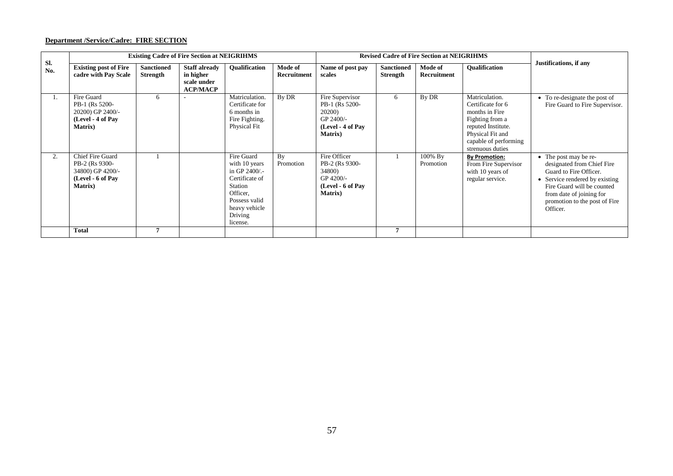# **Department /Service/Cadre: FIRE SECTION**

|            |                                                                                                       |                               | <b>Existing Cadre of Fire Section at NEIGRIHMS</b>                  |                                                                                                                                                  |                        |                                                                                               |                                      | <b>Revised Cadre of Fire Section at NEIGRIHMS</b> |                                                                                                                                                                 |                                                                                                                                                                                                                        |
|------------|-------------------------------------------------------------------------------------------------------|-------------------------------|---------------------------------------------------------------------|--------------------------------------------------------------------------------------------------------------------------------------------------|------------------------|-----------------------------------------------------------------------------------------------|--------------------------------------|---------------------------------------------------|-----------------------------------------------------------------------------------------------------------------------------------------------------------------|------------------------------------------------------------------------------------------------------------------------------------------------------------------------------------------------------------------------|
| Sl.<br>No. | <b>Existing post of Fire</b><br>cadre with Pay Scale                                                  | <b>Sanctioned</b><br>Strength | <b>Staff already</b><br>in higher<br>scale under<br><b>ACP/MACP</b> | <b>Oualification</b>                                                                                                                             | Mode of<br>Recruitment | Name of post pay<br>scales                                                                    | <b>Sanctioned</b><br><b>Strength</b> | Mode of<br>Recruitment                            | <b>Oualification</b>                                                                                                                                            | Justifications, if any                                                                                                                                                                                                 |
|            | Fire Guard<br>PB-1 (Rs 5200-<br>20200) GP 2400/-<br>(Level - 4 of Pay<br><b>Matrix</b> )              |                               |                                                                     | Matriculation.<br>Certificate for<br>6 months in<br>Fire Fighting.<br>Physical Fit                                                               | By DR                  | Fire Supervisor<br>PB-1 (Rs 5200-<br>20200)<br>GP 2400/-<br>(Level - 4 of Pay<br>Matrix)      | 6                                    | By DR                                             | Matriculation.<br>Certificate for 6<br>months in Fire<br>Fighting from a<br>reputed Institute.<br>Physical Fit and<br>capable of performing<br>strenuous duties | • To re-designate the post of<br>Fire Guard to Fire Supervisor.                                                                                                                                                        |
| 2.         | <b>Chief Fire Guard</b><br>PB-2 (Rs 9300-<br>34800) GP 4200/-<br>(Level - 6 of Pay<br><b>Matrix</b> ) |                               |                                                                     | Fire Guard<br>with 10 years<br>in GP $2400/$ .<br>Certificate of<br>Station<br>Officer.<br>Possess valid<br>heavy vehicle<br>Driving<br>license. | By<br>Promotion        | Fire Officer<br>PB-2 (Rs 9300-<br>34800)<br>GP 4200/-<br>(Level - 6 of Pay<br><b>Matrix</b> ) |                                      | 100% By<br>Promotion                              | <b>By Promotion:</b><br>From Fire Supervisor<br>with 10 years of<br>regular service.                                                                            | • The post may be re-<br>designated from Chief Fire<br>Guard to Fire Officer.<br>• Service rendered by existing<br>Fire Guard will be counted<br>from date of joining for<br>promotion to the post of Fire<br>Officer. |
|            | <b>Total</b>                                                                                          |                               |                                                                     |                                                                                                                                                  |                        |                                                                                               | 7                                    |                                                   |                                                                                                                                                                 |                                                                                                                                                                                                                        |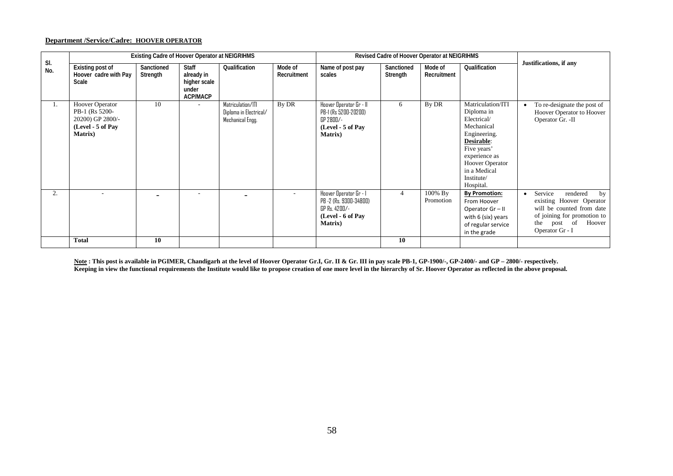#### **Department /Service/Cadre: HOOVER OPERATOR**

|            |                                                                                                      | Existing Cadre of Hoover Operator at NEIGRIHMS |                                                                 |                                                                 |                          |                                                                                                           | Revised Cadre of Hoover Operator at NEIGRIHMS |                        |                                                                                                                                                                                                 |                                                                                                                                                                            |
|------------|------------------------------------------------------------------------------------------------------|------------------------------------------------|-----------------------------------------------------------------|-----------------------------------------------------------------|--------------------------|-----------------------------------------------------------------------------------------------------------|-----------------------------------------------|------------------------|-------------------------------------------------------------------------------------------------------------------------------------------------------------------------------------------------|----------------------------------------------------------------------------------------------------------------------------------------------------------------------------|
| SI.<br>No. | Existing post of<br>Hoover cadre with Pay<br>Scale                                                   | Sanctioned<br>Strength                         | <b>Staff</b><br>already in<br>higher scale<br>under<br>ACP/MACP | Qualification                                                   | Mode of<br>Recruitment   | Name of post pay<br>scales                                                                                | Sanctioned<br>Strength                        | Mode of<br>Recruitment | Qualification                                                                                                                                                                                   | Justifications, if any                                                                                                                                                     |
| 1.         | <b>Hoover Operator</b><br>PB-1 (Rs 5200-<br>20200) GP 2800/-<br>(Level - 5 of Pay<br><b>Matrix</b> ) | 10                                             |                                                                 | Matriculation/ITI<br>Diploma in Electrical/<br>Mechanical Engg. | By DR                    | Hoover Operator Gr - II<br>PB-1 (Rs 5200-20200)<br>GP 2800/-<br>(Level - 5 of Pay<br><b>Matrix</b> )      | 6                                             | By DR                  | Matriculation/ITI<br>Diploma in<br>Electrical/<br>Mechanical<br>Engineering.<br>Desirable:<br>Five years'<br>experience as<br><b>Hoover Operator</b><br>in a Medical<br>Institute/<br>Hospital. | To re-designate the post of<br>Hoover Operator to Hoover<br>Operator Gr. -II                                                                                               |
| 2.         | ٠                                                                                                    |                                                | $\overline{\phantom{a}}$                                        |                                                                 | $\overline{\phantom{a}}$ | Hoover Operator Gr - I<br>PB -2 (Rs. 9300-34800)<br>GP Rs. 4200/-<br>(Level - 6 of Pay<br><b>Matrix</b> ) | $\overline{4}$                                | 100% By<br>Promotion   | <b>By Promotion:</b><br>From Hoover<br>Operator Gr-II<br>with 6 (six) years<br>of regular service<br>in the grade                                                                               | Service<br>rendered<br>by<br>$\bullet$<br>existing Hoover Operator<br>will be counted from date<br>of joining for promotion to<br>post of Hoover<br>the<br>Operator Gr - I |
|            | <b>Total</b>                                                                                         | 10                                             |                                                                 |                                                                 |                          |                                                                                                           | 10                                            |                        |                                                                                                                                                                                                 |                                                                                                                                                                            |

**Note : This post is available in PGIMER, Chandigarh at the level of Hoover Operator Gr.I, Gr. II & Gr. III in pay scale PB-1, GP-1900/-, GP-2400/- and GP – 2800/- respectively.**  Keeping in view the functional requirements the Institute would like to propose creation of one more level in the hierarchy of Sr. Hoover Operator as reflected in the above proposal.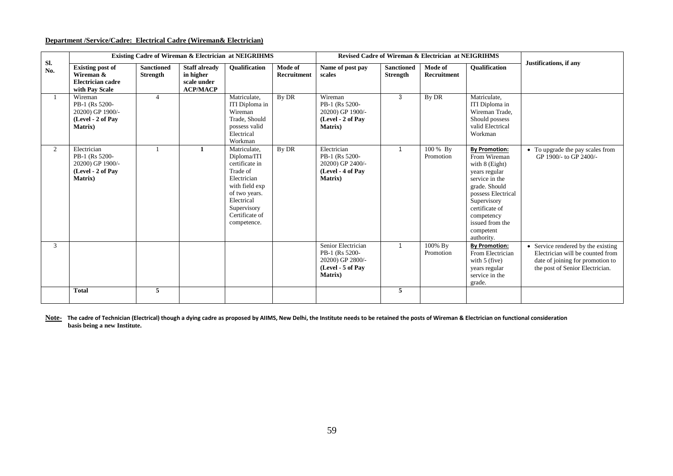#### **Department /Service/Cadre: Electrical Cadre (Wireman& Electrician)**

|                |                                                                                           |                                      |                                                                     | <b>Existing Cadre of Wireman &amp; Electrician at NEIGRIHMS</b>                                                                                                           |                        |                                                                                                  |                                      | <b>Revised Cadre of Wireman &amp; Electrician at NEIGRIHMS</b> |                                                                                                                                                                                                                               |                                                                                                                                               |
|----------------|-------------------------------------------------------------------------------------------|--------------------------------------|---------------------------------------------------------------------|---------------------------------------------------------------------------------------------------------------------------------------------------------------------------|------------------------|--------------------------------------------------------------------------------------------------|--------------------------------------|----------------------------------------------------------------|-------------------------------------------------------------------------------------------------------------------------------------------------------------------------------------------------------------------------------|-----------------------------------------------------------------------------------------------------------------------------------------------|
| SI.<br>No.     | <b>Existing post of</b><br>Wireman &<br><b>Electrician cadre</b><br>with Pay Scale        | <b>Sanctioned</b><br><b>Strength</b> | <b>Staff already</b><br>in higher<br>scale under<br><b>ACP/MACP</b> | Qualification                                                                                                                                                             | Mode of<br>Recruitment | Name of post pay<br>scales                                                                       | <b>Sanctioned</b><br><b>Strength</b> | Mode of<br>Recruitment                                         | Qualification                                                                                                                                                                                                                 | Justifications, if any                                                                                                                        |
|                | Wireman<br>PB-1 (Rs 5200-<br>20200) GP 1900/-<br>(Level - 2 of Pav<br><b>Matrix</b> )     | $\overline{4}$                       |                                                                     | Matriculate.<br>ITI Diploma in<br>Wireman<br>Trade, Should<br>possess valid<br>Electrical<br>Workman                                                                      | By DR                  | Wireman<br>PB-1 (Rs 5200-<br>20200) GP 1900/-<br>(Level - 2 of Pay<br><b>Matrix</b> )            | 3                                    | By DR                                                          | Matriculate.<br>ITI Diploma in<br>Wireman Trade.<br>Should possess<br>valid Electrical<br>Workman                                                                                                                             |                                                                                                                                               |
| $\overline{2}$ | Electrician<br>PB-1 (Rs 5200-<br>20200) GP 1900/-<br>(Level - 2 of Pay<br><b>Matrix</b> ) |                                      | $\mathbf{1}$                                                        | Matriculate.<br>Diploma/ITI<br>certificate in<br>Trade of<br>Electrician<br>with field exp<br>of two years.<br>Electrical<br>Supervisory<br>Certificate of<br>competence. | By DR                  | Electrician<br>PB-1 (Rs 5200-<br>20200) GP 2400/-<br>(Level - 4 of Pay<br><b>Matrix</b> )        | $\mathbf{1}$                         | 100 % By<br>Promotion                                          | <b>By Promotion:</b><br>From Wireman<br>with 8 (Eight)<br>years regular<br>service in the<br>grade. Should<br>possess Electrical<br>Supervisory<br>certificate of<br>competency<br>issued from the<br>competent<br>authority. | • To upgrade the pay scales from<br>GP 1900/- to GP 2400/-                                                                                    |
| 3              |                                                                                           |                                      |                                                                     |                                                                                                                                                                           |                        | Senior Electrician<br>PB-1 (Rs 5200-<br>20200) GP 2800/-<br>(Level - 5 of Pay<br><b>Matrix</b> ) | $\mathbf{1}$                         | 100% By<br>Promotion                                           | <b>By Promotion:</b><br>From Electrician<br>with $5$ (five)<br>years regular<br>service in the<br>grade.                                                                                                                      | • Service rendered by the existing<br>Electrician will be counted from<br>date of joining for promotion to<br>the post of Senior Electrician. |
|                | <b>Total</b>                                                                              | 5                                    |                                                                     |                                                                                                                                                                           |                        |                                                                                                  | 5                                    |                                                                |                                                                                                                                                                                                                               |                                                                                                                                               |

Note- The cadre of Technician (Electrical) though a dying cadre as proposed by AIIMS, New Delhi, the Institute needs to be retained the posts of Wireman & Electrician on functional consideration **basis being a new Institute.**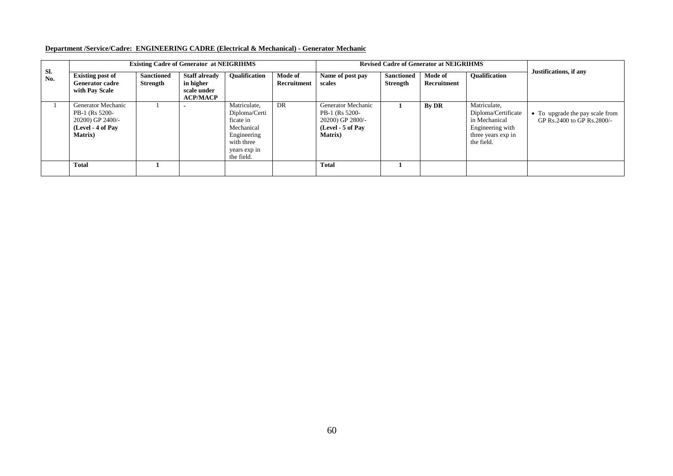# **Department /Service/Cadre: ENGINEERING CADRE (Electrical & Mechanical) - Generator Mechanic**

|            |                                                                                                  |                               | <b>Existing Cadre of Generator at NEIGRIHMS</b>                     |                                                                                                                     |                        |                                                                                                            |                                      | <b>Revised Cadre of Generator at NEIGRIHMS</b> |                                                                                                              |                                                                 |
|------------|--------------------------------------------------------------------------------------------------|-------------------------------|---------------------------------------------------------------------|---------------------------------------------------------------------------------------------------------------------|------------------------|------------------------------------------------------------------------------------------------------------|--------------------------------------|------------------------------------------------|--------------------------------------------------------------------------------------------------------------|-----------------------------------------------------------------|
| Sl.<br>No. | <b>Existing post of</b><br><b>Generator cadre</b><br>with Pay Scale                              | <b>Sanctioned</b><br>Strength | <b>Staff already</b><br>in higher<br>scale under<br><b>ACP/MACP</b> | <b>Oualification</b>                                                                                                | Mode of<br>Recruitment | Name of post pay<br>scales                                                                                 | <b>Sanctioned</b><br><b>Strength</b> | Mode of<br>Recruitment                         | <b>Oualification</b>                                                                                         | Justifications, if any                                          |
|            | Generator Mechanic<br>PB-1 (Rs 5200-<br>20200) GP 2400/-<br>(Level - 4 of Pay<br><b>Matrix</b> ) |                               |                                                                     | Matriculate,<br>Diploma/Certi<br>ficate in<br>Mechanical<br>Engineering<br>with three<br>years exp in<br>the field. | DR                     | <b>Generator Mechanic</b><br>PB-1 (Rs 5200-<br>20200) GP 2800/-<br>$(Level - 5 of Pay)$<br><b>Matrix</b> ) |                                      | By DR                                          | Matriculate,<br>Diploma/Certificate<br>in Mechanical<br>Engineering with<br>three years exp in<br>the field. | • To upgrade the pay scale from<br>GP Rs. 2400 to GP Rs. 2800/- |
|            | <b>Total</b>                                                                                     |                               |                                                                     |                                                                                                                     |                        | <b>Total</b>                                                                                               |                                      |                                                |                                                                                                              |                                                                 |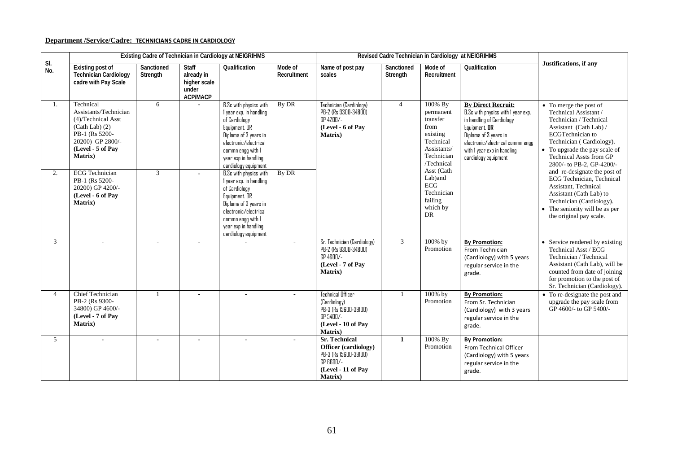# **Department /Service/Cadre: TECHNICIANS CADRE IN CARDIOLOGY**

|            |                                                                                                                                                            |                        |                                                                        | Existing Cadre of Technician in Cardiology at NEIGRIHMS                                                                                                                                                    |                        | Revised Cadre Technician in Cardiology at NEIGRIHMS                                                                         |                        |                                                                                                              |                                                                                                                                                                                                                                   |                                                                                                                                                                                                                                                     |
|------------|------------------------------------------------------------------------------------------------------------------------------------------------------------|------------------------|------------------------------------------------------------------------|------------------------------------------------------------------------------------------------------------------------------------------------------------------------------------------------------------|------------------------|-----------------------------------------------------------------------------------------------------------------------------|------------------------|--------------------------------------------------------------------------------------------------------------|-----------------------------------------------------------------------------------------------------------------------------------------------------------------------------------------------------------------------------------|-----------------------------------------------------------------------------------------------------------------------------------------------------------------------------------------------------------------------------------------------------|
| SI.<br>No. | <b>Existing post of</b><br><b>Technician Cardiology</b><br>cadre with Pay Scale                                                                            | Sanctioned<br>Strength | <b>Staff</b><br>already in<br>higher scale<br>under<br><b>ACP/MACP</b> | Qualification                                                                                                                                                                                              | Mode of<br>Recruitment | Name of post pay<br>scales                                                                                                  | Sanctioned<br>Strength | Mode of<br>Recruitment                                                                                       | Qualification                                                                                                                                                                                                                     | Justifications, if any                                                                                                                                                                                                                              |
| 1.         | Technical<br>Assistants/Technician<br>(4)/Technical Asst<br>$(Cath Lab)$ (2)<br>PB-1 (Rs 5200-<br>20200) GP 2800/-<br>(Level - 5 of Pay<br><b>Matrix</b> ) | 6                      |                                                                        | B.Sc with physics with<br>I year exp. in handling<br>of Cardiology<br>Equipment. OR<br>Diploma of 3 years in<br>electronic/electrical<br>commn engg with 1<br>year exp in handling<br>cardiology equipment | By DR                  | Technician (Cardiology)<br>PB-2 (Rs 9300-34800)<br>GP 4200/-<br>(Level - 6 of Pay<br>Matrix)                                | $\overline{4}$         | 100% By<br>permanent<br>transfer<br>from<br>existing<br>Technical<br>Assistants/<br>Technician<br>/Technical | <b>By Direct Recruit:</b><br>B.Sc with physics with I year exp.<br>in handling of Cardiology<br>Equipment. OR<br>Diploma of 3 years in<br>electronic/electrical commn engg<br>with I year exp in handling<br>cardiology equipment | • To merge the post of<br>Technical Assistant /<br>Technician / Technical<br>Assistant (Cath Lab) /<br>ECGTechnician to<br>Technician (Cardiology).<br>• To upgrade the pay scale of<br><b>Technical Assts from GP</b><br>2800/- to PB-2, GP-4200/- |
| 2.         | <b>ECG</b> Technician<br>PB-1 (Rs 5200-<br>20200) GP 4200/-<br>(Level - 6 of Pay<br>Matrix)                                                                | $\mathfrak{Z}$         | $\overline{\phantom{0}}$                                               | B.Sc with physics with<br>I year exp. in handling<br>of Cardiology<br>Equipment. OR<br>Diploma of 3 years in<br>electronic/electrical<br>commn engg with 1<br>year exp in handling<br>cardiology equipment | By DR                  |                                                                                                                             |                        | Asst (Cath<br>Lab)and<br>ECG<br>Technician<br>failing<br>which by<br><b>DR</b>                               |                                                                                                                                                                                                                                   | and re-designate the post of<br>ECG Technician, Technical<br>Assistant, Technical<br>Assistant (Cath Lab) to<br>Technician (Cardiology).<br>The seniority will be as per<br>the original pay scale.                                                 |
| 3          | $\sim$                                                                                                                                                     | ÷.                     | $\overline{a}$                                                         |                                                                                                                                                                                                            | $\sim$                 | Sr. Technician (Cardiology)<br>PB-2 (Rs 9300-34800)<br>GP 4600/-<br>(Level - 7 of Pay<br><b>Matrix</b> )                    | $\overline{3}$         | 100% by<br>Promotion                                                                                         | <b>By Promotion:</b><br>From Technician<br>(Cardiology) with 5 years<br>regular service in the<br>grade.                                                                                                                          | • Service rendered by existing<br>Technical Asst / ECG<br>Technician / Technical<br>Assistant (Cath Lab), will be<br>counted from date of joining<br>for promotion to the post of<br>Sr. Technician (Cardiology).                                   |
| 4          | <b>Chief Technician</b><br>PB-2 (Rs 9300-<br>34800) GP 4600/-<br>(Level - 7 of Pay<br><b>Matrix</b> )                                                      |                        | $\blacksquare$                                                         |                                                                                                                                                                                                            | $\sim$                 | <b>Technical Officer</b><br>(Cardiology)<br>PB-3 (Rs 15600-39100)<br>GP 5400/-<br>(Level - 10 of Pav<br>Matrix)             |                        | 100% by<br>Promotion                                                                                         | <b>By Promotion:</b><br>From Sr. Technician<br>(Cardiology) with 3 years<br>regular service in the<br>grade.                                                                                                                      | • To re-designate the post and<br>upgrade the pay scale from<br>GP 4600/- to GP 5400/-                                                                                                                                                              |
| 5          | $\blacksquare$                                                                                                                                             | $\blacksquare$         | $\blacksquare$                                                         | $\sim$                                                                                                                                                                                                     | $\sim$                 | <b>Sr. Technical</b><br>Officer (cardiology)<br>PB-3 (Rs 15600-39100)<br>GP 6600/-<br>(Level - 11 of Pay<br><b>Matrix</b> ) | $\mathbf{1}$           | 100% By<br>Promotion                                                                                         | <b>By Promotion:</b><br>From Technical Officer<br>(Cardiology) with 5 years<br>regular service in the<br>grade.                                                                                                                   |                                                                                                                                                                                                                                                     |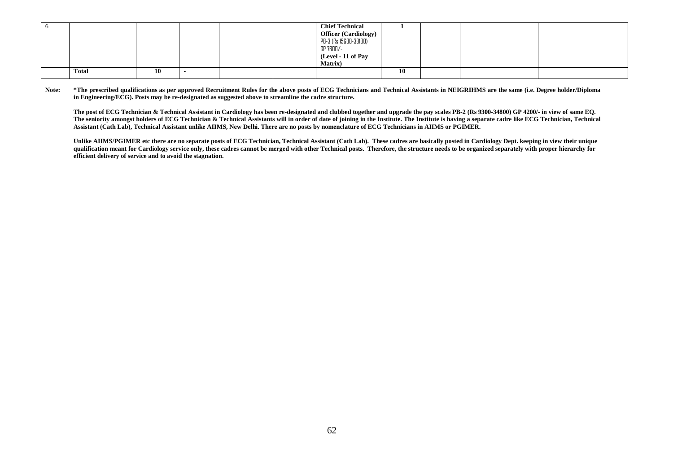|       |    |  | <b>Chief Technical</b><br><b>Officer (Cardiology)</b><br>PB-3 (Rs 15600-39100)<br>GP 7600/-<br>(Level - 11 of Pay<br><b>Matrix</b> ) |    |  |  |
|-------|----|--|--------------------------------------------------------------------------------------------------------------------------------------|----|--|--|
| Total | 10 |  |                                                                                                                                      | 10 |  |  |

Note: \*The prescribed qualifications as per approved Recruitment Rules for the above posts of ECG Technicians and Technical Assistants in NEIGRIHMS are the same (i.e. Degree holder/Diploma **in Engineering/ECG). Posts may be re-designated as suggested above to streamline the cadre structure.**

**The post of ECG Technician & Technical Assistant in Cardiology has been re-designated and clubbed together and upgrade the pay scales PB-2 (Rs 9300-34800) GP 4200/- in view of same EQ. The seniority amongst holders of ECG Technician & Technical Assistants will in order of date of joining in the Institute. The Institute is having a separate cadre like ECG Technician, Technical Assistant (Cath Lab), Technical Assistant unlike AIIMS, New Delhi. There are no posts by nomenclature of ECG Technicians in AIIMS or PGIMER.**

**Unlike AIIMS/PGIMER etc there are no separate posts of ECG Technician, Technical Assistant (Cath Lab). These cadres are basically posted in Cardiology Dept. keeping in view their unique qualification meant for Cardiology service only, these cadres cannot be merged with other Technical posts. Therefore, the structure needs to be organized separately with proper hierarchy for efficient delivery of service and to avoid the stagnation.**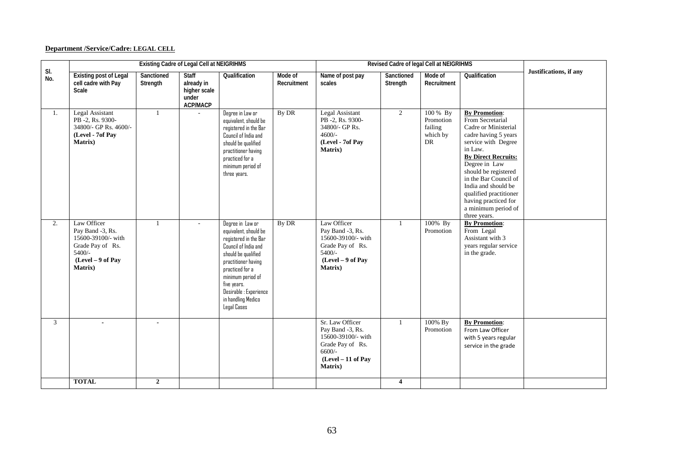# **Department /Service/Cadre: LEGAL CELL**

|            |                                                                                                                       |                        | <b>Existing Cadre of Legal Cell at NEIGRIHMS</b>                       |                                                                                                                                                                                                                                                                |                        | Revised Cadre of legal Cell at NEIGRIHMS                                                                                     |                         |                                                    |                                                                                                                                                                                                                                                                                                                                            |                        |
|------------|-----------------------------------------------------------------------------------------------------------------------|------------------------|------------------------------------------------------------------------|----------------------------------------------------------------------------------------------------------------------------------------------------------------------------------------------------------------------------------------------------------------|------------------------|------------------------------------------------------------------------------------------------------------------------------|-------------------------|----------------------------------------------------|--------------------------------------------------------------------------------------------------------------------------------------------------------------------------------------------------------------------------------------------------------------------------------------------------------------------------------------------|------------------------|
| SI.<br>No. | <b>Existing post of Legal</b><br>cell cadre with Pay<br>Scale                                                         | Sanctioned<br>Strength | <b>Staff</b><br>already in<br>higher scale<br>under<br><b>ACP/MACP</b> | Qualification                                                                                                                                                                                                                                                  | Mode of<br>Recruitment | Name of post pay<br>scales                                                                                                   | Sanctioned<br>Strength  | Mode of<br>Recruitment                             | Qualification                                                                                                                                                                                                                                                                                                                              | Justifications, if any |
| 1.         | <b>Legal Assistant</b><br>PB-2, Rs. 9300-<br>34800/- GP Rs. 4600/-<br>(Level - 7of Pay<br>Matrix)                     | $\mathbf{1}$           |                                                                        | Degree in Law or<br>equivalent, should be<br>registered in the Bar<br>Council of India and<br>should be qualified<br>practitioner having<br>practiced for a<br>minimum period of<br>three years.                                                               | By DR                  | <b>Legal Assistant</b><br>PB -2, Rs. 9300-<br>34800/- GP Rs.<br>$4600/-$<br>(Level - 7of Pay<br><b>Matrix</b> )              | $\overline{2}$          | 100 % By<br>Promotion<br>failing<br>which by<br>DR | <b>By Promotion:</b><br>From Secretarial<br>Cadre or Ministerial<br>cadre having 5 years<br>service with Degree<br>in Law.<br><b>By Direct Recruits:</b><br>Degree in Law<br>should be registered<br>in the Bar Council of<br>India and should be<br>qualified practitioner<br>having practiced for<br>a minimum period of<br>three years. |                        |
| 2.         | Law Officer<br>Pay Band -3, Rs.<br>15600-39100/- with<br>Grade Pay of Rs.<br>$5400/-$<br>(Level - 9 of Pay<br>Matrix) | $\mathbf{1}$           |                                                                        | Degree in Law or<br>equivalent, should be<br>registered in the Bar<br>Council of India and<br>should be qualified<br>practitioner having<br>practiced for a<br>minimum period of<br>five years.<br>Desirable : Experience<br>in handling Medico<br>Legal Cases | By DR                  | Law Officer<br>Pay Band -3, Rs.<br>15600-39100/- with<br>Grade Pay of Rs.<br>$5400/-$<br>(Level - 9 of Pay<br>Matrix)        | $\overline{1}$          | 100% By<br>Promotion                               | <b>By Promotion:</b><br>From Legal<br>Assistant with 3<br>years regular service<br>in the grade.                                                                                                                                                                                                                                           |                        |
| 3          |                                                                                                                       |                        |                                                                        |                                                                                                                                                                                                                                                                |                        | Sr. Law Officer<br>Pay Band -3, Rs.<br>15600-39100/- with<br>Grade Pay of Rs.<br>$6600/-$<br>$(Level - 11$ of Pay<br>Matrix) | $\mathbf{1}$            | 100% By<br>Promotion                               | <b>By Promotion:</b><br>From Law Officer<br>with 5 years regular<br>service in the grade                                                                                                                                                                                                                                                   |                        |
|            | <b>TOTAL</b>                                                                                                          | $\overline{2}$         |                                                                        |                                                                                                                                                                                                                                                                |                        |                                                                                                                              | $\overline{\mathbf{4}}$ |                                                    |                                                                                                                                                                                                                                                                                                                                            |                        |